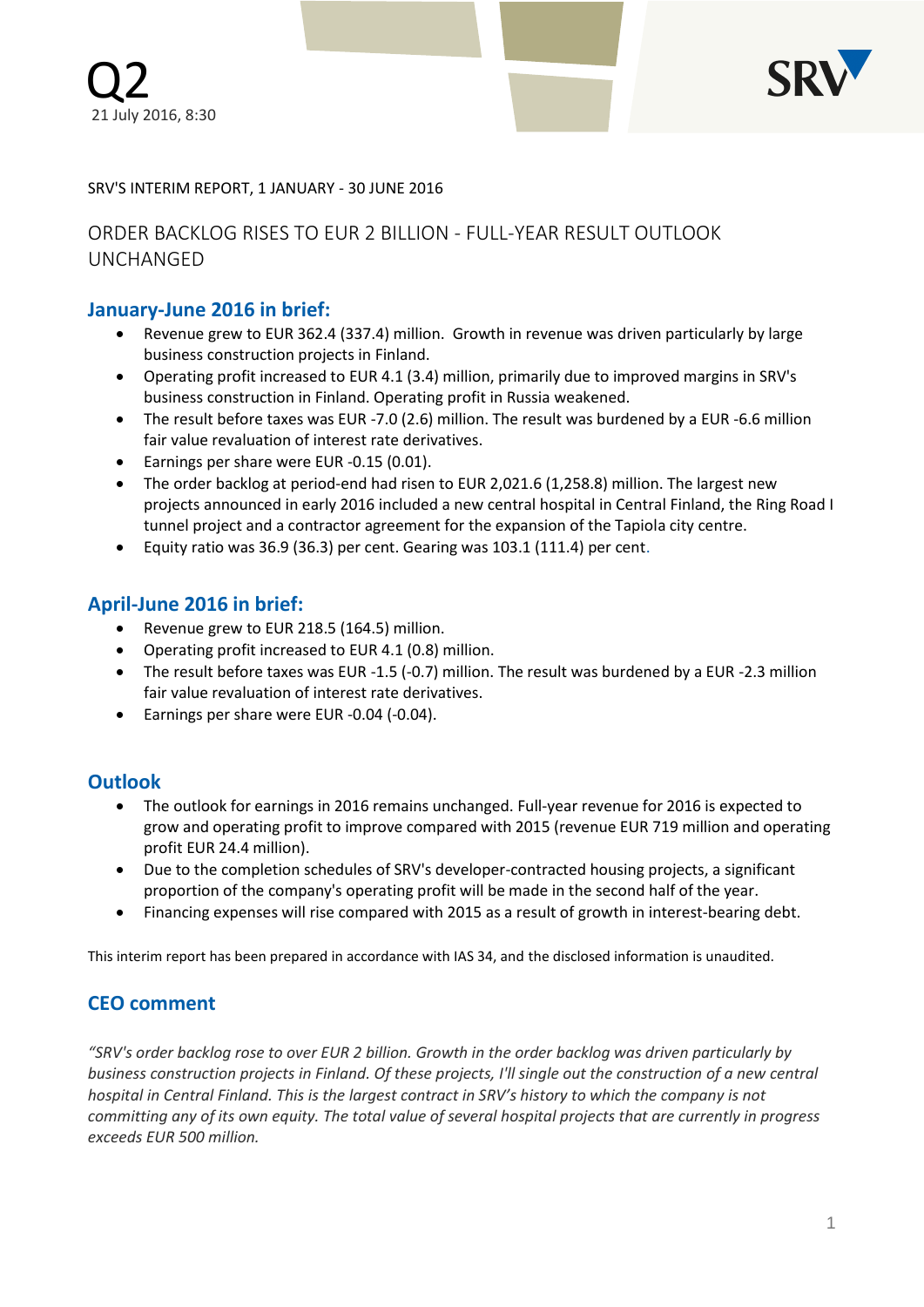

### SRV'S INTERIM REPORT, 1 JANUARY - 30 JUNE 2016

# ORDER BACKLOG RISES TO EUR 2 BILLION - FULL-YEAR RESULT OUTLOOK UNCHANGED

### **January-June 2016 in brief:**

- Revenue grew to EUR 362.4 (337.4) million. Growth in revenue was driven particularly by large business construction projects in Finland.
- Operating profit increased to EUR 4.1 (3.4) million, primarily due to improved margins in SRV's business construction in Finland. Operating profit in Russia weakened.
- The result before taxes was EUR -7.0 (2.6) million. The result was burdened by a EUR -6.6 million fair value revaluation of interest rate derivatives.
- Earnings per share were EUR -0.15 (0.01).
- The order backlog at period-end had risen to EUR 2,021.6 (1,258.8) million. The largest new projects announced in early 2016 included a new central hospital in Central Finland, the Ring Road I tunnel project and a contractor agreement for the expansion of the Tapiola city centre.
- Equity ratio was 36.9 (36.3) per cent. Gearing was 103.1 (111.4) per cent.

### **April-June 2016 in brief:**

- Revenue grew to EUR 218.5 (164.5) million.
- Operating profit increased to EUR 4.1 (0.8) million.
- The result before taxes was EUR -1.5 (-0.7) million. The result was burdened by a EUR -2.3 million fair value revaluation of interest rate derivatives.
- Earnings per share were EUR -0.04 (-0.04).

## **Outlook**

- The outlook for earnings in 2016 remains unchanged. Full-year revenue for 2016 is expected to grow and operating profit to improve compared with 2015 (revenue EUR 719 million and operating profit EUR 24.4 million).
- Due to the completion schedules of SRV's developer-contracted housing projects, a significant proportion of the company's operating profit will be made in the second half of the year.
- Financing expenses will rise compared with 2015 as a result of growth in interest-bearing debt.

This interim report has been prepared in accordance with IAS 34, and the disclosed information is unaudited.

### **CEO comment**

*"SRV's order backlog rose to over EUR 2 billion. Growth in the order backlog was driven particularly by business construction projects in Finland. Of these projects, I'll single out the construction of a new central hospital in Central Finland. This is the largest contract in SRV's history to which the company is not committing any of its own equity. The total value of several hospital projects that are currently in progress exceeds EUR 500 million.*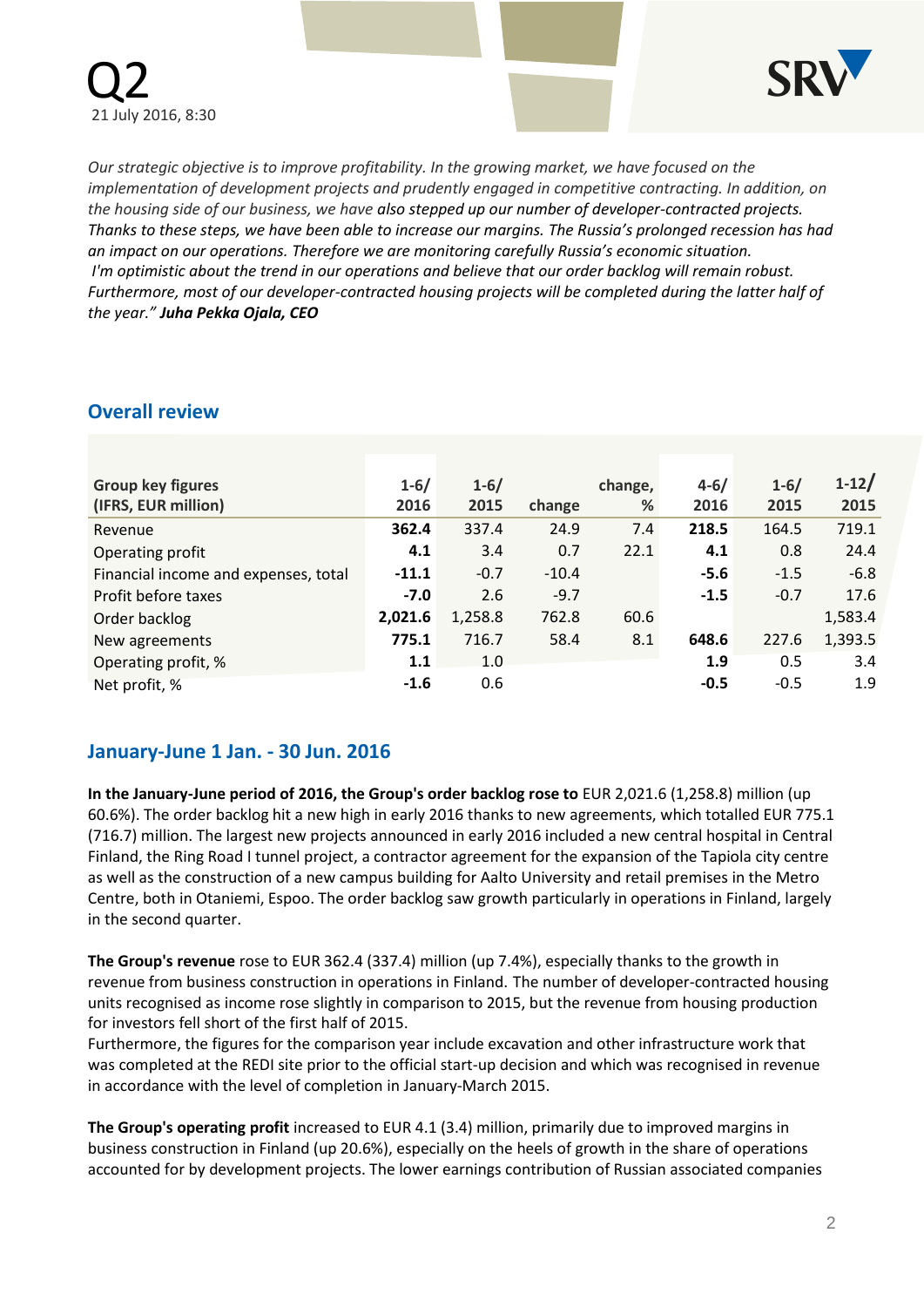



*Our strategic objective is to improve profitability. In the growing market, we have focused on the implementation of development projects and prudently engaged in competitive contracting. In addition, on the housing side of our business, we have also stepped up our number of developer-contracted projects. Thanks to these steps, we have been able to increase our margins. The Russia's prolonged recession has had an impact on our operations. Therefore we are monitoring carefully Russia's economic situation. I'm optimistic about the trend in our operations and believe that our order backlog will remain robust. Furthermore, most of our developer-contracted housing projects will be completed during the latter half of the year." Juha Pekka Ojala, CEO*

### **Overall review**

| <b>Group key figures</b><br>(IFRS, EUR million) | $1 - 6/$<br>2016 | $1 - 6/$<br>2015 | change  | change,<br>% | $4 - 6/$<br>2016 | $1 - 6/$<br>2015 | $1-12/$<br>2015 |
|-------------------------------------------------|------------------|------------------|---------|--------------|------------------|------------------|-----------------|
| Revenue                                         | 362.4            | 337.4            | 24.9    | 7.4          | 218.5            | 164.5            | 719.1           |
| Operating profit                                | 4.1              | 3.4              | 0.7     | 22.1         | 4.1              | 0.8              | 24.4            |
| Financial income and expenses, total            | $-11.1$          | $-0.7$           | $-10.4$ |              | $-5.6$           | $-1.5$           | $-6.8$          |
| Profit before taxes                             | $-7.0$           | 2.6              | $-9.7$  |              | $-1.5$           | $-0.7$           | 17.6            |
| Order backlog                                   | 2,021.6          | 1,258.8          | 762.8   | 60.6         |                  |                  | 1,583.4         |
| New agreements                                  | 775.1            | 716.7            | 58.4    | 8.1          | 648.6            | 227.6            | 1,393.5         |
| Operating profit, %                             | 1.1              | 1.0              |         |              | 1.9              | 0.5              | 3.4             |
| Net profit, %                                   | $-1.6$           | 0.6              |         |              | $-0.5$           | $-0.5$           | 1.9             |

## **January-June 1 Jan. - 30 Jun. 2016**

**In the January-June period of 2016, the Group's order backlog rose to** EUR 2,021.6 (1,258.8) million (up 60.6%). The order backlog hit a new high in early 2016 thanks to new agreements, which totalled EUR 775.1 (716.7) million. The largest new projects announced in early 2016 included a new central hospital in Central Finland, the Ring Road I tunnel project, a contractor agreement for the expansion of the Tapiola city centre as well as the construction of a new campus building for Aalto University and retail premises in the Metro Centre, both in Otaniemi, Espoo. The order backlog saw growth particularly in operations in Finland, largely in the second quarter.

**The Group's revenue** rose to EUR 362.4 (337.4) million (up 7.4%), especially thanks to the growth in revenue from business construction in operations in Finland. The number of developer-contracted housing units recognised as income rose slightly in comparison to 2015, but the revenue from housing production for investors fell short of the first half of 2015.

Furthermore, the figures for the comparison year include excavation and other infrastructure work that was completed at the REDI site prior to the official start-up decision and which was recognised in revenue in accordance with the level of completion in January-March 2015.

**The Group's operating profit** increased to EUR 4.1 (3.4) million, primarily due to improved margins in business construction in Finland (up 20.6%), especially on the heels of growth in the share of operations accounted for by development projects. The lower earnings contribution of Russian associated companies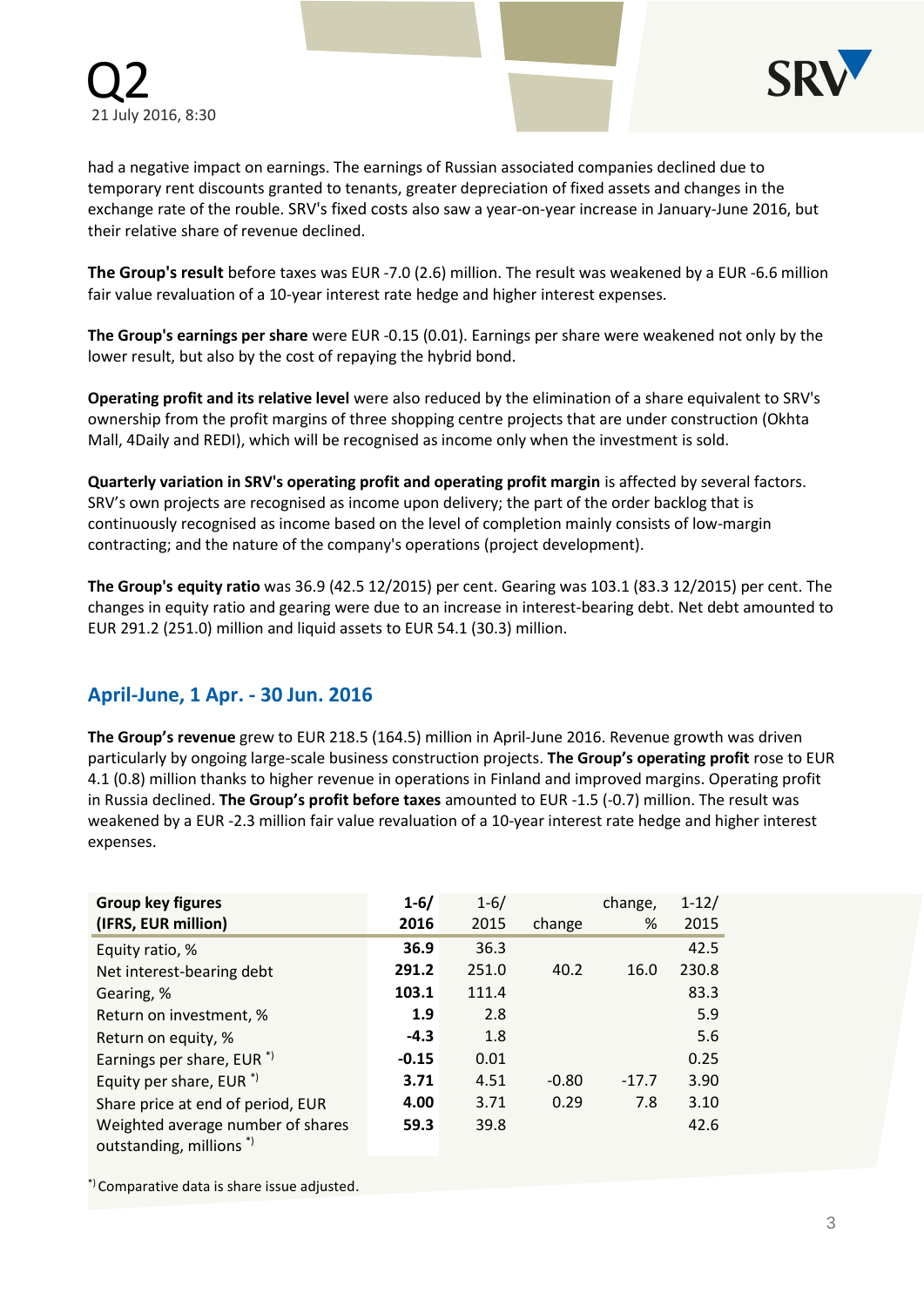

had a negative impact on earnings. The earnings of Russian associated companies declined due to temporary rent discounts granted to tenants, greater depreciation of fixed assets and changes in the exchange rate of the rouble. SRV's fixed costs also saw a year-on-year increase in January-June 2016, but their relative share of revenue declined.

**The Group's result** before taxes was EUR -7.0 (2.6) million. The result was weakened by a EUR -6.6 million fair value revaluation of a 10-year interest rate hedge and higher interest expenses.

**The Group's earnings per share** were EUR -0.15 (0.01). Earnings per share were weakened not only by the lower result, but also by the cost of repaying the hybrid bond.

**Operating profit and its relative level** were also reduced by the elimination of a share equivalent to SRV's ownership from the profit margins of three shopping centre projects that are under construction (Okhta Mall, 4Daily and REDI), which will be recognised as income only when the investment is sold.

**Quarterly variation in SRV's operating profit and operating profit margin** is affected by several factors. SRV's own projects are recognised as income upon delivery; the part of the order backlog that is continuously recognised as income based on the level of completion mainly consists of low-margin contracting; and the nature of the company's operations (project development).

**The Group's equity ratio** was 36.9 (42.5 12/2015) per cent. Gearing was 103.1 (83.3 12/2015) per cent. The changes in equity ratio and gearing were due to an increase in interest-bearing debt. Net debt amounted to EUR 291.2 (251.0) million and liquid assets to EUR 54.1 (30.3) million.

## **April-June, 1 Apr. - 30 Jun. 2016**

**The Group's revenue** grew to EUR 218.5 (164.5) million in April-June 2016. Revenue growth was driven particularly by ongoing large-scale business construction projects. **The Group's operating profit** rose to EUR 4.1 (0.8) million thanks to higher revenue in operations in Finland and improved margins. Operating profit in Russia declined. **The Group's profit before taxes** amounted to EUR -1.5 (-0.7) million. The result was weakened by a EUR -2.3 million fair value revaluation of a 10-year interest rate hedge and higher interest expenses.

| <b>Group key figures</b><br>(IFRS, EUR million)                         | $1 - 6/$<br>2016 | $1 - 6/$<br>2015 | change  | change,<br>% | $1 - 12/$<br>2015 |
|-------------------------------------------------------------------------|------------------|------------------|---------|--------------|-------------------|
| Equity ratio, %                                                         | 36.9             | 36.3             |         |              | 42.5              |
| Net interest-bearing debt                                               | 291.2            | 251.0            | 40.2    | 16.0         | 230.8             |
| Gearing, %                                                              | 103.1            | 111.4            |         |              | 83.3              |
| Return on investment, %                                                 | 1.9              | 2.8              |         |              | 5.9               |
| Return on equity, %                                                     | $-4.3$           | 1.8              |         |              | 5.6               |
| Earnings per share, EUR <sup>*</sup>                                    | $-0.15$          | 0.01             |         |              | 0.25              |
| Equity per share, EUR $*$ )                                             | 3.71             | 4.51             | $-0.80$ | $-17.7$      | 3.90              |
| Share price at end of period, EUR                                       | 4.00             | 3.71             | 0.29    | 7.8          | 3.10              |
| Weighted average number of shares<br>outstanding, millions <sup>*</sup> | 59.3             | 39.8             |         |              | 42.6              |

\*) Comparative data is share issue adjusted.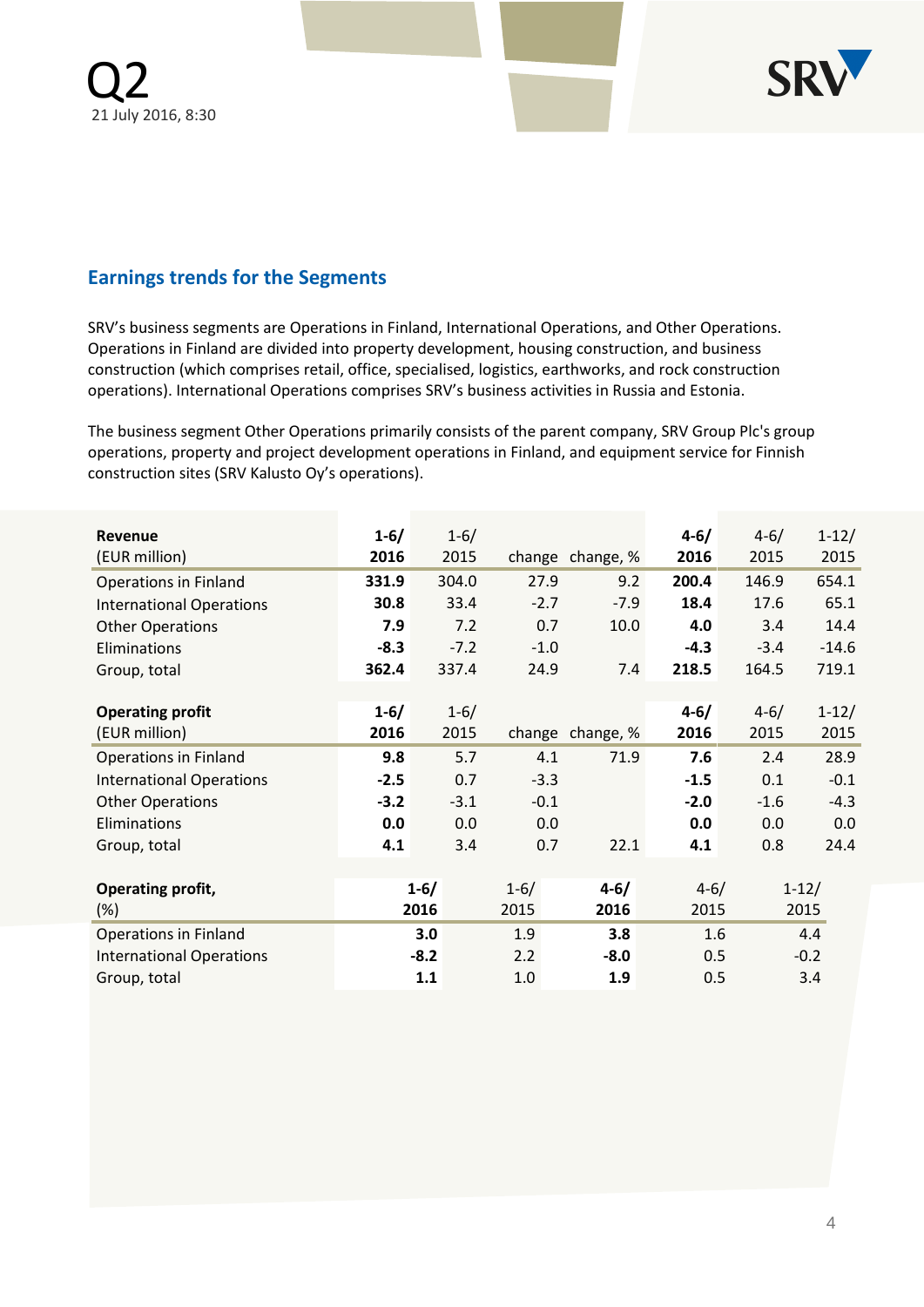

# **Earnings trends for the Segments**

SRV's business segments are Operations in Finland, International Operations, and Other Operations. Operations in Finland are divided into property development, housing construction, and business construction (which comprises retail, office, specialised, logistics, earthworks, and rock construction operations). International Operations comprises SRV's business activities in Russia and Estonia.

The business segment Other Operations primarily consists of the parent company, SRV Group Plc's group operations, property and project development operations in Finland, and equipment service for Finnish construction sites (SRV Kalusto Oy's operations).

| <b>Revenue</b>                  | $1 - 6/$ | $1 - 6/$ |          |                  | $4 - 6/$ | $4 - 6/$ | $1 - 12/$ |
|---------------------------------|----------|----------|----------|------------------|----------|----------|-----------|
| (EUR million)                   | 2016     | 2015     |          | change change, % | 2016     | 2015     | 2015      |
| <b>Operations in Finland</b>    | 331.9    | 304.0    | 27.9     | 9.2              | 200.4    | 146.9    | 654.1     |
| <b>International Operations</b> | 30.8     | 33.4     | $-2.7$   | $-7.9$           | 18.4     | 17.6     | 65.1      |
| <b>Other Operations</b>         | 7.9      | 7.2      | 0.7      | 10.0             | 4.0      | 3.4      | 14.4      |
| Eliminations                    | $-8.3$   | $-7.2$   | $-1.0$   |                  | $-4.3$   | $-3.4$   | $-14.6$   |
| Group, total                    | 362.4    | 337.4    | 24.9     | 7.4              | 218.5    | 164.5    | 719.1     |
|                                 |          |          |          |                  |          |          |           |
| <b>Operating profit</b>         | $1 - 6/$ | $1 - 6/$ |          |                  | $4 - 6/$ | $4 - 6/$ | $1-12/$   |
| (EUR million)                   | 2016     | 2015     |          | change change, % | 2016     | 2015     | 2015      |
| <b>Operations in Finland</b>    | 9.8      | 5.7      | 4.1      | 71.9             | 7.6      | 2.4      | 28.9      |
| <b>International Operations</b> | $-2.5$   | 0.7      | $-3.3$   |                  | $-1.5$   | 0.1      | $-0.1$    |
| <b>Other Operations</b>         | $-3.2$   | $-3.1$   | $-0.1$   |                  | $-2.0$   | $-1.6$   | $-4.3$    |
| Eliminations                    | 0.0      | 0.0      | 0.0      |                  | 0.0      | 0.0      | 0.0       |
| Group, total                    | 4.1      | 3.4      | 0.7      | 22.1             | 4.1      | 0.8      | 24.4      |
|                                 |          |          |          |                  |          |          |           |
| Operating profit,               | $1 - 6/$ |          | $1 - 6/$ | $4 - 6/$         | $4 - 6/$ |          | $1 - 12/$ |
| $(\%)$                          | 2016     |          | 2015     | 2016             | 2015     |          | 2015      |
| <b>Operations in Finland</b>    | 3.0      |          | 1.9      | 3.8              | 1.6      |          | 4.4       |
| <b>International Operations</b> | $-8.2$   |          | 2.2      | $-8.0$           | 0.5      |          | $-0.2$    |
| Group, total                    | 1.1      |          | 1.0      | 1.9              | 0.5      |          | 3.4       |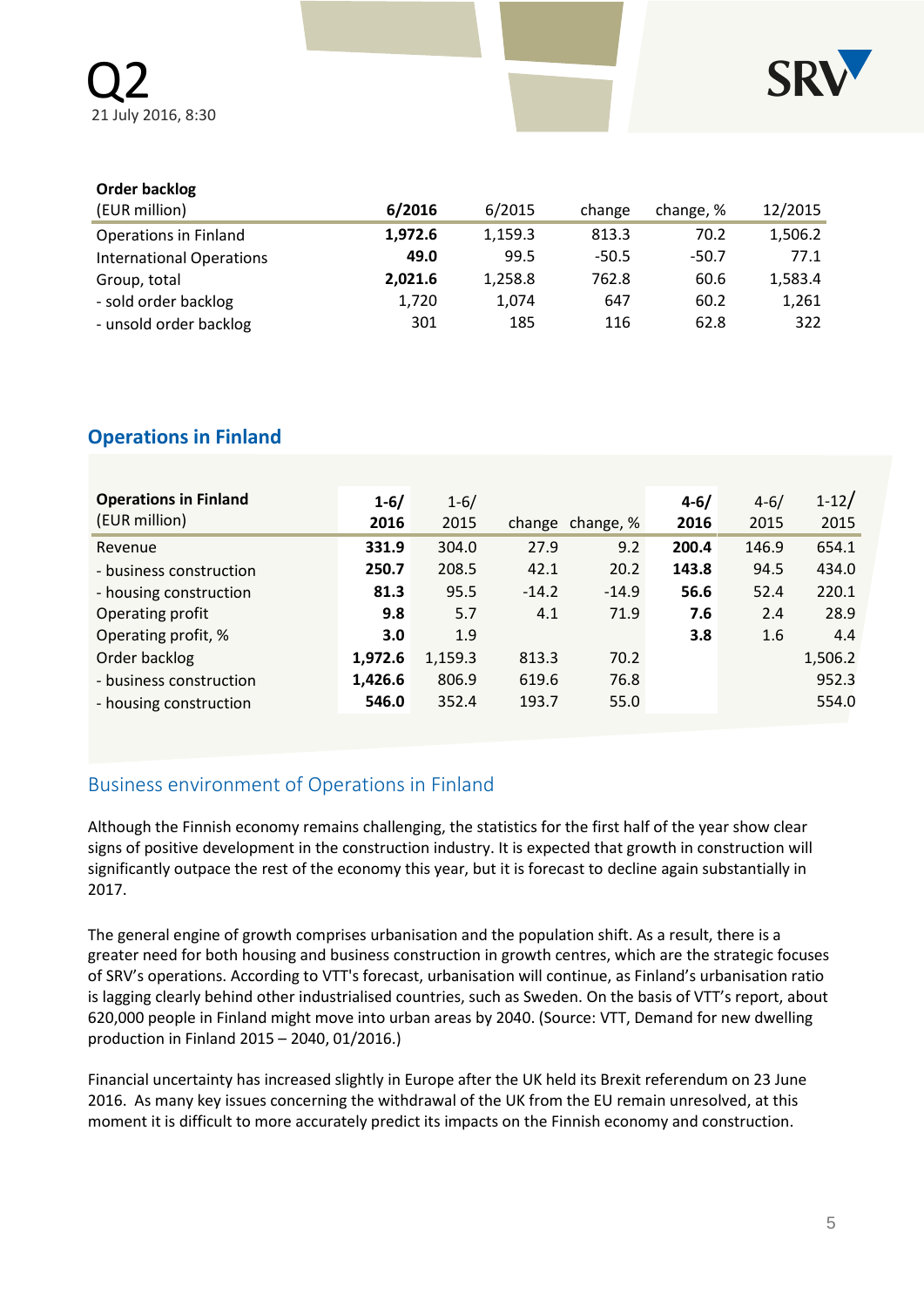

### **Order backlog**

| (EUR million)                   | 6/2016  | 6/2015  | change  | change, % | 12/2015 |
|---------------------------------|---------|---------|---------|-----------|---------|
| <b>Operations in Finland</b>    | 1,972.6 | 1,159.3 | 813.3   | 70.2      | 1,506.2 |
| <b>International Operations</b> | 49.0    | 99.5    | $-50.5$ | $-50.7$   | 77.1    |
| Group, total                    | 2,021.6 | 1,258.8 | 762.8   | 60.6      | 1,583.4 |
| - sold order backlog            | 1,720   | 1.074   | 647     | 60.2      | 1,261   |
| - unsold order backlog          | 301     | 185     | 116     | 62.8      | 322     |

# **Operations in Finland**

| <b>Operations in Finland</b><br>(EUR million) | $1 - 6/$<br>2016 | $1 - 6/$<br>2015 |         | change change, % | $4 - 6/$<br>2016 | $4 - 6/$<br>2015 | $1 - 12/$<br>2015 |
|-----------------------------------------------|------------------|------------------|---------|------------------|------------------|------------------|-------------------|
| Revenue                                       | 331.9            | 304.0            | 27.9    | 9.2              | 200.4            | 146.9            | 654.1             |
| - business construction                       | 250.7            | 208.5            | 42.1    | 20.2             | 143.8            | 94.5             | 434.0             |
| - housing construction                        | 81.3             | 95.5             | $-14.2$ | $-14.9$          | 56.6             | 52.4             | 220.1             |
| Operating profit                              | 9.8              | 5.7              | 4.1     | 71.9             | 7.6              | 2.4              | 28.9              |
| Operating profit, %                           | 3.0              | 1.9              |         |                  | 3.8              | 1.6              | 4.4               |
| Order backlog                                 | 1.972.6          | 1,159.3          | 813.3   | 70.2             |                  |                  | 1,506.2           |
| - business construction                       | 1,426.6          | 806.9            | 619.6   | 76.8             |                  |                  | 952.3             |
| - housing construction                        | 546.0            | 352.4            | 193.7   | 55.0             |                  |                  | 554.0             |

# Business environment of Operations in Finland

Although the Finnish economy remains challenging, the statistics for the first half of the year show clear signs of positive development in the construction industry. It is expected that growth in construction will significantly outpace the rest of the economy this year, but it is forecast to decline again substantially in 2017.

The general engine of growth comprises urbanisation and the population shift. As a result, there is a greater need for both housing and business construction in growth centres, which are the strategic focuses of SRV's operations. According to VTT's forecast, urbanisation will continue, as Finland's urbanisation ratio is lagging clearly behind other industrialised countries, such as Sweden. On the basis of VTT's report, about 620,000 people in Finland might move into urban areas by 2040. (Source: VTT, Demand for new dwelling production in Finland 2015 – 2040, 01/2016.)

Financial uncertainty has increased slightly in Europe after the UK held its Brexit referendum on 23 June 2016. As many key issues concerning the withdrawal of the UK from the EU remain unresolved, at this moment it is difficult to more accurately predict its impacts on the Finnish economy and construction.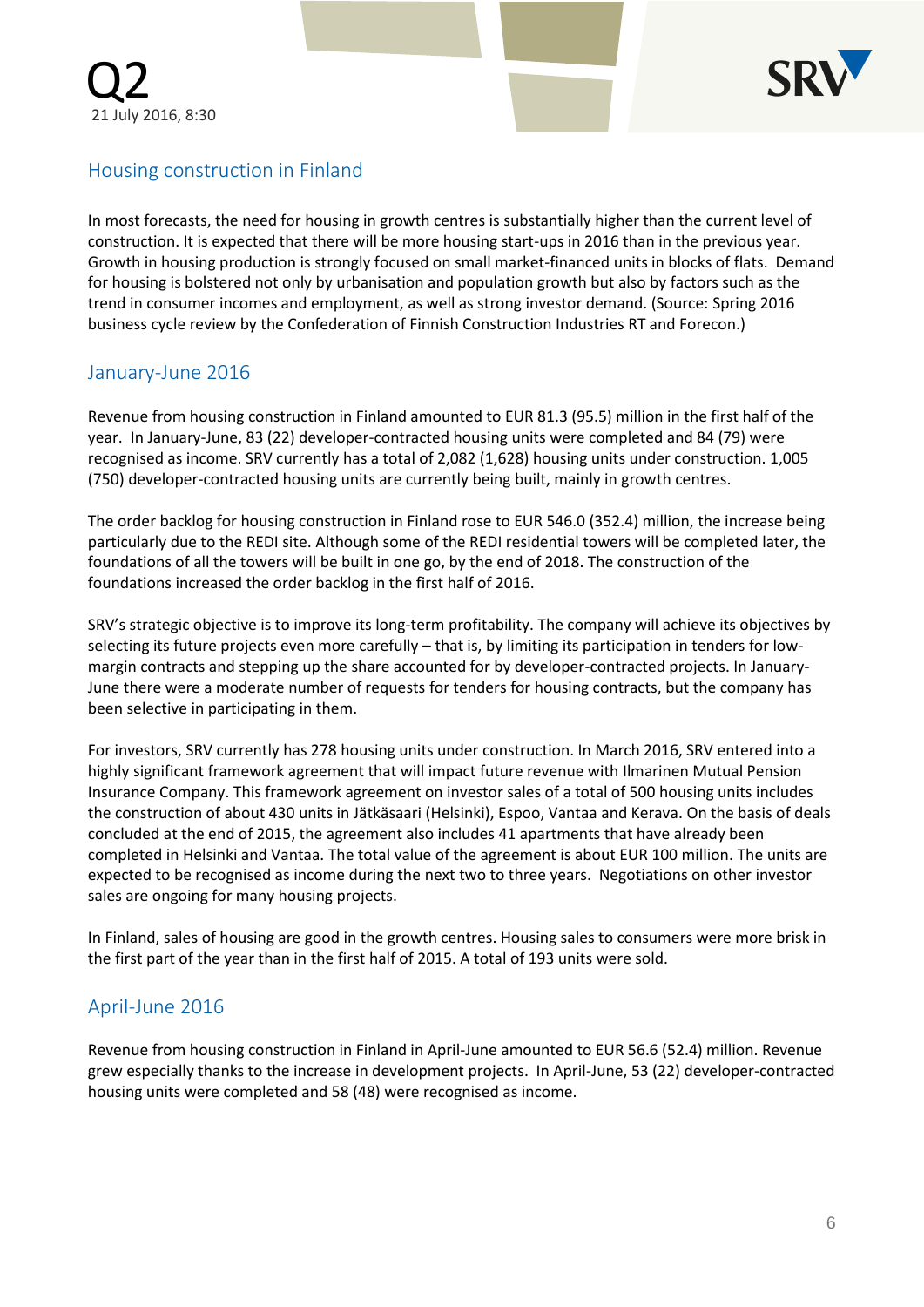

# Housing construction in Finland

In most forecasts, the need for housing in growth centres is substantially higher than the current level of construction. It is expected that there will be more housing start-ups in 2016 than in the previous year. Growth in housing production is strongly focused on small market-financed units in blocks of flats. Demand for housing is bolstered not only by urbanisation and population growth but also by factors such as the trend in consumer incomes and employment, as well as strong investor demand. (Source: Spring 2016 business cycle review by the Confederation of Finnish Construction Industries RT and Forecon.)

# January-June 2016

Revenue from housing construction in Finland amounted to EUR 81.3 (95.5) million in the first half of the year. In January-June, 83 (22) developer-contracted housing units were completed and 84 (79) were recognised as income. SRV currently has a total of 2,082 (1,628) housing units under construction. 1,005 (750) developer-contracted housing units are currently being built, mainly in growth centres.

The order backlog for housing construction in Finland rose to EUR 546.0 (352.4) million, the increase being particularly due to the REDI site. Although some of the REDI residential towers will be completed later, the foundations of all the towers will be built in one go, by the end of 2018. The construction of the foundations increased the order backlog in the first half of 2016.

SRV's strategic objective is to improve its long-term profitability. The company will achieve its objectives by selecting its future projects even more carefully – that is, by limiting its participation in tenders for lowmargin contracts and stepping up the share accounted for by developer-contracted projects. In January-June there were a moderate number of requests for tenders for housing contracts, but the company has been selective in participating in them.

For investors, SRV currently has 278 housing units under construction. In March 2016, SRV entered into a highly significant framework agreement that will impact future revenue with Ilmarinen Mutual Pension Insurance Company. This framework agreement on investor sales of a total of 500 housing units includes the construction of about 430 units in Jätkäsaari (Helsinki), Espoo, Vantaa and Kerava. On the basis of deals concluded at the end of 2015, the agreement also includes 41 apartments that have already been completed in Helsinki and Vantaa. The total value of the agreement is about EUR 100 million. The units are expected to be recognised as income during the next two to three years. Negotiations on other investor sales are ongoing for many housing projects.

In Finland, sales of housing are good in the growth centres. Housing sales to consumers were more brisk in the first part of the year than in the first half of 2015. A total of 193 units were sold.

# April-June 2016

Revenue from housing construction in Finland in April-June amounted to EUR 56.6 (52.4) million. Revenue grew especially thanks to the increase in development projects. In April-June, 53 (22) developer-contracted housing units were completed and 58 (48) were recognised as income.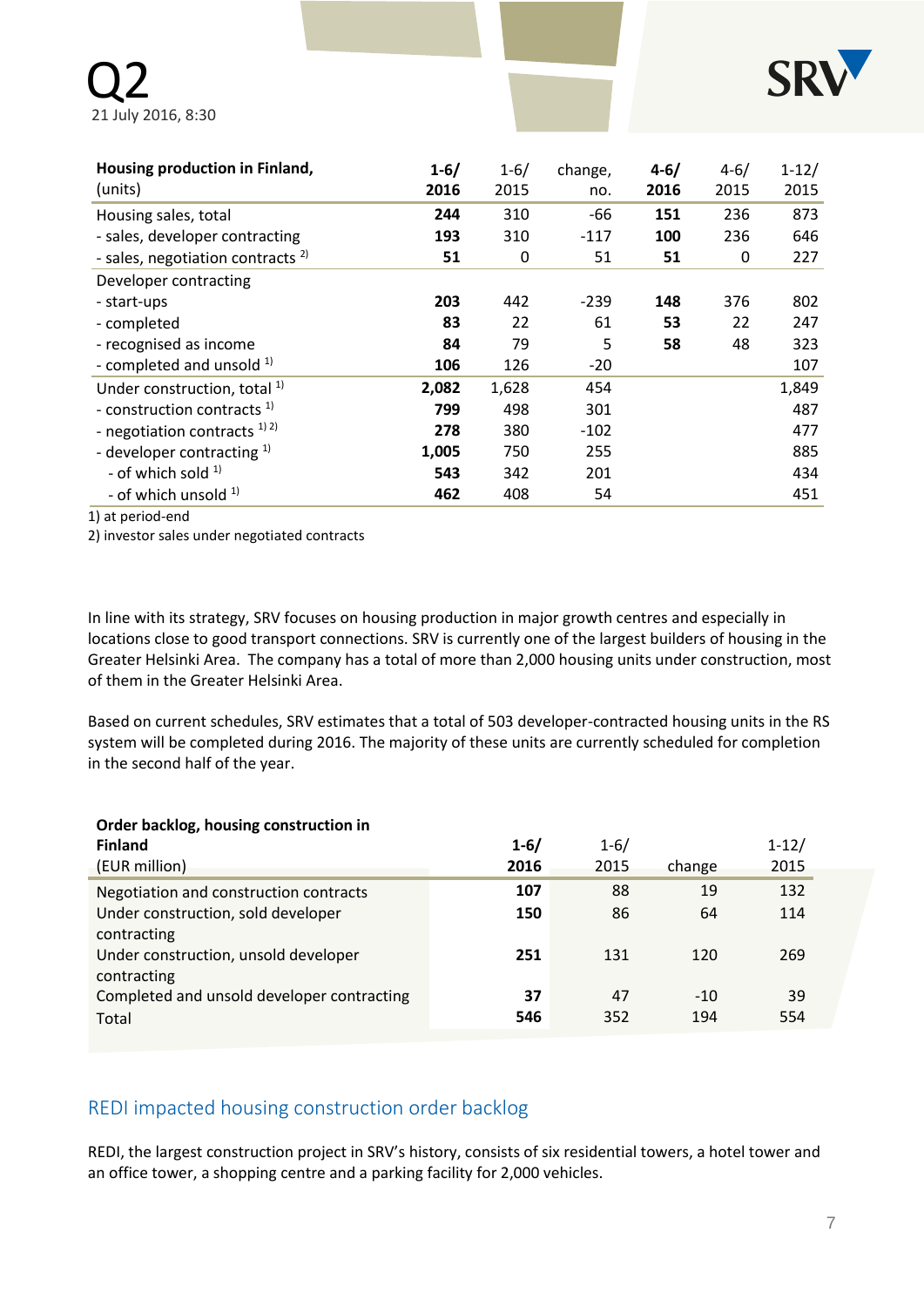

| Housing production in Finland,<br>(units)    | $1 - 6/$<br>2016 | $1 - 6/$<br>2015 | change,<br>no. | $4 - 6/$<br>2016 | $4 - 6/$<br>2015 | $1 - 12/$<br>2015 |
|----------------------------------------------|------------------|------------------|----------------|------------------|------------------|-------------------|
| Housing sales, total                         | 244              | 310              | -66            | 151              | 236              | 873               |
| - sales, developer contracting               | 193              | 310              | $-117$         | 100              | 236              | 646               |
| - sales, negotiation contracts <sup>2)</sup> | 51               | 0                | 51             | 51               | 0                | 227               |
| Developer contracting                        |                  |                  |                |                  |                  |                   |
| - start-ups                                  | 203              | 442              | $-239$         | 148              | 376              | 802               |
| - completed                                  | 83               | 22               | 61             | 53               | 22               | 247               |
| - recognised as income                       | 84               | 79               | 5              | 58               | 48               | 323               |
| - completed and unsold $1$                   | 106              | 126              | $-20$          |                  |                  | 107               |
| Under construction, total <sup>1)</sup>      | 2,082            | 1,628            | 454            |                  |                  | 1,849             |
| - construction contracts <sup>1)</sup>       | 799              | 498              | 301            |                  |                  | 487               |
| - negotiation contracts $^{1/2}$             | 278              | 380              | $-102$         |                  |                  | 477               |
| - developer contracting $1$                  | 1,005            | 750              | 255            |                  |                  | 885               |
| - of which sold $1$                          | 543              | 342              | 201            |                  |                  | 434               |
| - of which unsold $1$                        | 462              | 408              | 54             |                  |                  | 451               |

1) at period-end

2) investor sales under negotiated contracts

In line with its strategy, SRV focuses on housing production in major growth centres and especially in locations close to good transport connections. SRV is currently one of the largest builders of housing in the Greater Helsinki Area. The company has a total of more than 2,000 housing units under construction, most of them in the Greater Helsinki Area.

Based on current schedules, SRV estimates that a total of 503 developer-contracted housing units in the RS system will be completed during 2016. The majority of these units are currently scheduled for completion in the second half of the year.

#### **Order backlog, housing construction in**

| <b>Finland</b><br>(EUR million)                     | $1 - 6/$<br>2016 | $1 - 6/$<br>2015 | change | $1 - 12/$<br>2015 |
|-----------------------------------------------------|------------------|------------------|--------|-------------------|
| Negotiation and construction contracts              | 107              | 88               | 19     | 132               |
| Under construction, sold developer                  | 150              | 86               | 64     | 114               |
| contracting                                         |                  |                  |        |                   |
| Under construction, unsold developer<br>contracting | 251              | 131              | 120    | 269               |
| Completed and unsold developer contracting          | 37               | 47               | $-10$  | 39                |
| Total                                               | 546              | 352              | 194    | 554               |
|                                                     |                  |                  |        |                   |

## REDI impacted housing construction order backlog

REDI, the largest construction project in SRV's history, consists of six residential towers, a hotel tower and an office tower, a shopping centre and a parking facility for 2,000 vehicles.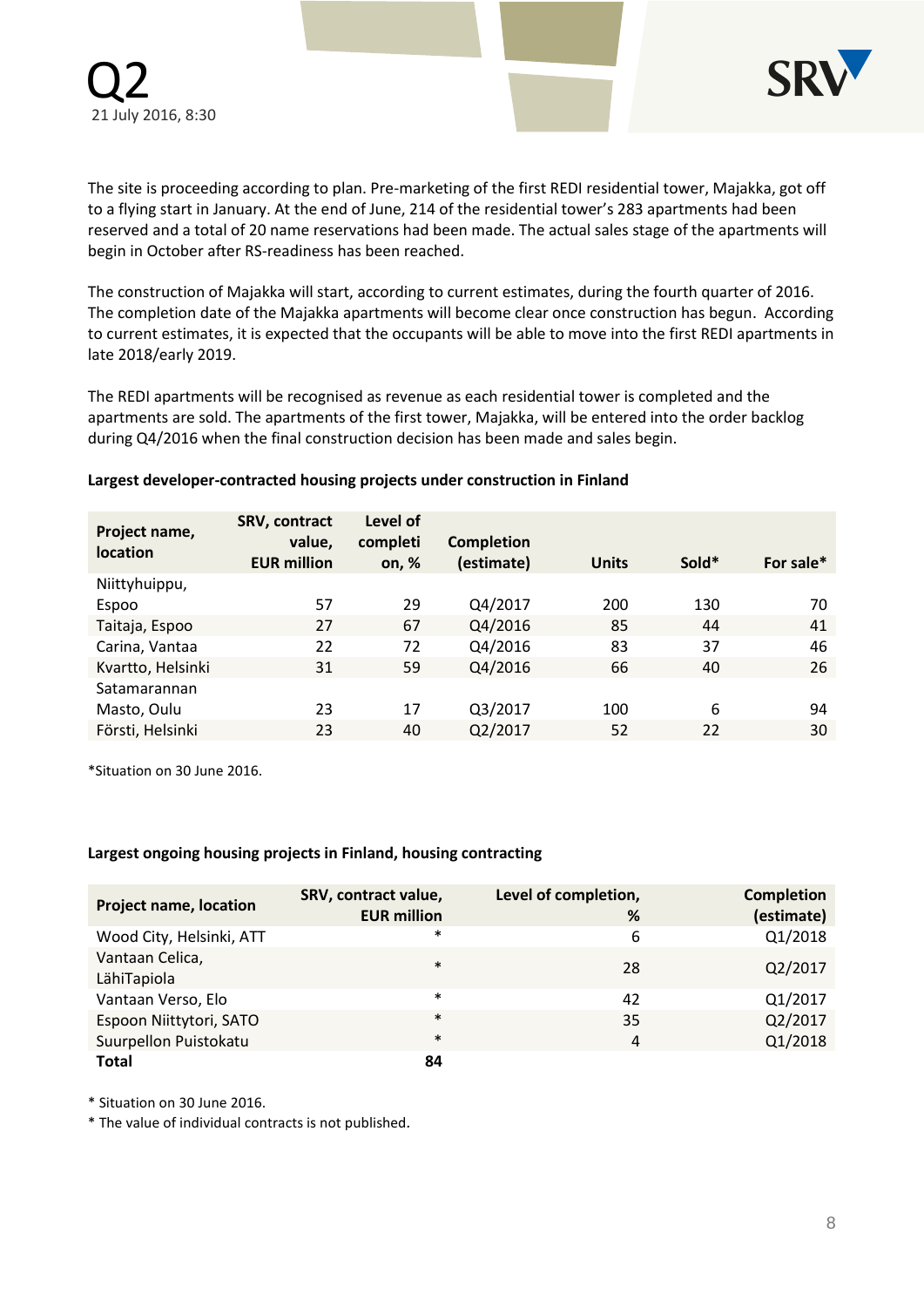

The site is proceeding according to plan. Pre-marketing of the first REDI residential tower, Majakka, got off to a flying start in January. At the end of June, 214 of the residential tower's 283 apartments had been reserved and a total of 20 name reservations had been made. The actual sales stage of the apartments will begin in October after RS-readiness has been reached.

The construction of Majakka will start, according to current estimates, during the fourth quarter of 2016. The completion date of the Majakka apartments will become clear once construction has begun. According to current estimates, it is expected that the occupants will be able to move into the first REDI apartments in late 2018/early 2019.

The REDI apartments will be recognised as revenue as each residential tower is completed and the apartments are sold. The apartments of the first tower, Majakka, will be entered into the order backlog during Q4/2016 when the final construction decision has been made and sales begin.

#### **Largest developer-contracted housing projects under construction in Finland**

| Project name,<br><b>location</b> | SRV, contract<br>value,<br><b>EUR million</b> | Level of<br>completi<br>on, $%$ | Completion<br>(estimate) | <b>Units</b> | Sold* | For sale* |
|----------------------------------|-----------------------------------------------|---------------------------------|--------------------------|--------------|-------|-----------|
| Niittyhuippu,                    |                                               |                                 |                          |              |       |           |
| Espoo                            | 57                                            | 29                              | Q4/2017                  | 200          | 130   | 70        |
| Taitaja, Espoo                   | 27                                            | 67                              | Q4/2016                  | 85           | 44    | 41        |
| Carina, Vantaa                   | 22                                            | 72                              | Q4/2016                  | 83           | 37    | 46        |
| Kvartto, Helsinki                | 31                                            | 59                              | Q4/2016                  | 66           | 40    | 26        |
| Satamarannan                     |                                               |                                 |                          |              |       |           |
| Masto, Oulu                      | 23                                            | 17                              | Q3/2017                  | 100          | 6     | 94        |
| Försti, Helsinki                 | 23                                            | 40                              | Q2/2017                  | 52           | 22    | 30        |
|                                  |                                               |                                 |                          |              |       |           |

\*Situation on 30 June 2016.

#### **Largest ongoing housing projects in Finland, housing contracting**

| <b>Project name, location</b>  | SRV, contract value,<br><b>EUR million</b> | Level of completion,<br>% | <b>Completion</b><br>(estimate) |
|--------------------------------|--------------------------------------------|---------------------------|---------------------------------|
| Wood City, Helsinki, ATT       | $\ast$                                     | 6                         | Q1/2018                         |
| Vantaan Celica,<br>LähiTapiola | $\ast$                                     | 28                        | Q2/2017                         |
| Vantaan Verso, Elo             | $\ast$                                     | 42                        | Q1/2017                         |
| Espoon Niittytori, SATO        | $\ast$                                     | 35                        | Q2/2017                         |
| Suurpellon Puistokatu          | $\ast$                                     | $\overline{4}$            | Q1/2018                         |
| <b>Total</b>                   | 84                                         |                           |                                 |

\* Situation on 30 June 2016.

\* The value of individual contracts is not published*.*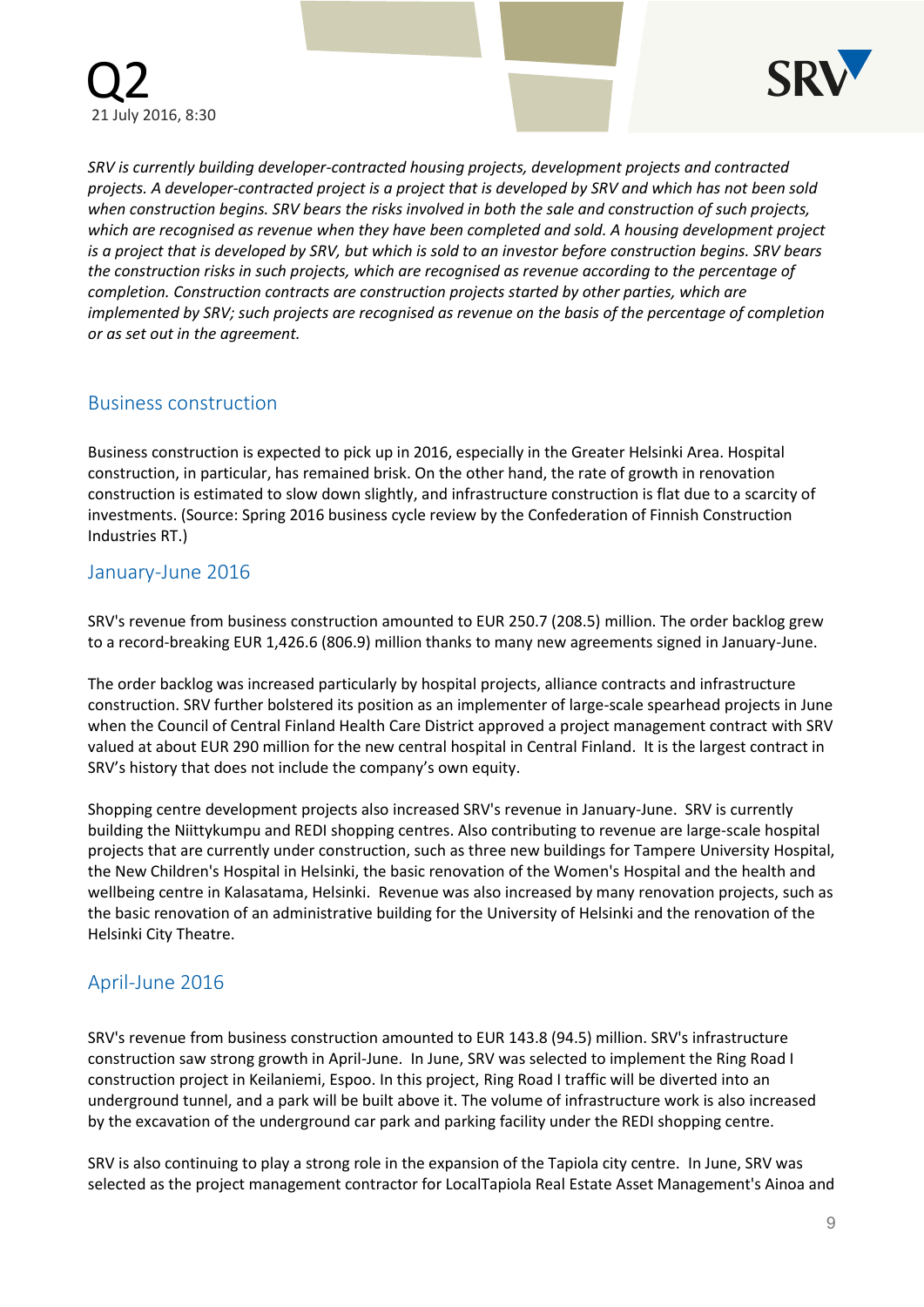

*SRV is currently building developer-contracted housing projects, development projects and contracted projects. A developer-contracted project is a project that is developed by SRV and which has not been sold when construction begins. SRV bears the risks involved in both the sale and construction of such projects, which are recognised as revenue when they have been completed and sold. A housing development project is a project that is developed by SRV, but which is sold to an investor before construction begins. SRV bears the construction risks in such projects, which are recognised as revenue according to the percentage of completion. Construction contracts are construction projects started by other parties, which are implemented by SRV; such projects are recognised as revenue on the basis of the percentage of completion or as set out in the agreement.*

## Business construction

Business construction is expected to pick up in 2016, especially in the Greater Helsinki Area. Hospital construction, in particular, has remained brisk. On the other hand, the rate of growth in renovation construction is estimated to slow down slightly, and infrastructure construction is flat due to a scarcity of investments. (Source: Spring 2016 business cycle review by the Confederation of Finnish Construction Industries RT.)

### January-June 2016

SRV's revenue from business construction amounted to EUR 250.7 (208.5) million. The order backlog grew to a record-breaking EUR 1,426.6 (806.9) million thanks to many new agreements signed in January-June.

The order backlog was increased particularly by hospital projects, alliance contracts and infrastructure construction. SRV further bolstered its position as an implementer of large-scale spearhead projects in June when the Council of Central Finland Health Care District approved a project management contract with SRV valued at about EUR 290 million for the new central hospital in Central Finland. It is the largest contract in SRV's history that does not include the company's own equity.

Shopping centre development projects also increased SRV's revenue in January-June. SRV is currently building the Niittykumpu and REDI shopping centres. Also contributing to revenue are large-scale hospital projects that are currently under construction, such as three new buildings for Tampere University Hospital, the New Children's Hospital in Helsinki, the basic renovation of the Women's Hospital and the health and wellbeing centre in Kalasatama, Helsinki. Revenue was also increased by many renovation projects, such as the basic renovation of an administrative building for the University of Helsinki and the renovation of the Helsinki City Theatre.

## April-June 2016

SRV's revenue from business construction amounted to EUR 143.8 (94.5) million. SRV's infrastructure construction saw strong growth in April-June. In June, SRV was selected to implement the Ring Road I construction project in Keilaniemi, Espoo. In this project, Ring Road I traffic will be diverted into an underground tunnel, and a park will be built above it. The volume of infrastructure work is also increased by the excavation of the underground car park and parking facility under the REDI shopping centre.

SRV is also continuing to play a strong role in the expansion of the Tapiola city centre.In June, SRV was selected as the project management contractor for LocalTapiola Real Estate Asset Management's Ainoa and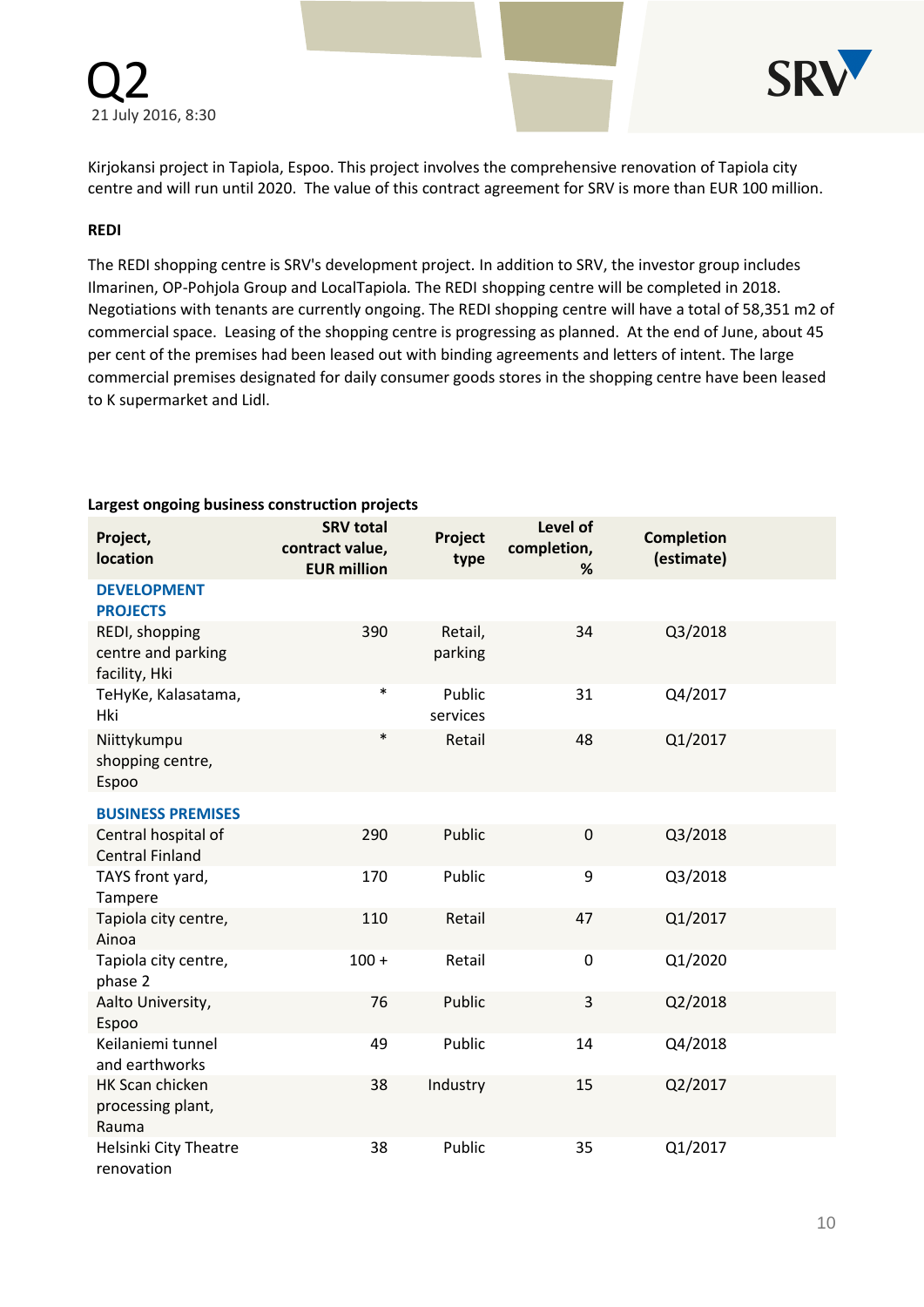



Kirjokansi project in Tapiola, Espoo. This project involves the comprehensive renovation of Tapiola city centre and will run until 2020. The value of this contract agreement for SRV is more than EUR 100 million.

#### **REDI**

The REDI shopping centre is SRV's development project. In addition to SRV, the investor group includes Ilmarinen, OP-Pohjola Group and LocalTapiola*.* The REDI shopping centre will be completed in 2018. Negotiations with tenants are currently ongoing. The REDI shopping centre will have a total of 58,351 m2 of commercial space. Leasing of the shopping centre is progressing as planned. At the end of June, about 45 per cent of the premises had been leased out with binding agreements and letters of intent. The large commercial premises designated for daily consumer goods stores in the shopping centre have been leased to K supermarket and Lidl.

| Project,<br>location                                  | <b>SRV total</b><br>contract value,<br><b>EUR million</b> | Project<br>type    | Level of<br>completion,<br>% | <b>Completion</b><br>(estimate) |  |
|-------------------------------------------------------|-----------------------------------------------------------|--------------------|------------------------------|---------------------------------|--|
| <b>DEVELOPMENT</b><br><b>PROJECTS</b>                 |                                                           |                    |                              |                                 |  |
| REDI, shopping<br>centre and parking<br>facility, Hki | 390                                                       | Retail,<br>parking | 34                           | Q3/2018                         |  |
| TeHyKe, Kalasatama,<br>Hki                            | $\ast$                                                    | Public<br>services | 31                           | Q4/2017                         |  |
| Niittykumpu<br>shopping centre,<br>Espoo              | $\ast$                                                    | Retail             | 48                           | Q1/2017                         |  |
| <b>BUSINESS PREMISES</b>                              |                                                           |                    |                              |                                 |  |
| Central hospital of<br><b>Central Finland</b>         | 290                                                       | Public             | $\mathbf 0$                  | Q3/2018                         |  |
| TAYS front yard,<br>Tampere                           | 170                                                       | Public             | 9                            | Q3/2018                         |  |
| Tapiola city centre,<br>Ainoa                         | 110                                                       | Retail             | 47                           | Q1/2017                         |  |
| Tapiola city centre,<br>phase 2                       | $100 +$                                                   | Retail             | $\boldsymbol{0}$             | Q1/2020                         |  |
| Aalto University,<br>Espoo                            | 76                                                        | Public             | 3                            | Q2/2018                         |  |
| Keilaniemi tunnel<br>and earthworks                   | 49                                                        | Public             | 14                           | Q4/2018                         |  |
| HK Scan chicken<br>processing plant,<br>Rauma         | 38                                                        | Industry           | 15                           | Q2/2017                         |  |
| Helsinki City Theatre<br>renovation                   | 38                                                        | Public             | 35                           | Q1/2017                         |  |

#### **Largest ongoing business construction projects**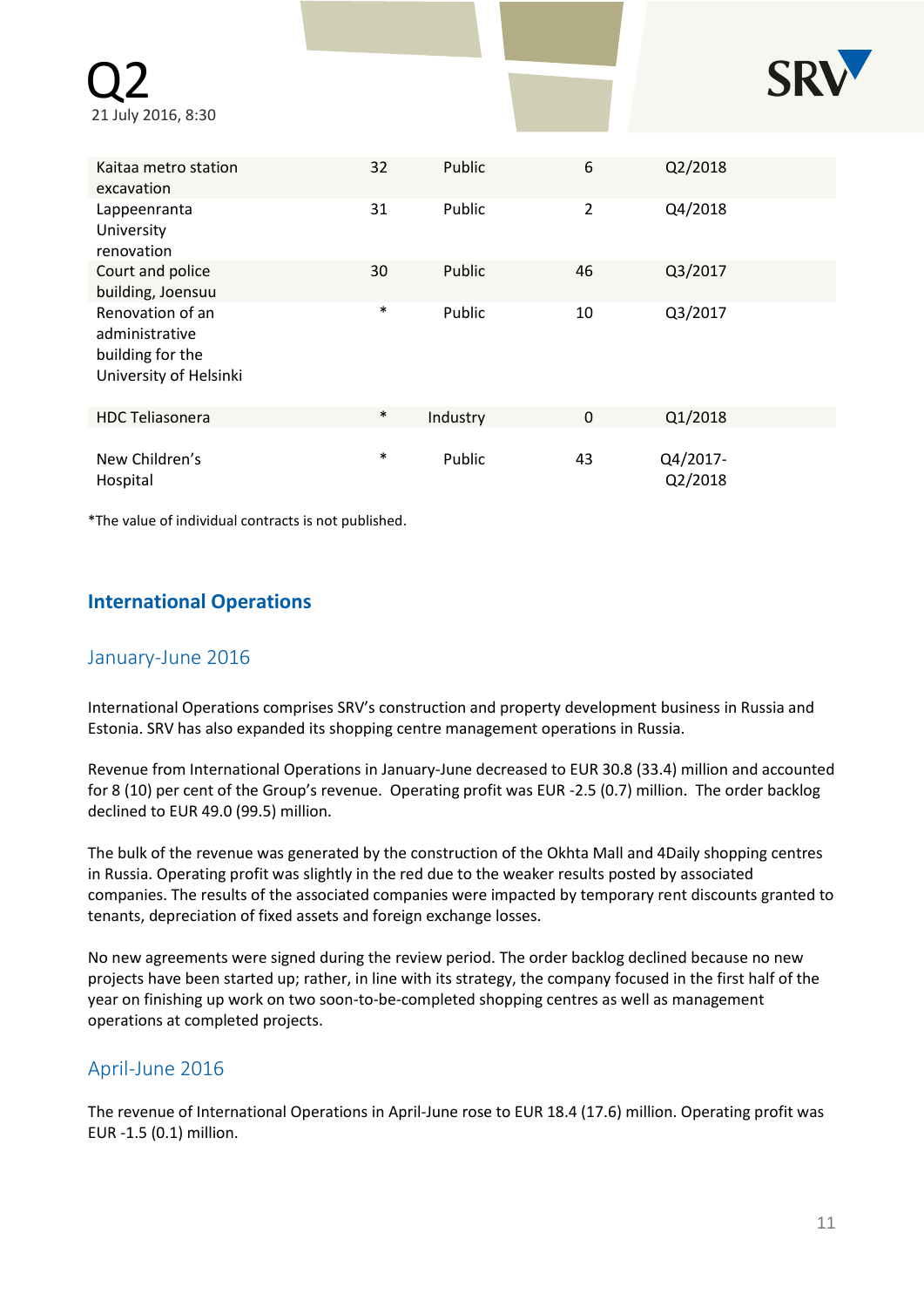| 21 July 2016, 8:30                                                               |        |          |                |                     |  |
|----------------------------------------------------------------------------------|--------|----------|----------------|---------------------|--|
| Kaitaa metro station                                                             | 32     | Public   | 6              | Q2/2018             |  |
| excavation<br>Lappeenranta<br>University                                         | 31     | Public   | $\overline{2}$ | Q4/2018             |  |
| renovation<br>Court and police<br>building, Joensuu                              | 30     | Public   | 46             | Q3/2017             |  |
| Renovation of an<br>administrative<br>building for the<br>University of Helsinki | $\ast$ | Public   | 10             | Q3/2017             |  |
| <b>HDC Teliasonera</b>                                                           | $\ast$ | Industry | $\mathbf 0$    | Q1/2018             |  |
| New Children's<br>Hospital                                                       | $\ast$ | Public   | 43             | Q4/2017-<br>Q2/2018 |  |

\*The value of individual contracts is not published.

# **International Operations**

## January-June 2016

International Operations comprises SRV's construction and property development business in Russia and Estonia. SRV has also expanded its shopping centre management operations in Russia.

Revenue from International Operations in January-June decreased to EUR 30.8 (33.4) million and accounted for 8 (10) per cent of the Group's revenue. Operating profit was EUR -2.5 (0.7) million. The order backlog declined to EUR 49.0 (99.5) million.

The bulk of the revenue was generated by the construction of the Okhta Mall and 4Daily shopping centres in Russia. Operating profit was slightly in the red due to the weaker results posted by associated companies. The results of the associated companies were impacted by temporary rent discounts granted to tenants, depreciation of fixed assets and foreign exchange losses.

No new agreements were signed during the review period. The order backlog declined because no new projects have been started up; rather, in line with its strategy, the company focused in the first half of the year on finishing up work on two soon-to-be-completed shopping centres as well as management operations at completed projects.

## April-June 2016

The revenue of International Operations in April-June rose to EUR 18.4 (17.6) million. Operating profit was EUR -1.5 (0.1) million.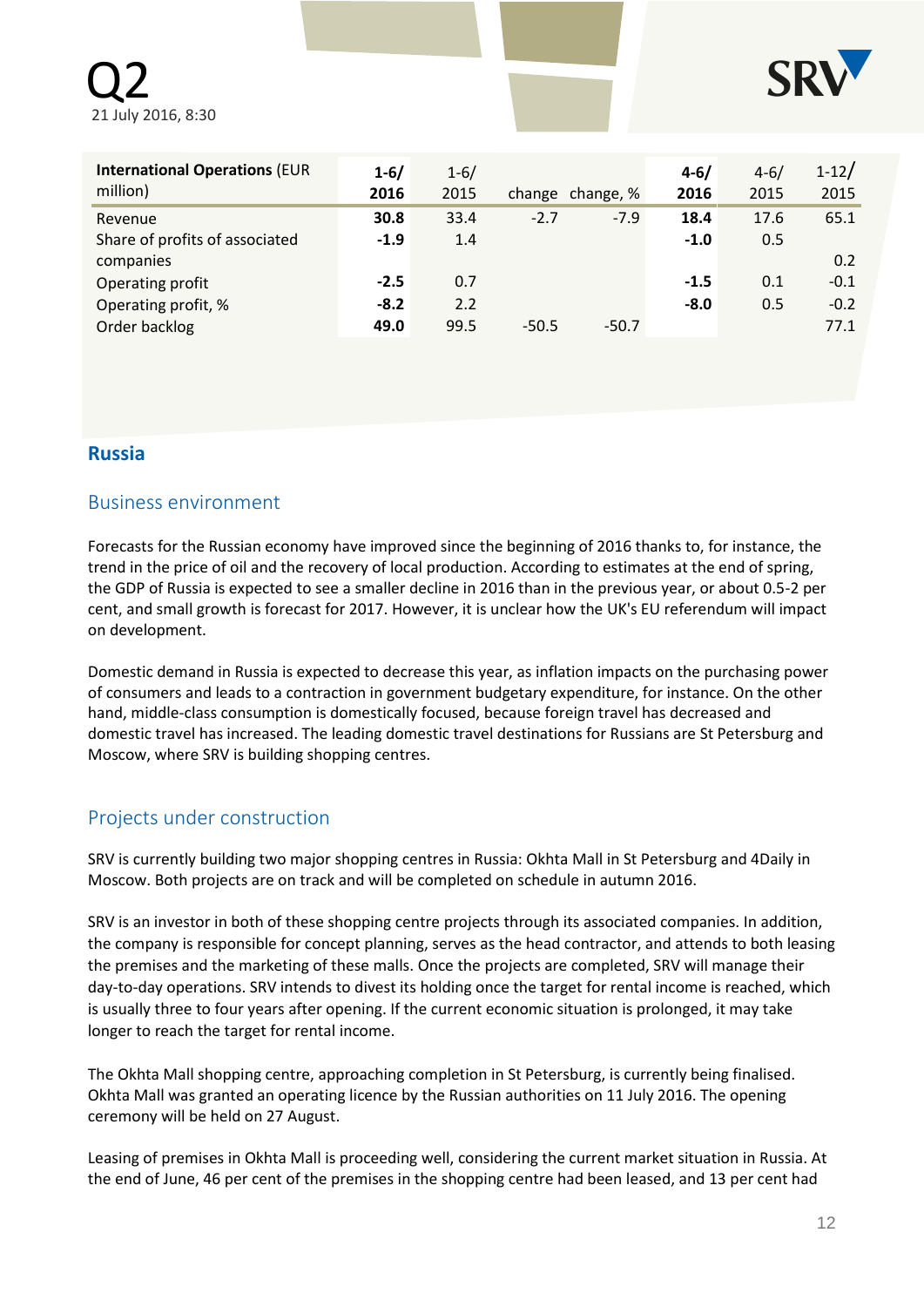Q2 21 July 2016, 8:30



| <b>International Operations (EUR</b><br>million) | $1 - 6/$<br>2016 | $1 - 6/$<br>2015 |         | change change, % | $4 - 6/$<br>2016 | $4 - 6/$<br>2015 | $1 - 12/$<br>2015 |
|--------------------------------------------------|------------------|------------------|---------|------------------|------------------|------------------|-------------------|
| Revenue                                          | 30.8             | 33.4             | $-2.7$  | $-7.9$           | 18.4             | 17.6             | 65.1              |
| Share of profits of associated                   | $-1.9$           | 1.4              |         |                  | $-1.0$           | 0.5              |                   |
| companies                                        |                  |                  |         |                  |                  |                  | 0.2               |
| Operating profit                                 | $-2.5$           | 0.7              |         |                  | $-1.5$           | 0.1              | $-0.1$            |
| Operating profit, %                              | $-8.2$           | 2.2              |         |                  | $-8.0$           | 0.5              | $-0.2$            |
| Order backlog                                    | 49.0             | 99.5             | $-50.5$ | $-50.7$          |                  |                  | 77.1              |

### **Russia**

### Business environment

Forecasts for the Russian economy have improved since the beginning of 2016 thanks to, for instance, the trend in the price of oil and the recovery of local production. According to estimates at the end of spring, the GDP of Russia is expected to see a smaller decline in 2016 than in the previous year, or about 0.5-2 per cent, and small growth is forecast for 2017. However, it is unclear how the UK's EU referendum will impact on development.

Domestic demand in Russia is expected to decrease this year, as inflation impacts on the purchasing power of consumers and leads to a contraction in government budgetary expenditure, for instance. On the other hand, middle-class consumption is domestically focused, because foreign travel has decreased and domestic travel has increased. The leading domestic travel destinations for Russians are St Petersburg and Moscow, where SRV is building shopping centres.

## Projects under construction

SRV is currently building two major shopping centres in Russia: Okhta Mall in St Petersburg and 4Daily in Moscow. Both projects are on track and will be completed on schedule in autumn 2016.

SRV is an investor in both of these shopping centre projects through its associated companies. In addition, the company is responsible for concept planning, serves as the head contractor, and attends to both leasing the premises and the marketing of these malls. Once the projects are completed, SRV will manage their day-to-day operations. SRV intends to divest its holding once the target for rental income is reached, which is usually three to four years after opening. If the current economic situation is prolonged, it may take longer to reach the target for rental income.

The Okhta Mall shopping centre, approaching completion in St Petersburg, is currently being finalised. Okhta Mall was granted an operating licence by the Russian authorities on 11 July 2016. The opening ceremony will be held on 27 August.

Leasing of premises in Okhta Mall is proceeding well, considering the current market situation in Russia. At the end of June, 46 per cent of the premises in the shopping centre had been leased, and 13 per cent had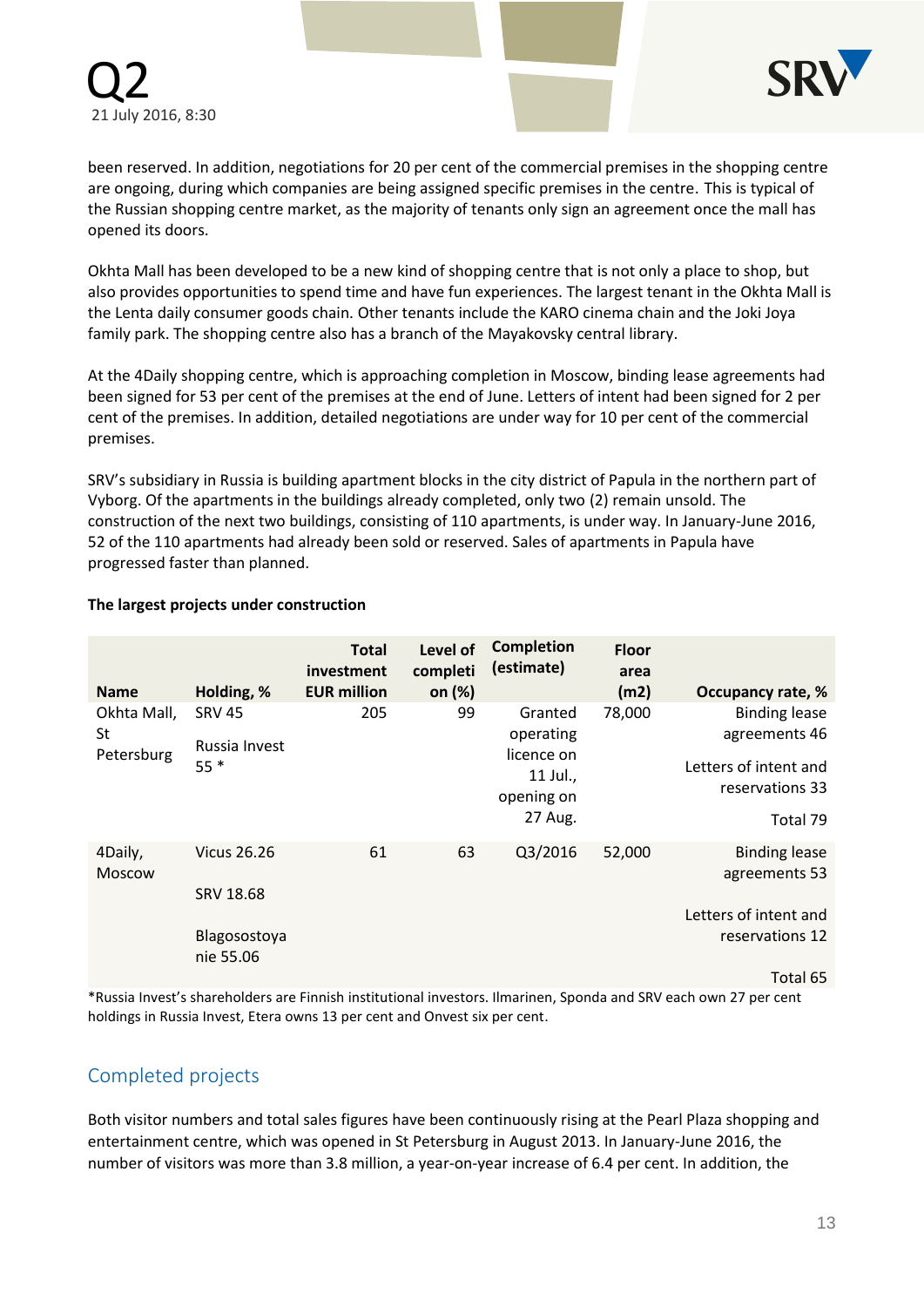

been reserved. In addition, negotiations for 20 per cent of the commercial premises in the shopping centre are ongoing, during which companies are being assigned specific premises in the centre. This is typical of the Russian shopping centre market, as the majority of tenants only sign an agreement once the mall has opened its doors.

Okhta Mall has been developed to be a new kind of shopping centre that is not only a place to shop, but also provides opportunities to spend time and have fun experiences. The largest tenant in the Okhta Mall is the Lenta daily consumer goods chain. Other tenants include the KARO cinema chain and the Joki Joya family park. The shopping centre also has a branch of the Mayakovsky central library.

At the 4Daily shopping centre, which is approaching completion in Moscow, binding lease agreements had been signed for 53 per cent of the premises at the end of June. Letters of intent had been signed for 2 per cent of the premises. In addition, detailed negotiations are under way for 10 per cent of the commercial premises.

SRV's subsidiary in Russia is building apartment blocks in the city district of Papula in the northern part of Vyborg. Of the apartments in the buildings already completed, only two (2) remain unsold. The construction of the next two buildings, consisting of 110 apartments, is under way. In January-June 2016, 52 of the 110 apartments had already been sold or reserved. Sales of apartments in Papula have progressed faster than planned.

| <b>Name</b>      | Holding, %                | <b>Total</b><br>investment<br><b>EUR million</b> | Level of<br>completi<br>on (%) | <b>Completion</b><br>(estimate) | <b>Floor</b><br>area<br>(m2) | Occupancy rate, %     |
|------------------|---------------------------|--------------------------------------------------|--------------------------------|---------------------------------|------------------------------|-----------------------|
| Okhta Mall,      | <b>SRV 45</b>             | 205                                              | 99                             | Granted                         | 78,000                       | <b>Binding lease</b>  |
| St<br>Petersburg | Russia Invest             |                                                  |                                | operating<br>licence on         | 11 Jul.,                     | agreements 46         |
|                  | $55*$                     |                                                  |                                |                                 |                              | Letters of intent and |
|                  |                           |                                                  |                                | opening on                      |                              | reservations 33       |
|                  |                           |                                                  |                                | 27 Aug.                         |                              | Total 79              |
| 4Daily,          | <b>Vicus 26.26</b>        | 61                                               | 63                             | Q3/2016                         | 52,000                       | <b>Binding lease</b>  |
| <b>Moscow</b>    |                           |                                                  |                                |                                 |                              | agreements 53         |
|                  | SRV 18.68                 |                                                  |                                |                                 |                              | Letters of intent and |
|                  |                           |                                                  |                                |                                 |                              |                       |
|                  | Blagosostoya<br>nie 55.06 |                                                  |                                |                                 |                              | reservations 12       |

#### **The largest projects under construction**

Total 65

\*Russia Invest's shareholders are Finnish institutional investors. Ilmarinen, Sponda and SRV each own 27 per cent holdings in Russia Invest, Etera owns 13 per cent and Onvest six per cent.

## Completed projects

Both visitor numbers and total sales figures have been continuously rising at the Pearl Plaza shopping and entertainment centre, which was opened in St Petersburg in August 2013. In January-June 2016, the number of visitors was more than 3.8 million, a year-on-year increase of 6.4 per cent. In addition, the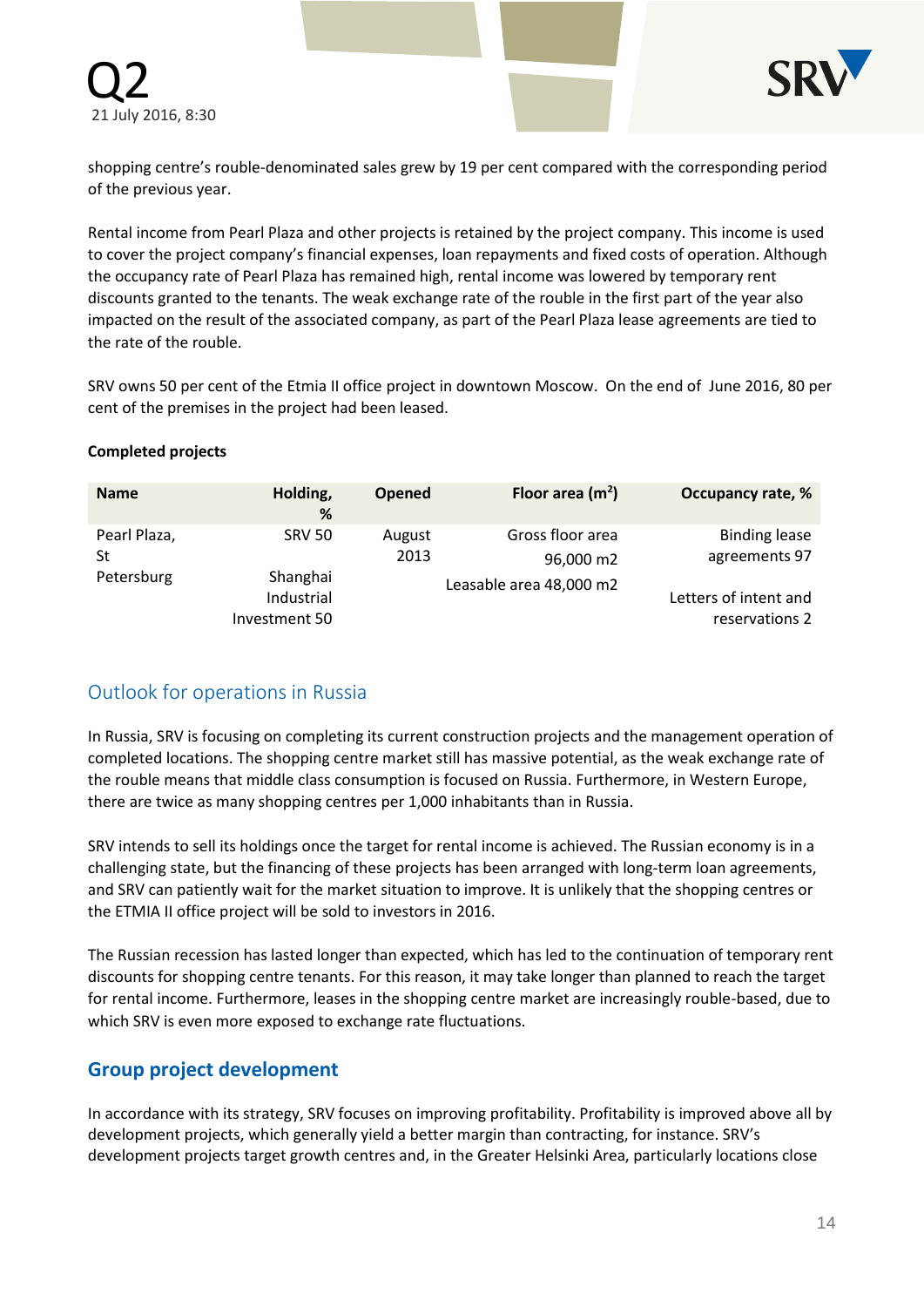



shopping centre's rouble-denominated sales grew by 19 per cent compared with the corresponding period of the previous year.

Rental income from Pearl Plaza and other projects is retained by the project company. This income is used to cover the project company's financial expenses, loan repayments and fixed costs of operation. Although the occupancy rate of Pearl Plaza has remained high, rental income was lowered by temporary rent discounts granted to the tenants. The weak exchange rate of the rouble in the first part of the year also impacted on the result of the associated company, as part of the Pearl Plaza lease agreements are tied to the rate of the rouble.

SRV owns 50 per cent of the Etmia II office project in downtown Moscow. On the end of June 2016, 80 per cent of the premises in the project had been leased.

#### **Completed projects**

| <b>Name</b>                      | Holding,<br>%               | <b>Opened</b>  | Floor area $(m2)$                                        | Occupancy rate, %                       |
|----------------------------------|-----------------------------|----------------|----------------------------------------------------------|-----------------------------------------|
| Pearl Plaza,<br>St<br>Petersburg | <b>SRV 50</b><br>Shanghai   | August<br>2013 | Gross floor area<br>96,000 m2<br>Leasable area 48,000 m2 | <b>Binding lease</b><br>agreements 97   |
|                                  | Industrial<br>Investment 50 |                |                                                          | Letters of intent and<br>reservations 2 |

## Outlook for operations in Russia

In Russia, SRV is focusing on completing its current construction projects and the management operation of completed locations. The shopping centre market still has massive potential, as the weak exchange rate of the rouble means that middle class consumption is focused on Russia. Furthermore, in Western Europe, there are twice as many shopping centres per 1,000 inhabitants than in Russia.

SRV intends to sell its holdings once the target for rental income is achieved. The Russian economy is in a challenging state, but the financing of these projects has been arranged with long-term loan agreements, and SRV can patiently wait for the market situation to improve. It is unlikely that the shopping centres or the ETMIA II office project will be sold to investors in 2016.

The Russian recession has lasted longer than expected, which has led to the continuation of temporary rent discounts for shopping centre tenants. For this reason, it may take longer than planned to reach the target for rental income. Furthermore, leases in the shopping centre market are increasingly rouble-based, due to which SRV is even more exposed to exchange rate fluctuations.

### **Group project development**

In accordance with its strategy, SRV focuses on improving profitability. Profitability is improved above all by development projects, which generally yield a better margin than contracting, for instance. SRV's development projects target growth centres and, in the Greater Helsinki Area, particularly locations close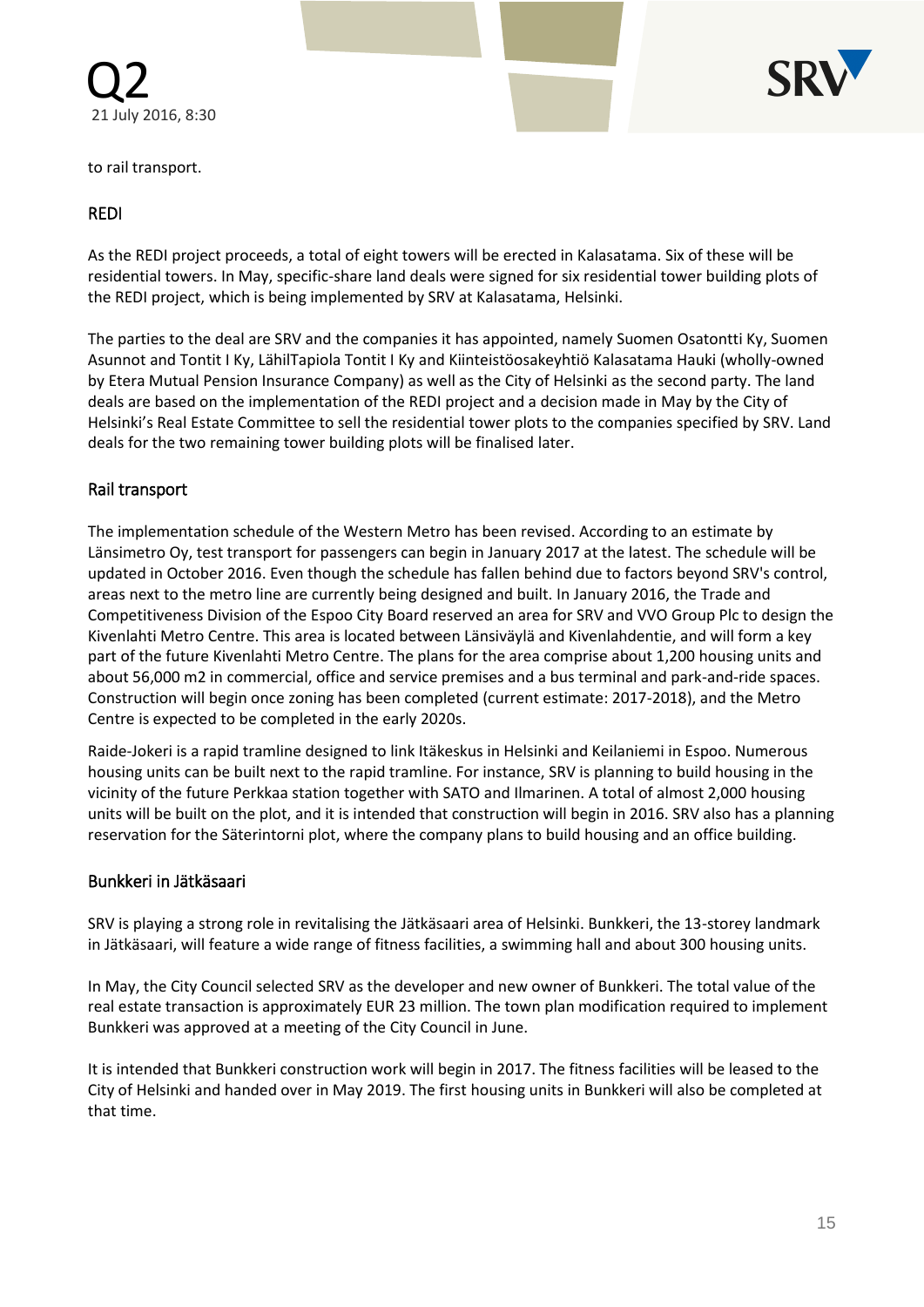



to rail transport.

### REDI

As the REDI project proceeds, a total of eight towers will be erected in Kalasatama. Six of these will be residential towers. In May, specific-share land deals were signed for six residential tower building plots of the REDI project, which is being implemented by SRV at Kalasatama, Helsinki.

The parties to the deal are SRV and the companies it has appointed, namely Suomen Osatontti Ky, Suomen Asunnot and Tontit I Ky, LähilTapiola Tontit I Ky and Kiinteistöosakeyhtiö Kalasatama Hauki (wholly-owned by Etera Mutual Pension Insurance Company) as well as the City of Helsinki as the second party. The land deals are based on the implementation of the REDI project and a decision made in May by the City of Helsinki's Real Estate Committee to sell the residential tower plots to the companies specified by SRV. Land deals for the two remaining tower building plots will be finalised later.

### Rail transport

The implementation schedule of the Western Metro has been revised. According to an estimate by Länsimetro Oy, test transport for passengers can begin in January 2017 at the latest. The schedule will be updated in October 2016. Even though the schedule has fallen behind due to factors beyond SRV's control, areas next to the metro line are currently being designed and built. In January 2016, the Trade and Competitiveness Division of the Espoo City Board reserved an area for SRV and VVO Group Plc to design the Kivenlahti Metro Centre. This area is located between Länsiväylä and Kivenlahdentie, and will form a key part of the future Kivenlahti Metro Centre. The plans for the area comprise about 1,200 housing units and about 56,000 m2 in commercial, office and service premises and a bus terminal and park-and-ride spaces. Construction will begin once zoning has been completed (current estimate: 2017-2018), and the Metro Centre is expected to be completed in the early 2020s.

Raide-Jokeri is a rapid tramline designed to link Itäkeskus in Helsinki and Keilaniemi in Espoo. Numerous housing units can be built next to the rapid tramline. For instance, SRV is planning to build housing in the vicinity of the future Perkkaa station together with SATO and Ilmarinen. A total of almost 2,000 housing units will be built on the plot, and it is intended that construction will begin in 2016. SRV also has a planning reservation for the Säterintorni plot, where the company plans to build housing and an office building.

### Bunkkeri in Jätkäsaari

SRV is playing a strong role in revitalising the Jätkäsaari area of Helsinki. Bunkkeri, the 13-storey landmark in Jätkäsaari, will feature a wide range of fitness facilities, a swimming hall and about 300 housing units.

In May, the City Council selected SRV as the developer and new owner of Bunkkeri. The total value of the real estate transaction is approximately EUR 23 million. The town plan modification required to implement Bunkkeri was approved at a meeting of the City Council in June.

It is intended that Bunkkeri construction work will begin in 2017. The fitness facilities will be leased to the City of Helsinki and handed over in May 2019. The first housing units in Bunkkeri will also be completed at that time.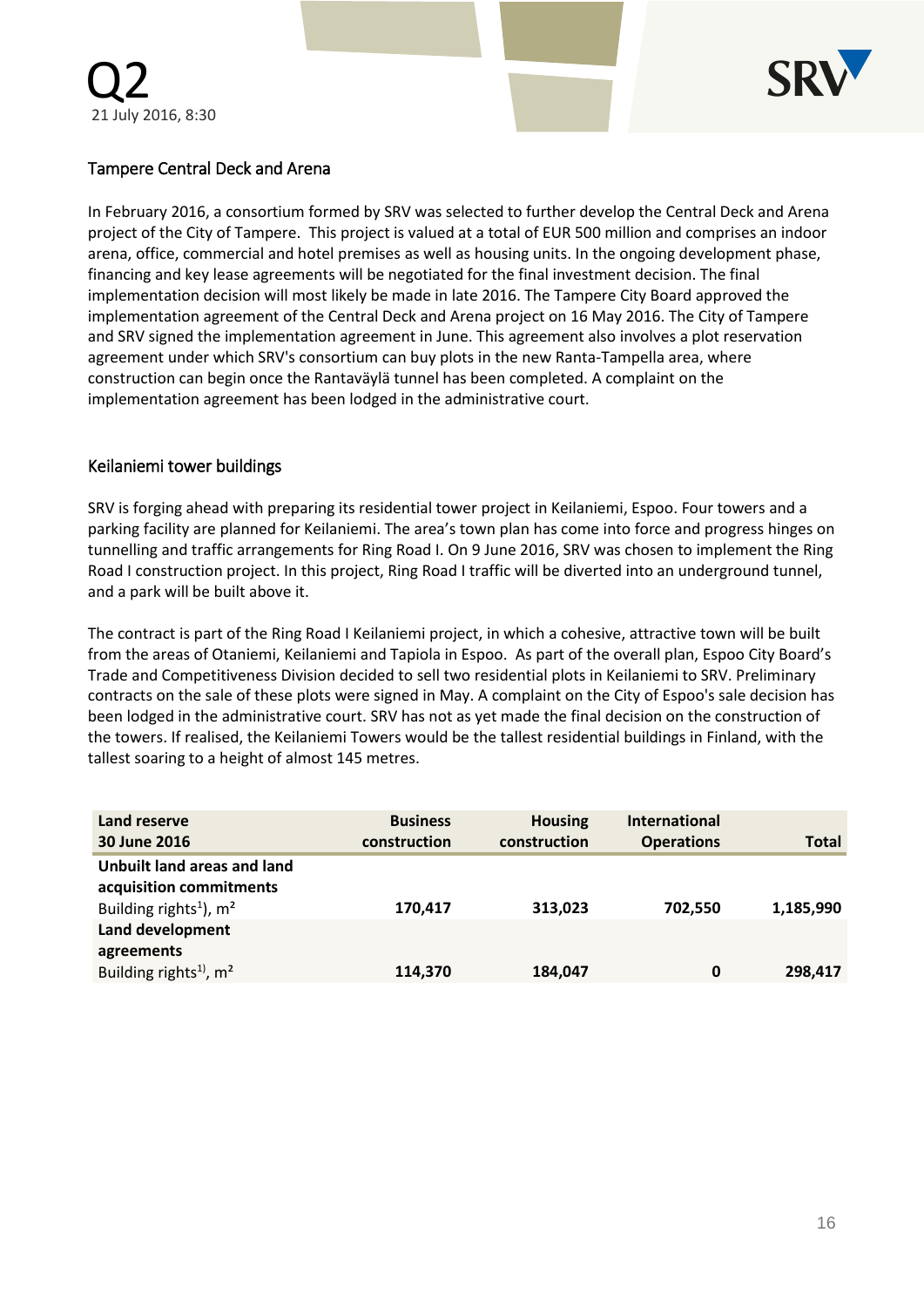

### Tampere Central Deck and Arena

In February 2016, a consortium formed by SRV was selected to further develop the Central Deck and Arena project of the City of Tampere. This project is valued at a total of EUR 500 million and comprises an indoor arena, office, commercial and hotel premises as well as housing units. In the ongoing development phase, financing and key lease agreements will be negotiated for the final investment decision. The final implementation decision will most likely be made in late 2016. The Tampere City Board approved the implementation agreement of the Central Deck and Arena project on 16 May 2016. The City of Tampere and SRV signed the implementation agreement in June. This agreement also involves a plot reservation agreement under which SRV's consortium can buy plots in the new Ranta-Tampella area, where construction can begin once the Rantaväylä tunnel has been completed. A complaint on the implementation agreement has been lodged in the administrative court.

### Keilaniemi tower buildings

SRV is forging ahead with preparing its residential tower project in Keilaniemi, Espoo. Four towers and a parking facility are planned for Keilaniemi. The area's town plan has come into force and progress hinges on tunnelling and traffic arrangements for Ring Road I. On 9 June 2016, SRV was chosen to implement the Ring Road I construction project. In this project, Ring Road I traffic will be diverted into an underground tunnel, and a park will be built above it.

The contract is part of the Ring Road I Keilaniemi project, in which a cohesive, attractive town will be built from the areas of Otaniemi, Keilaniemi and Tapiola in Espoo. As part of the overall plan, Espoo City Board's Trade and Competitiveness Division decided to sell two residential plots in Keilaniemi to SRV. Preliminary contracts on the sale of these plots were signed in May. A complaint on the City of Espoo's sale decision has been lodged in the administrative court. SRV has not as yet made the final decision on the construction of the towers. If realised, the Keilaniemi Towers would be the tallest residential buildings in Finland, with the tallest soaring to a height of almost 145 metres.

| Land reserve<br>30 June 2016                           | <b>Business</b><br>construction | <b>Housing</b><br>construction | <b>International</b><br><b>Operations</b> | <b>Total</b> |
|--------------------------------------------------------|---------------------------------|--------------------------------|-------------------------------------------|--------------|
| Unbuilt land areas and land<br>acquisition commitments |                                 |                                |                                           |              |
| Building rights <sup>1</sup> ), $m2$                   | 170,417                         | 313,023                        | 702,550                                   | 1,185,990    |
| Land development<br>agreements                         |                                 |                                |                                           |              |
| Building rights <sup>1)</sup> , m <sup>2</sup>         | 114,370                         | 184,047                        | 0                                         | 298,417      |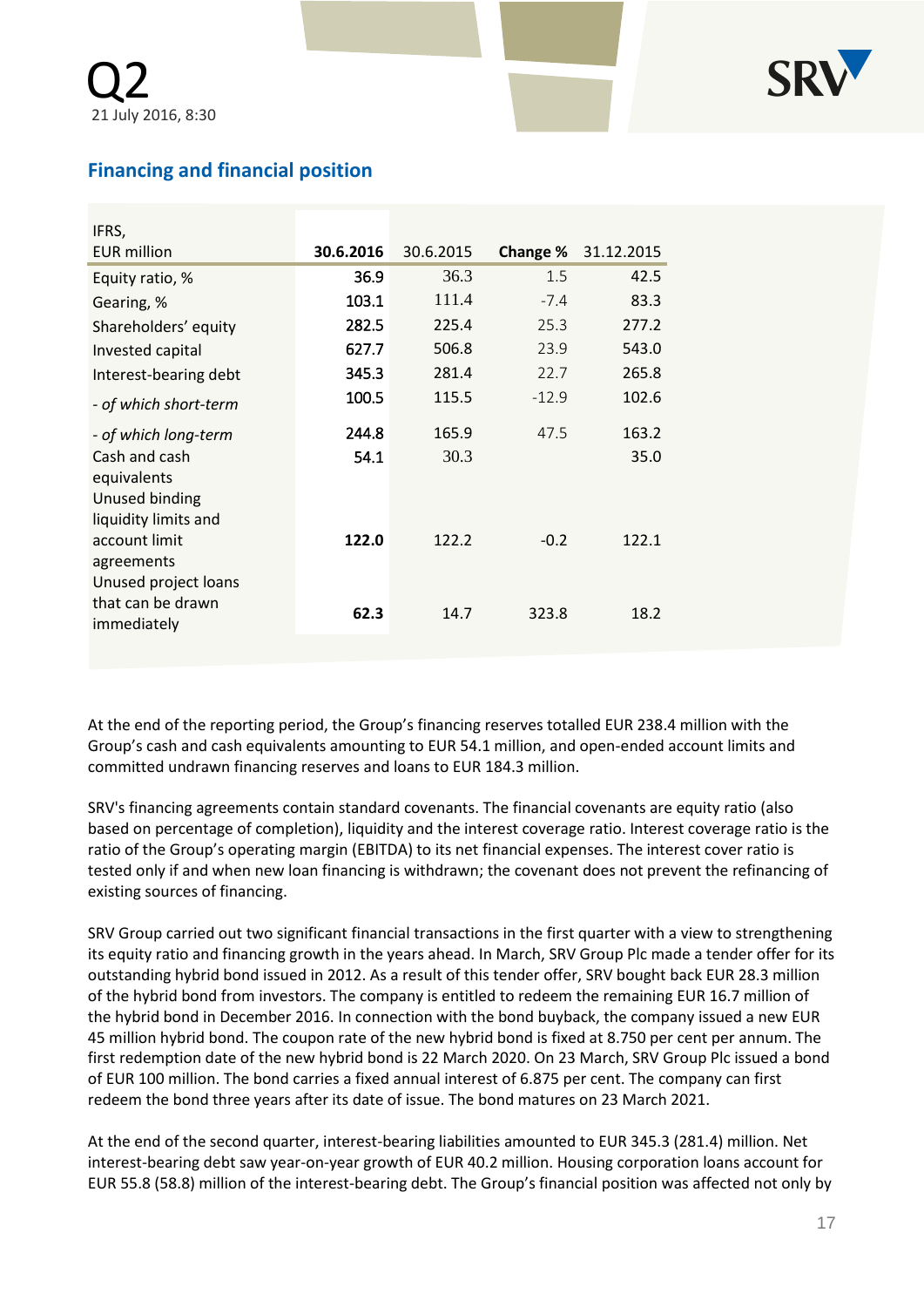

# **Financing and financial position**

| IFRS,                              |           |           |          |            |
|------------------------------------|-----------|-----------|----------|------------|
| <b>EUR million</b>                 | 30.6.2016 | 30.6.2015 | Change % | 31.12.2015 |
| Equity ratio, %                    | 36.9      | 36.3      | 1.5      | 42.5       |
| Gearing, %                         | 103.1     | 111.4     | $-7.4$   | 83.3       |
| Shareholders' equity               | 282.5     | 225.4     | 25.3     | 277.2      |
| Invested capital                   | 627.7     | 506.8     | 23.9     | 543.0      |
| Interest-bearing debt              | 345.3     | 281.4     | 22.7     | 265.8      |
| - of which short-term              | 100.5     | 115.5     | $-12.9$  | 102.6      |
| - of which long-term               | 244.8     | 165.9     | 47.5     | 163.2      |
| Cash and cash<br>equivalents       | 54.1      | 30.3      |          | 35.0       |
| Unused binding                     |           |           |          |            |
| liquidity limits and               |           |           |          |            |
| account limit                      | 122.0     | 122.2     | $-0.2$   | 122.1      |
| agreements<br>Unused project loans |           |           |          |            |
| that can be drawn<br>immediately   | 62.3      | 14.7      | 323.8    | 18.2       |
|                                    |           |           |          |            |

At the end of the reporting period, the Group's financing reserves totalled EUR 238.4 million with the Group's cash and cash equivalents amounting to EUR 54.1 million, and open-ended account limits and committed undrawn financing reserves and loans to EUR 184.3 million.

SRV's financing agreements contain standard covenants. The financial covenants are equity ratio (also based on percentage of completion), liquidity and the interest coverage ratio. Interest coverage ratio is the ratio of the Group's operating margin (EBITDA) to its net financial expenses. The interest cover ratio is tested only if and when new loan financing is withdrawn; the covenant does not prevent the refinancing of existing sources of financing.

SRV Group carried out two significant financial transactions in the first quarter with a view to strengthening its equity ratio and financing growth in the years ahead. In March, SRV Group Plc made a tender offer for its outstanding hybrid bond issued in 2012. As a result of this tender offer, SRV bought back EUR 28.3 million of the hybrid bond from investors. The company is entitled to redeem the remaining EUR 16.7 million of the hybrid bond in December 2016. In connection with the bond buyback, the company issued a new EUR 45 million hybrid bond. The coupon rate of the new hybrid bond is fixed at 8.750 per cent per annum. The first redemption date of the new hybrid bond is 22 March 2020. On 23 March, SRV Group Plc issued a bond of EUR 100 million. The bond carries a fixed annual interest of 6.875 per cent. The company can first redeem the bond three years after its date of issue. The bond matures on 23 March 2021.

At the end of the second quarter, interest-bearing liabilities amounted to EUR 345.3 (281.4) million. Net interest-bearing debt saw year-on-year growth of EUR 40.2 million. Housing corporation loans account for EUR 55.8 (58.8) million of the interest-bearing debt. The Group's financial position was affected not only by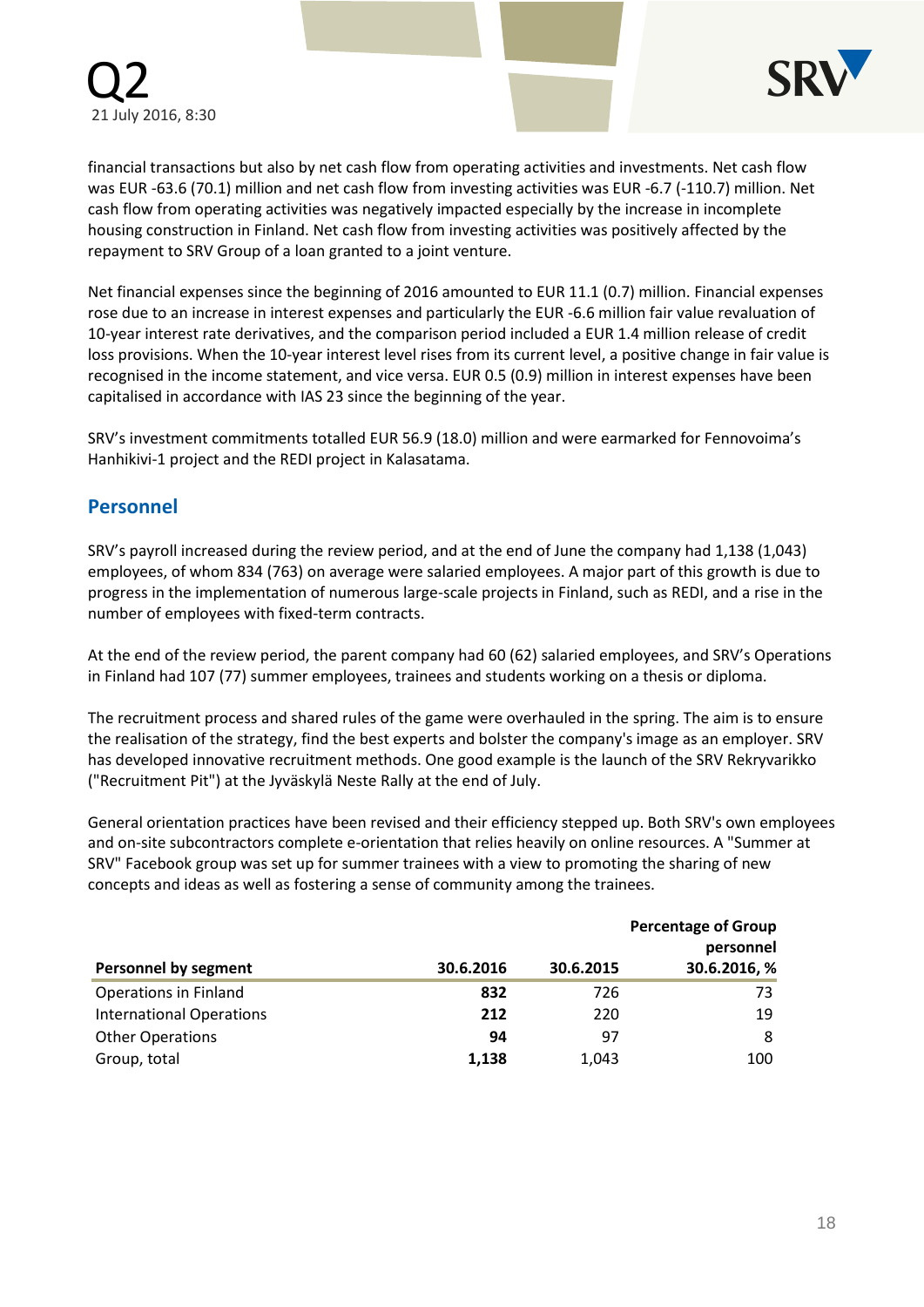



financial transactions but also by net cash flow from operating activities and investments. Net cash flow was EUR -63.6 (70.1) million and net cash flow from investing activities was EUR -6.7 (-110.7) million. Net cash flow from operating activities was negatively impacted especially by the increase in incomplete housing construction in Finland. Net cash flow from investing activities was positively affected by the repayment to SRV Group of a loan granted to a joint venture.

Net financial expenses since the beginning of 2016 amounted to EUR 11.1 (0.7) million. Financial expenses rose due to an increase in interest expenses and particularly the EUR -6.6 million fair value revaluation of 10-year interest rate derivatives, and the comparison period included a EUR 1.4 million release of credit loss provisions. When the 10-year interest level rises from its current level, a positive change in fair value is recognised in the income statement, and vice versa. EUR 0.5 (0.9) million in interest expenses have been capitalised in accordance with IAS 23 since the beginning of the year.

SRV's investment commitments totalled EUR 56.9 (18.0) million and were earmarked for Fennovoima's Hanhikivi-1 project and the REDI project in Kalasatama.

### **Personnel**

SRV's payroll increased during the review period, and at the end of June the company had 1,138 (1,043) employees, of whom 834 (763) on average were salaried employees. A major part of this growth is due to progress in the implementation of numerous large-scale projects in Finland, such as REDI, and a rise in the number of employees with fixed-term contracts.

At the end of the review period, the parent company had 60 (62) salaried employees, and SRV's Operations in Finland had 107 (77) summer employees, trainees and students working on a thesis or diploma.

The recruitment process and shared rules of the game were overhauled in the spring. The aim is to ensure the realisation of the strategy, find the best experts and bolster the company's image as an employer. SRV has developed innovative recruitment methods. One good example is the launch of the SRV Rekryvarikko ("Recruitment Pit") at the Jyväskylä Neste Rally at the end of July.

General orientation practices have been revised and their efficiency stepped up. Both SRV's own employees and on-site subcontractors complete e-orientation that relies heavily on online resources. A "Summer at SRV" Facebook group was set up for summer trainees with a view to promoting the sharing of new concepts and ideas as well as fostering a sense of community among the trainees.

|                                 |           |           | <b>Percentage of Group</b><br>personnel |
|---------------------------------|-----------|-----------|-----------------------------------------|
| <b>Personnel by segment</b>     | 30.6.2016 | 30.6.2015 | 30.6.2016, %                            |
| <b>Operations in Finland</b>    | 832       | 726       | 73                                      |
| <b>International Operations</b> | 212       | 220       | 19                                      |
| <b>Other Operations</b>         | 94        | 97        | 8                                       |
| Group, total                    | 1,138     | 1,043     | 100                                     |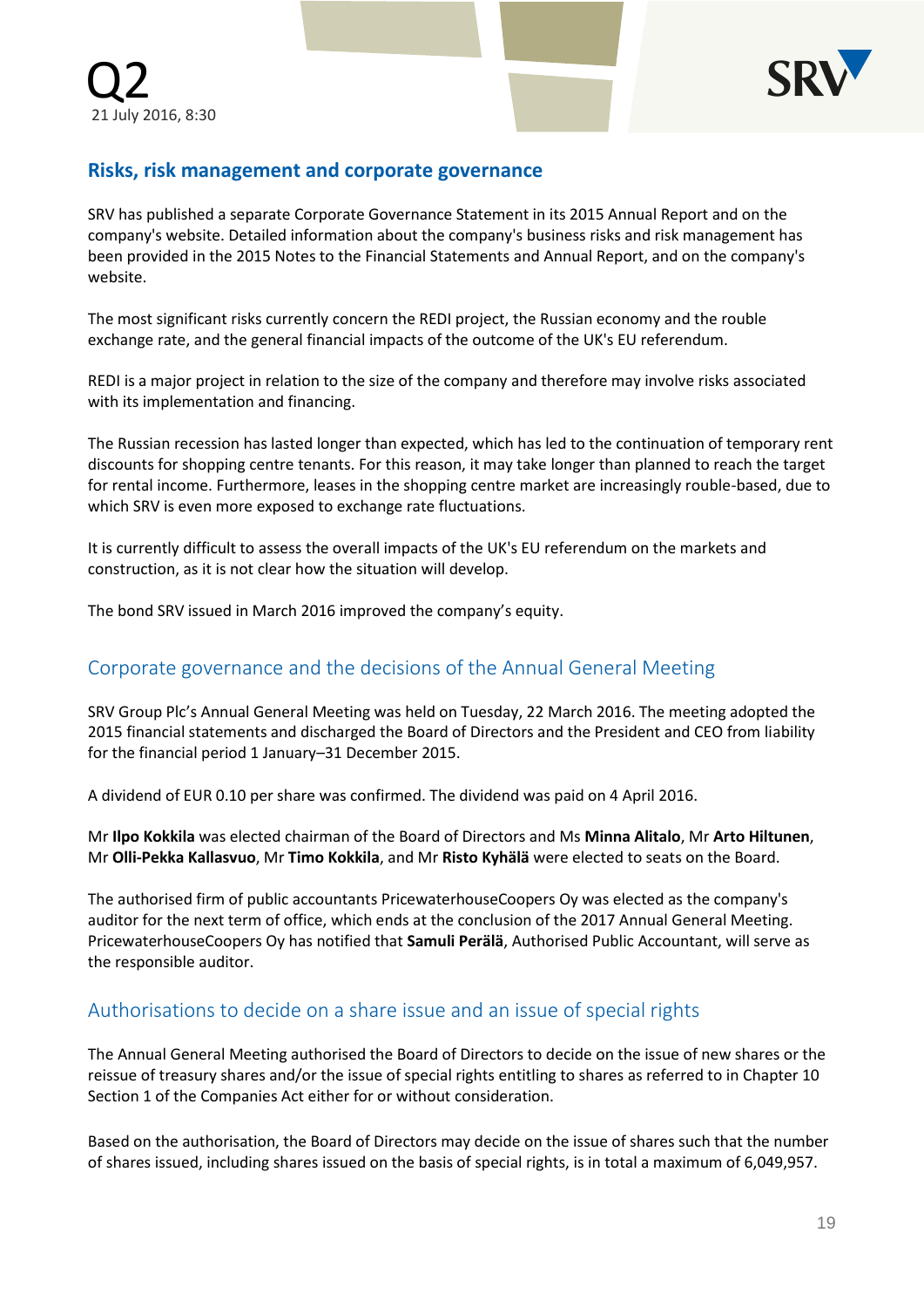

# **Risks, risk management and corporate governance**

SRV has published a separate Corporate Governance Statement in its 2015 Annual Report and on the company's website. Detailed information about the company's business risks and risk management has been provided in the 2015 Notes to the Financial Statements and Annual Report, and on the company's website.

The most significant risks currently concern the REDI project, the Russian economy and the rouble exchange rate, and the general financial impacts of the outcome of the UK's EU referendum.

REDI is a major project in relation to the size of the company and therefore may involve risks associated with its implementation and financing.

The Russian recession has lasted longer than expected, which has led to the continuation of temporary rent discounts for shopping centre tenants. For this reason, it may take longer than planned to reach the target for rental income. Furthermore, leases in the shopping centre market are increasingly rouble-based, due to which SRV is even more exposed to exchange rate fluctuations.

It is currently difficult to assess the overall impacts of the UK's EU referendum on the markets and construction, as it is not clear how the situation will develop.

The bond SRV issued in March 2016 improved the company's equity.

## Corporate governance and the decisions of the Annual General Meeting

SRV Group Plc's Annual General Meeting was held on Tuesday, 22 March 2016. The meeting adopted the 2015 financial statements and discharged the Board of Directors and the President and CEO from liability for the financial period 1 January–31 December 2015.

A dividend of EUR 0.10 per share was confirmed. The dividend was paid on 4 April 2016.

Mr **Ilpo Kokkila** was elected chairman of the Board of Directors and Ms **Minna Alitalo**, Mr **Arto Hiltunen**, Mr **Olli-Pekka Kallasvuo**, Mr **Timo Kokkila**, and Mr **Risto Kyhälä** were elected to seats on the Board.

The authorised firm of public accountants PricewaterhouseCoopers Oy was elected as the company's auditor for the next term of office, which ends at the conclusion of the 2017 Annual General Meeting. PricewaterhouseCoopers Oy has notified that **Samuli Perälä**, Authorised Public Accountant, will serve as the responsible auditor.

## Authorisations to decide on a share issue and an issue of special rights

The Annual General Meeting authorised the Board of Directors to decide on the issue of new shares or the reissue of treasury shares and/or the issue of special rights entitling to shares as referred to in Chapter 10 Section 1 of the Companies Act either for or without consideration.

Based on the authorisation, the Board of Directors may decide on the issue of shares such that the number of shares issued, including shares issued on the basis of special rights, is in total a maximum of 6,049,957.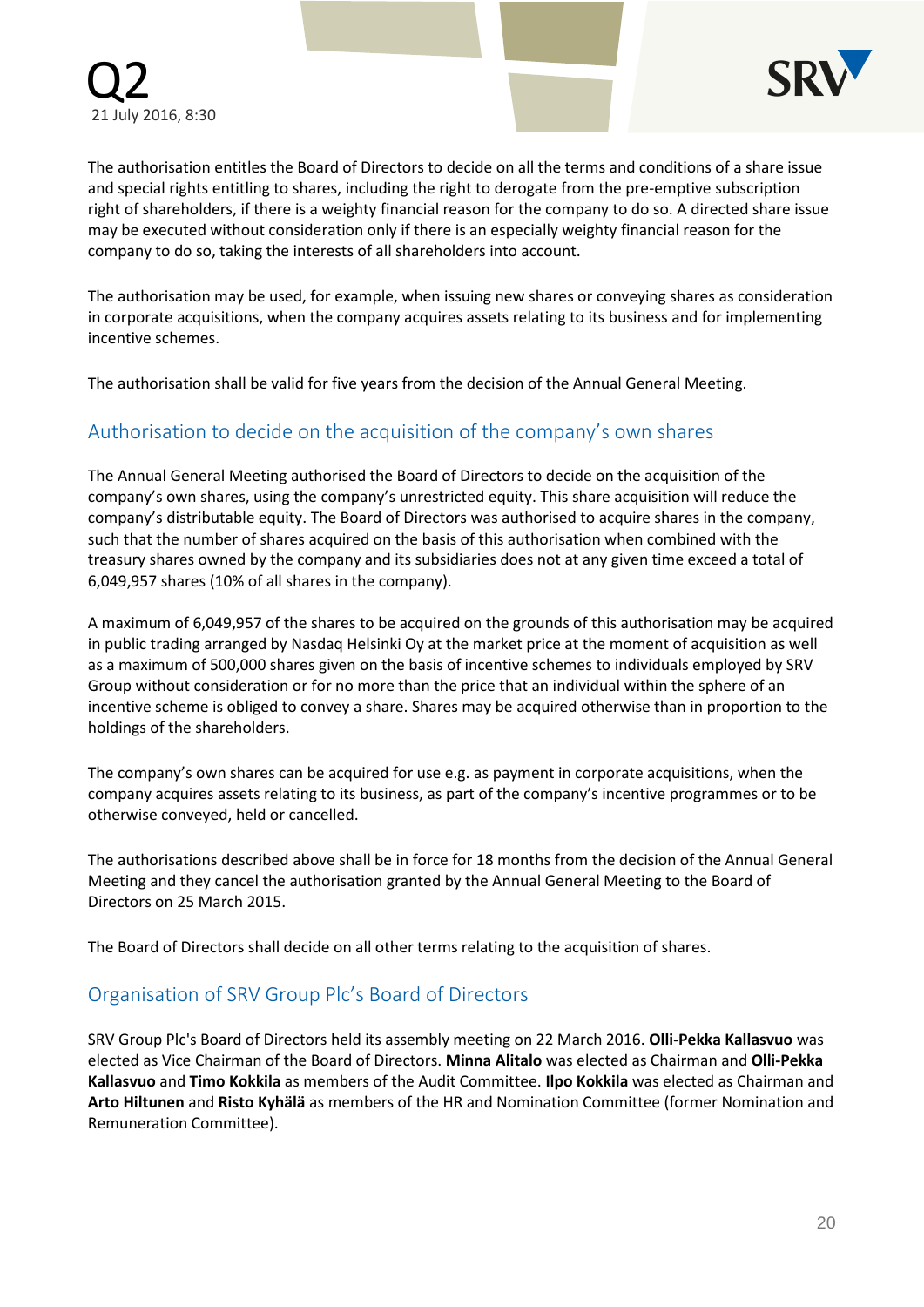

The authorisation entitles the Board of Directors to decide on all the terms and conditions of a share issue and special rights entitling to shares, including the right to derogate from the pre-emptive subscription right of shareholders, if there is a weighty financial reason for the company to do so. A directed share issue may be executed without consideration only if there is an especially weighty financial reason for the company to do so, taking the interests of all shareholders into account.

The authorisation may be used, for example, when issuing new shares or conveying shares as consideration in corporate acquisitions, when the company acquires assets relating to its business and for implementing incentive schemes.

The authorisation shall be valid for five years from the decision of the Annual General Meeting.

## Authorisation to decide on the acquisition of the company's own shares

The Annual General Meeting authorised the Board of Directors to decide on the acquisition of the company's own shares, using the company's unrestricted equity. This share acquisition will reduce the company's distributable equity. The Board of Directors was authorised to acquire shares in the company, such that the number of shares acquired on the basis of this authorisation when combined with the treasury shares owned by the company and its subsidiaries does not at any given time exceed a total of 6,049,957 shares (10% of all shares in the company).

A maximum of 6,049,957 of the shares to be acquired on the grounds of this authorisation may be acquired in public trading arranged by Nasdaq Helsinki Oy at the market price at the moment of acquisition as well as a maximum of 500,000 shares given on the basis of incentive schemes to individuals employed by SRV Group without consideration or for no more than the price that an individual within the sphere of an incentive scheme is obliged to convey a share. Shares may be acquired otherwise than in proportion to the holdings of the shareholders.

The company's own shares can be acquired for use e.g. as payment in corporate acquisitions, when the company acquires assets relating to its business, as part of the company's incentive programmes or to be otherwise conveyed, held or cancelled.

The authorisations described above shall be in force for 18 months from the decision of the Annual General Meeting and they cancel the authorisation granted by the Annual General Meeting to the Board of Directors on 25 March 2015.

The Board of Directors shall decide on all other terms relating to the acquisition of shares.

# Organisation of SRV Group Plc's Board of Directors

SRV Group Plc's Board of Directors held its assembly meeting on 22 March 2016. **Olli-Pekka Kallasvuo** was elected as Vice Chairman of the Board of Directors. **Minna Alitalo** was elected as Chairman and **Olli-Pekka Kallasvuo** and **Timo Kokkila** as members of the Audit Committee. **Ilpo Kokkila** was elected as Chairman and **Arto Hiltunen** and **Risto Kyhälä** as members of the HR and Nomination Committee (former Nomination and Remuneration Committee).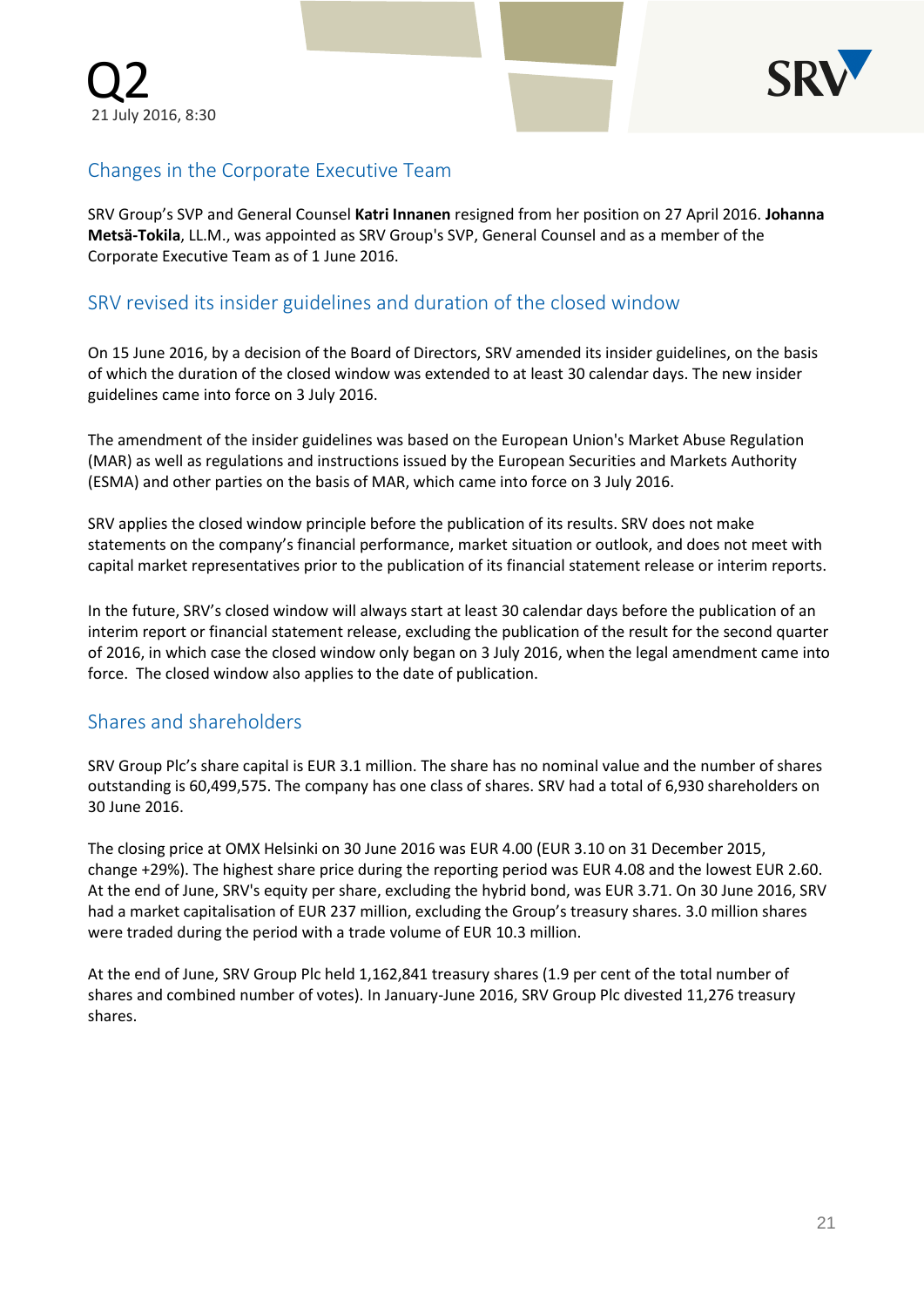

# Changes in the Corporate Executive Team

SRV Group's SVP and General Counsel **Katri Innanen** resigned from her position on 27 April 2016. **Johanna Metsä-Tokila**, LL.M., was appointed as SRV Group's SVP, General Counsel and as a member of the Corporate Executive Team as of 1 June 2016.

# SRV revised its insider guidelines and duration of the closed window

On 15 June 2016, by a decision of the Board of Directors, SRV amended its insider guidelines, on the basis of which the duration of the closed window was extended to at least 30 calendar days. The new insider guidelines came into force on 3 July 2016.

The amendment of the insider guidelines was based on the European Union's Market Abuse Regulation (MAR) as well as regulations and instructions issued by the European Securities and Markets Authority (ESMA) and other parties on the basis of MAR, which came into force on 3 July 2016.

SRV applies the closed window principle before the publication of its results. SRV does not make statements on the company's financial performance, market situation or outlook, and does not meet with capital market representatives prior to the publication of its financial statement release or interim reports.

In the future, SRV's closed window will always start at least 30 calendar days before the publication of an interim report or financial statement release, excluding the publication of the result for the second quarter of 2016, in which case the closed window only began on 3 July 2016, when the legal amendment came into force. The closed window also applies to the date of publication.

# Shares and shareholders

SRV Group Plc's share capital is EUR 3.1 million. The share has no nominal value and the number of shares outstanding is 60,499,575. The company has one class of shares. SRV had a total of 6,930 shareholders on 30 June 2016.

The closing price at OMX Helsinki on 30 June 2016 was EUR 4.00 (EUR 3.10 on 31 December 2015, change +29%). The highest share price during the reporting period was EUR 4.08 and the lowest EUR 2.60. At the end of June, SRV's equity per share, excluding the hybrid bond, was EUR 3.71. On 30 June 2016, SRV had a market capitalisation of EUR 237 million, excluding the Group's treasury shares. 3.0 million shares were traded during the period with a trade volume of EUR 10.3 million.

At the end of June, SRV Group Plc held 1,162,841 treasury shares (1.9 per cent of the total number of shares and combined number of votes). In January-June 2016, SRV Group Plc divested 11,276 treasury shares.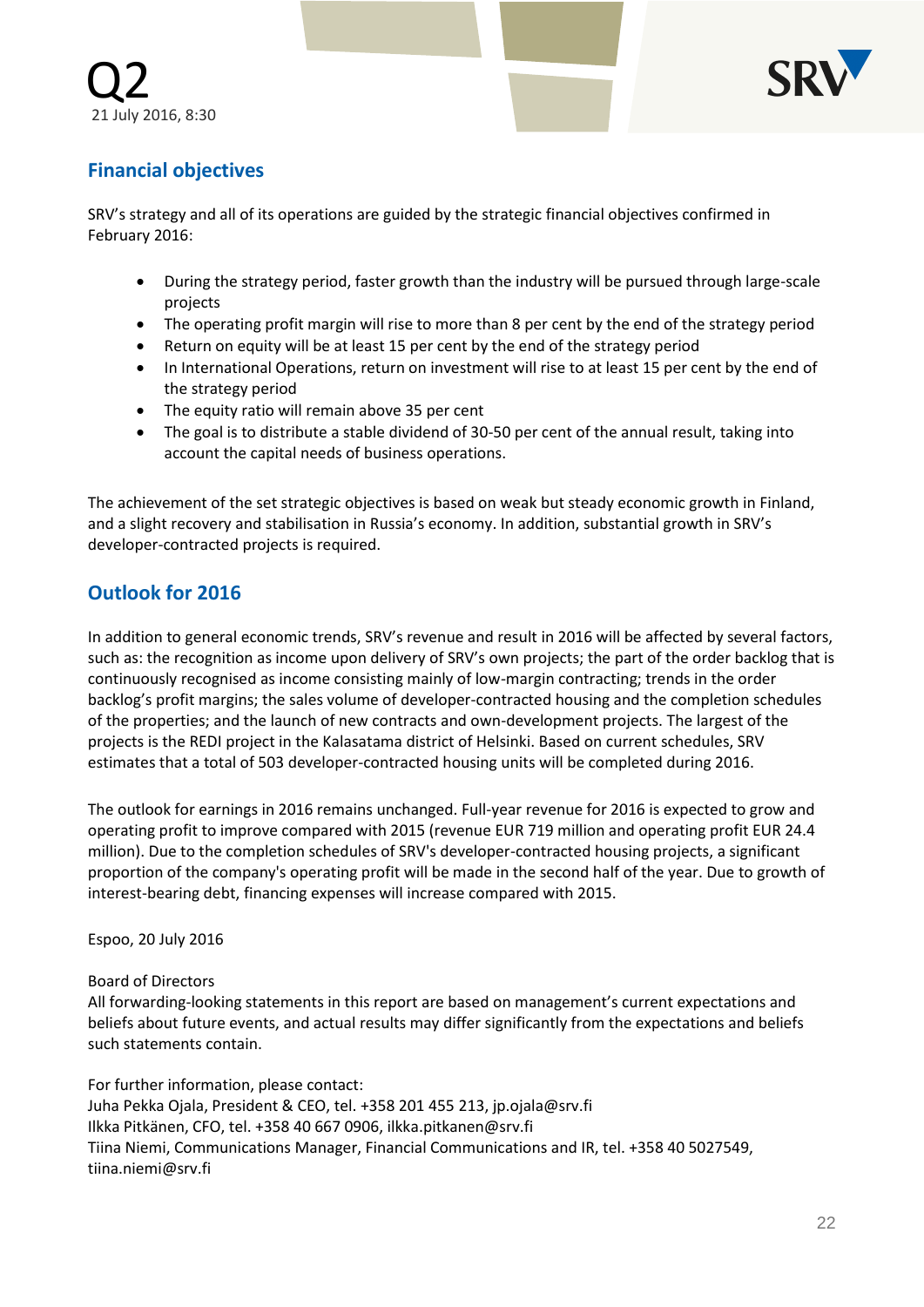

# **Financial objectives**

SRV's strategy and all of its operations are guided by the strategic financial objectives confirmed in February 2016:

- During the strategy period, faster growth than the industry will be pursued through large-scale projects
- The operating profit margin will rise to more than 8 per cent by the end of the strategy period
- Return on equity will be at least 15 per cent by the end of the strategy period
- In International Operations, return on investment will rise to at least 15 per cent by the end of the strategy period
- The equity ratio will remain above 35 per cent
- The goal is to distribute a stable dividend of 30-50 per cent of the annual result, taking into account the capital needs of business operations.

The achievement of the set strategic objectives is based on weak but steady economic growth in Finland, and a slight recovery and stabilisation in Russia's economy. In addition, substantial growth in SRV's developer-contracted projects is required.

# **Outlook for 2016**

In addition to general economic trends, SRV's revenue and result in 2016 will be affected by several factors, such as: the recognition as income upon delivery of SRV's own projects; the part of the order backlog that is continuously recognised as income consisting mainly of low-margin contracting; trends in the order backlog's profit margins; the sales volume of developer-contracted housing and the completion schedules of the properties; and the launch of new contracts and own-development projects. The largest of the projects is the REDI project in the Kalasatama district of Helsinki. Based on current schedules, SRV estimates that a total of 503 developer-contracted housing units will be completed during 2016.

The outlook for earnings in 2016 remains unchanged. Full-year revenue for 2016 is expected to grow and operating profit to improve compared with 2015 (revenue EUR 719 million and operating profit EUR 24.4 million). Due to the completion schedules of SRV's developer-contracted housing projects, a significant proportion of the company's operating profit will be made in the second half of the year. Due to growth of interest-bearing debt, financing expenses will increase compared with 2015.

Espoo, 20 July 2016

Board of Directors

All forwarding-looking statements in this report are based on management's current expectations and beliefs about future events, and actual results may differ significantly from the expectations and beliefs such statements contain.

For further information, please contact: Juha Pekka Ojala, President & CEO, tel. +358 201 455 213, jp.ojala@srv.fi Ilkka Pitkänen, CFO, tel. +358 40 667 0906, ilkka.pitkanen@srv.fi Tiina Niemi, Communications Manager, Financial Communications and IR, tel. +358 40 5027549, tiina.niemi@srv.fi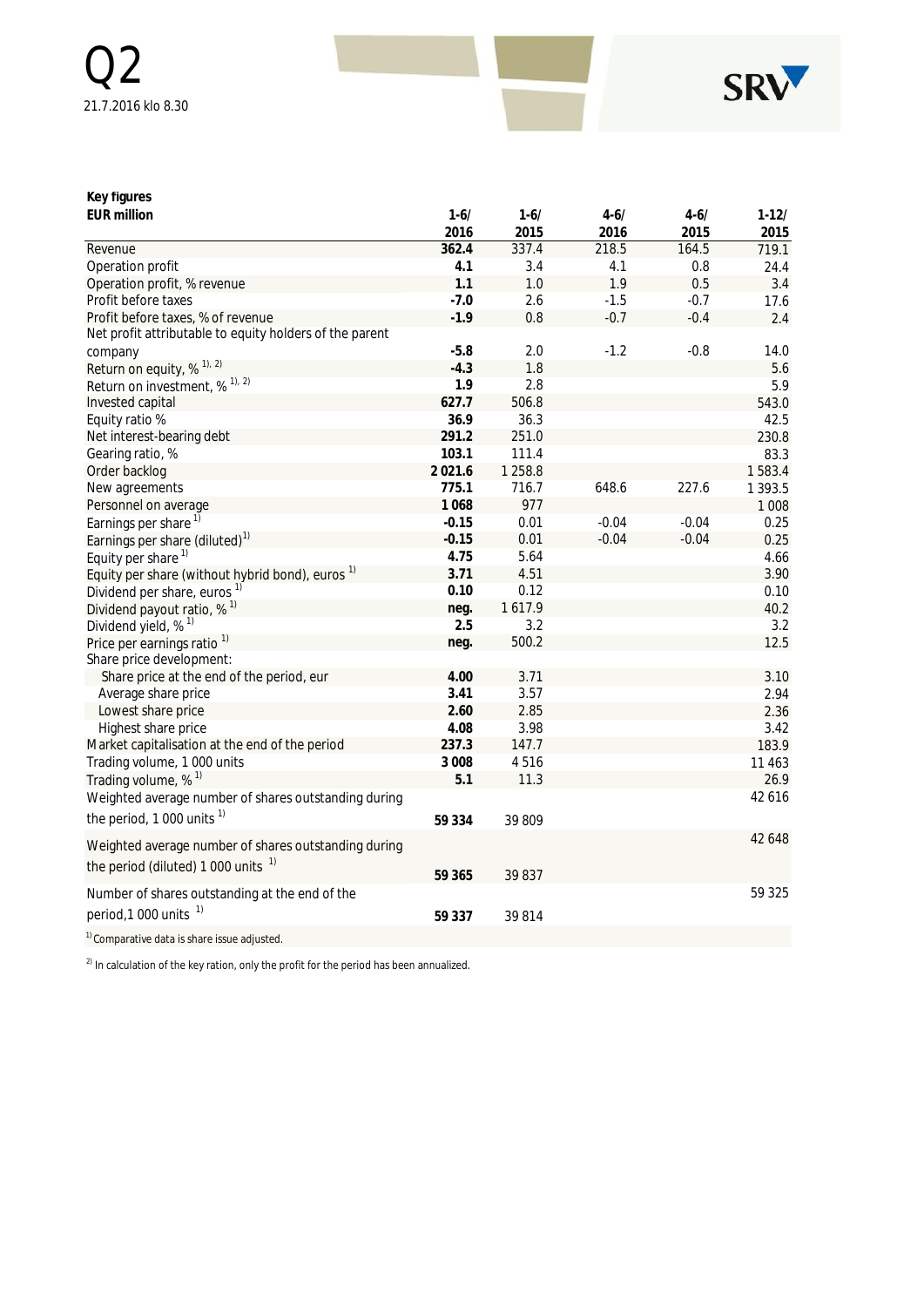

### **Key figures**

| <b>EUR million</b>                                                                           | $1 - 6/$ | $1 - 6/$  | $4 - 6/$ | $4 - 6/$ | $1-12/$ |
|----------------------------------------------------------------------------------------------|----------|-----------|----------|----------|---------|
|                                                                                              | 2016     | 2015      | 2016     | 2015     | 2015    |
| Revenue                                                                                      | 362.4    | 337.4     | 218.5    | 164.5    | 719.1   |
| Operation profit                                                                             | 4.1      | 3.4       | 4.1      | 0.8      | 24.4    |
| Operation profit, % revenue                                                                  | 1.1      | 1.0       | 1.9      | 0.5      | 3.4     |
| Profit before taxes                                                                          | $-7.0$   | 2.6       | $-1.5$   | $-0.7$   | 17.6    |
| Profit before taxes, % of revenue<br>Net profit attributable to equity holders of the parent | $-1.9$   | 0.8       | $-0.7$   | $-0.4$   | 2.4     |
| company                                                                                      | $-5.8$   | 2.0       | $-1.2$   | $-0.8$   | 14.0    |
| Return on equity, $\%$ <sup>1), 2)</sup>                                                     | $-4.3$   | 1.8       |          |          | 5.6     |
| Return on investment, % <sup>1), 2)</sup>                                                    | 1.9      | 2.8       |          |          | 5.9     |
| Invested capital                                                                             | 627.7    | 506.8     |          |          | 543.0   |
| Equity ratio %                                                                               | 36.9     | 36.3      |          |          | 42.5    |
| Net interest-bearing debt                                                                    | 291.2    | 251.0     |          |          | 230.8   |
| Gearing ratio, %                                                                             | 103.1    | 111.4     |          |          | 83.3    |
| Order backlog                                                                                | 2021.6   | 1 2 5 8.8 |          |          | 1583.4  |
| New agreements                                                                               | 775.1    | 716.7     | 648.6    | 227.6    | 1 393.5 |
| Personnel on average                                                                         | 1068     | 977       |          |          | 1 0 0 8 |
| Earnings per share <sup>1)</sup>                                                             | $-0.15$  | 0.01      | $-0.04$  | $-0.04$  | 0.25    |
| Earnings per share (diluted) <sup>1)</sup>                                                   | $-0.15$  | 0.01      | $-0.04$  | $-0.04$  | 0.25    |
| Equity per share <sup>1)</sup>                                                               | 4.75     | 5.64      |          |          | 4.66    |
| Equity per share (without hybrid bond), euros <sup>1)</sup>                                  | 3.71     | 4.51      |          |          | 3.90    |
| Dividend per share, euros <sup>1)</sup>                                                      | 0.10     | 0.12      |          |          | 0.10    |
| Dividend payout ratio, $%$ <sup>1)</sup>                                                     | neg.     | 1617.9    |          |          | 40.2    |
| Dividend yield, % <sup>1)</sup>                                                              | 2.5      | 3.2       |          |          | 3.2     |
| Price per earnings ratio <sup>1)</sup>                                                       | neg.     | 500.2     |          |          | 12.5    |
| Share price development:                                                                     |          |           |          |          |         |
| Share price at the end of the period, eur                                                    | 4.00     | 3.71      |          |          | 3.10    |
| Average share price                                                                          | 3.41     | 3.57      |          |          | 2.94    |
| Lowest share price                                                                           | 2.60     | 2.85      |          |          | 2.36    |
| Highest share price                                                                          | 4.08     | 3.98      |          |          | 3.42    |
| Market capitalisation at the end of the period                                               | 237.3    | 147.7     |          |          | 183.9   |
| Trading volume, 1 000 units                                                                  | 3 0 0 8  | 4516      |          |          | 11 463  |
| Trading volume, % <sup>1)</sup>                                                              | 5.1      | 11.3      |          |          | 26.9    |
| Weighted average number of shares outstanding during                                         |          |           |          |          | 42616   |
| the period, 1 000 units $1$                                                                  | 59 334   | 39 809    |          |          |         |
| Weighted average number of shares outstanding during                                         |          |           |          |          | 42 648  |
| the period (diluted) 1 000 units $1$                                                         | 59 365   | 39 837    |          |          |         |
| Number of shares outstanding at the end of the                                               |          |           |          |          | 59 325  |
| period, 1 000 units <sup>1)</sup>                                                            | 59 337   | 39814     |          |          |         |
| <sup>1)</sup> Comparative data is share issue adjusted.                                      |          |           |          |          |         |

 $^{2)}$  In calculation of the key ration, only the profit for the period has been annualized.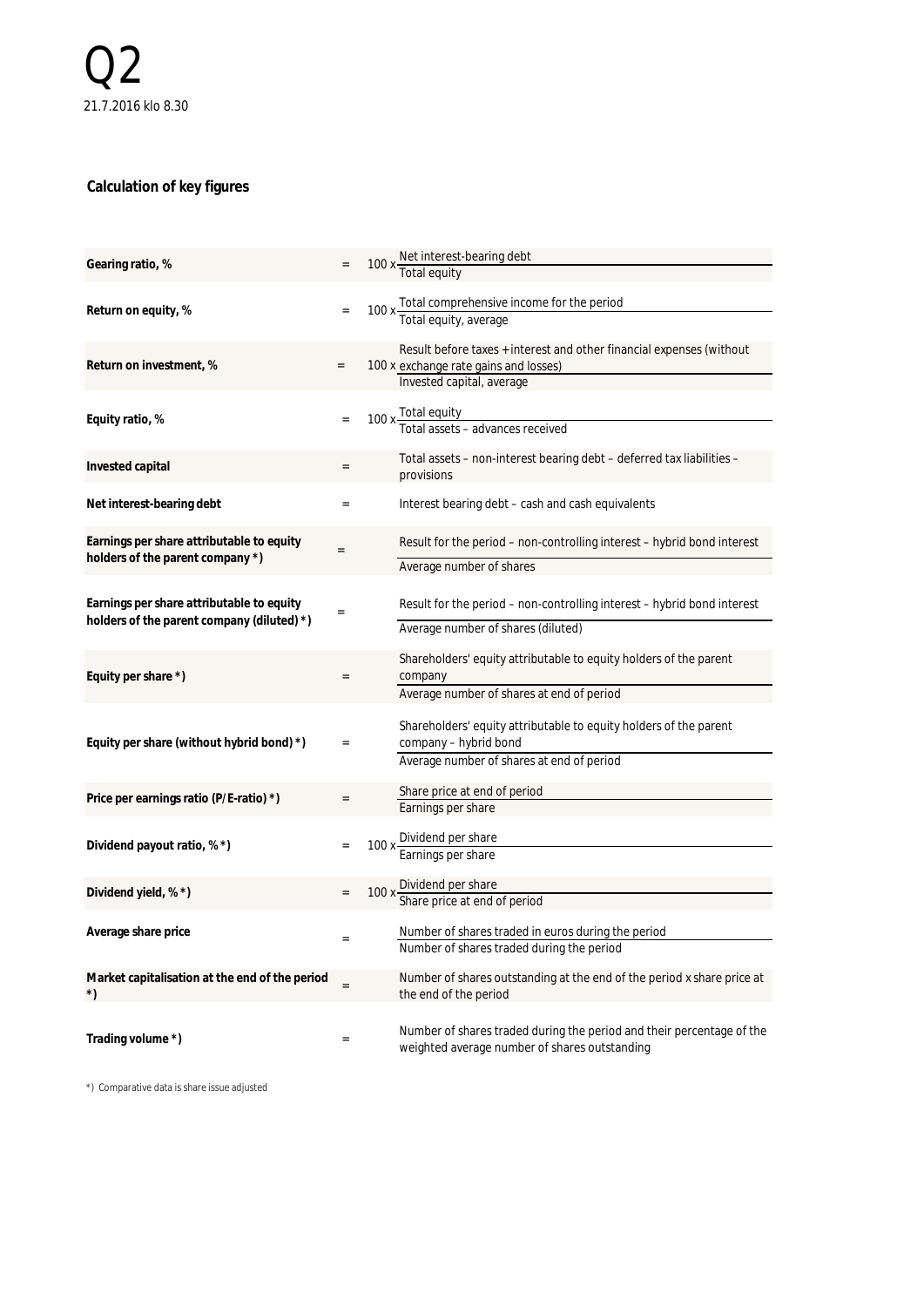### **Calculation of key figures**

| Gearing ratio, %                                                                        |                 | 100 x Net interest-bearing debt<br>Total equity                                                                                            |
|-----------------------------------------------------------------------------------------|-----------------|--------------------------------------------------------------------------------------------------------------------------------------------|
| Return on equity, %                                                                     | $=$             | 100 x Total comprehensive income for the period<br>Total equity, average                                                                   |
| Return on investment, %                                                                 | $\quad \  \  =$ | Result before taxes + interest and other financial expenses (without<br>100 x exchange rate gains and losses)<br>Invested capital, average |
| Equity ratio, %                                                                         |                 | 100 x Total equity<br>Total assets - advances received                                                                                     |
| Invested capital                                                                        | $=$             | Total assets – non-interest bearing debt – deferred tax liabilities –<br>provisions                                                        |
| Net interest-bearing debt                                                               |                 | Interest bearing debt – cash and cash equivalents                                                                                          |
| Earnings per share attributable to equity<br>holders of the parent company *)           |                 | Result for the period – non-controlling interest – hybrid bond interest<br>Average number of shares                                        |
| Earnings per share attributable to equity<br>holders of the parent company (diluted) *) |                 | Result for the period – non-controlling interest – hybrid bond interest<br>Average number of shares (diluted)                              |
| Equity per share *)                                                                     | $=$             | Shareholders' equity attributable to equity holders of the parent<br>company<br>Average number of shares at end of period                  |
| Equity per share (without hybrid bond) *)                                               | $=$             | Shareholders' equity attributable to equity holders of the parent<br>company - hybrid bond<br>Average number of shares at end of period    |
| Price per earnings ratio (P/E-ratio) *)                                                 |                 | Share price at end of period<br>Earnings per share                                                                                         |
| Dividend payout ratio, % *)                                                             |                 | 100 x Dividend per share<br>Earnings per share                                                                                             |
| Dividend yield, % *)                                                                    | $=$             | 100 x Dividend per share<br>Share price at end of period                                                                                   |
| Average share price                                                                     | $\equiv$        | Number of shares traded in euros during the period<br>Number of shares traded during the period                                            |
| Market capitalisation at the end of the period<br>$^{\star})$                           |                 | Number of shares outstanding at the end of the period x share price at<br>the end of the period                                            |
| Trading volume *)                                                                       |                 | Number of shares traded during the period and their percentage of the<br>weighted average number of shares outstanding                     |

\*) Comparative data is share issue adjusted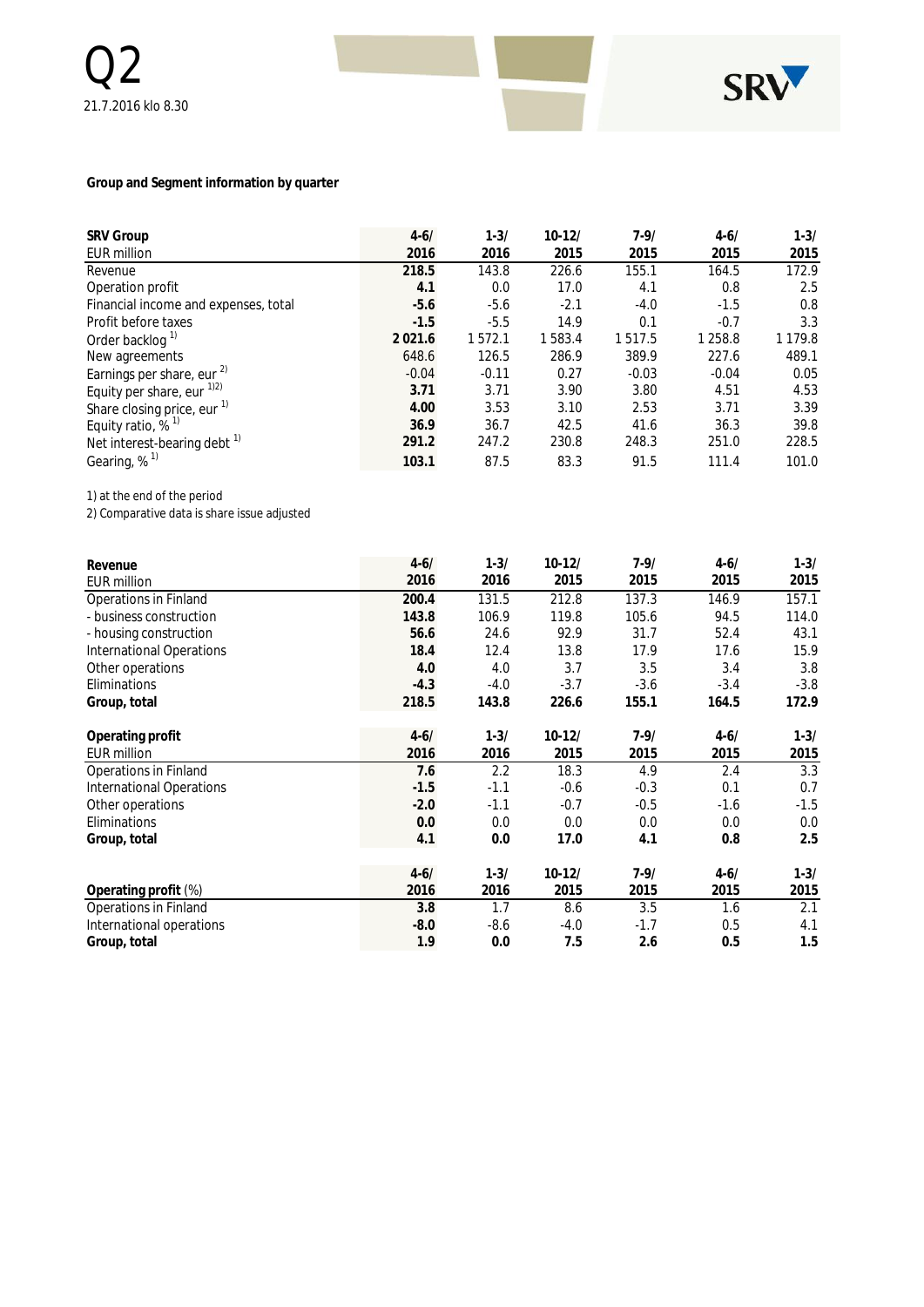

#### **Group and Segment information by quarter**

| <b>SRV Group</b>                       | $4 - 6/$    | $1 - 3/$ | $10 - 12/$ | $7 - 9/$ | $4 - 6/$ | $1 - 3/$    |
|----------------------------------------|-------------|----------|------------|----------|----------|-------------|
| <b>EUR million</b>                     | 2016        | 2016     | 2015       | 2015     | 2015     | 2015        |
| Revenue                                | 218.5       | 143.8    | 226.6      | 155.1    | 164.5    | 172.9       |
| Operation profit                       | 4.1         | 0.0      | 17.0       | 4.1      | 0.8      | 2.5         |
| Financial income and expenses, total   | $-5.6$      | $-5.6$   | $-2.1$     | $-4.0$   | $-1.5$   | 0.8         |
| Profit before taxes                    | $-1.5$      | $-5.5$   | 14.9       | 0.1      | $-0.7$   | 3.3         |
| Order backlog <sup>1)</sup>            | 2 0 2 1 . 6 | 1572.1   | 1583.4     | 1517.5   | 1 258.8  | 1 1 7 9 . 8 |
| New agreements                         | 648.6       | 126.5    | 286.9      | 389.9    | 227.6    | 489.1       |
| Earnings per share, eur $^{2)}$        | $-0.04$     | $-0.11$  | 0.27       | $-0.03$  | $-0.04$  | 0.05        |
| Equity per share, eur $^{1/2}$         | 3.71        | 3.71     | 3.90       | 3.80     | 4.51     | 4.53        |
| Share closing price, eur <sup>1)</sup> | 4.00        | 3.53     | 3.10       | 2.53     | 3.71     | 3.39        |
| Equity ratio, $%$ <sup>1)</sup>        | 36.9        | 36.7     | 42.5       | 41.6     | 36.3     | 39.8        |
| Net interest-bearing debt $1$          | 291.2       | 247.2    | 230.8      | 248.3    | 251.0    | 228.5       |
| Gearing, $%$ <sup>1)</sup>             | 103.1       | 87.5     | 83.3       | 91.5     | 111.4    | 101.0       |

1) at the end of the period

2) Comparative data is share issue adjusted

| Revenue                         | $4 - 6/$ | $1 - 3/$ | $10-12/$ | $7 - 9/$ | $4 - 6/$ | $1 - 3/$ |
|---------------------------------|----------|----------|----------|----------|----------|----------|
| <b>EUR million</b>              | 2016     | 2016     | 2015     | 2015     | 2015     | 2015     |
| Operations in Finland           | 200.4    | 131.5    | 212.8    | 137.3    | 146.9    | 157.1    |
| - business construction         | 143.8    | 106.9    | 119.8    | 105.6    | 94.5     | 114.0    |
| - housing construction          | 56.6     | 24.6     | 92.9     | 31.7     | 52.4     | 43.1     |
| <b>International Operations</b> | 18.4     | 12.4     | 13.8     | 17.9     | 17.6     | 15.9     |
| Other operations                | 4.0      | 4.0      | 3.7      | 3.5      | 3.4      | 3.8      |
| Eliminations                    | $-4.3$   | $-4.0$   | $-3.7$   | $-3.6$   | $-3.4$   | $-3.8$   |
| Group, total                    | 218.5    | 143.8    | 226.6    | 155.1    | 164.5    | 172.9    |
| Operating profit                | $4 - 6/$ | $1 - 3/$ | $10-12/$ | $7 - 9/$ | $4 - 6/$ | $1 - 3/$ |
| <b>EUR million</b>              | 2016     | 2016     | 2015     | 2015     | 2015     | 2015     |
| Operations in Finland           | 7.6      | 2.2      | 18.3     | 4.9      | 2.4      | 3.3      |
| <b>International Operations</b> | $-1.5$   | $-1.1$   | $-0.6$   | $-0.3$   | 0.1      | 0.7      |
| Other operations                | $-2.0$   | $-1.1$   | $-0.7$   | $-0.5$   | $-1.6$   | $-1.5$   |
| Eliminations                    | 0.0      | 0.0      | 0.0      | 0.0      | 0.0      | 0.0      |
| Group, total                    | 4.1      | 0.0      | 17.0     | 4.1      | 0.8      | 2.5      |
|                                 | $4 - 6/$ | $1 - 3/$ | $10-12/$ | $7 - 9/$ | $4 - 6/$ | $1 - 3/$ |
| Operating profit (%)            | 2016     | 2016     | 2015     | 2015     | 2015     | 2015     |
| Operations in Finland           | 3.8      | 1.7      | 8.6      | 3.5      | 1.6      | 2.1      |
| International operations        | $-8.0$   | $-8.6$   | $-4.0$   | $-1.7$   | 0.5      | 4.1      |
| Group, total                    | 1.9      | 0.0      | 7.5      | 2.6      | 0.5      | 1.5      |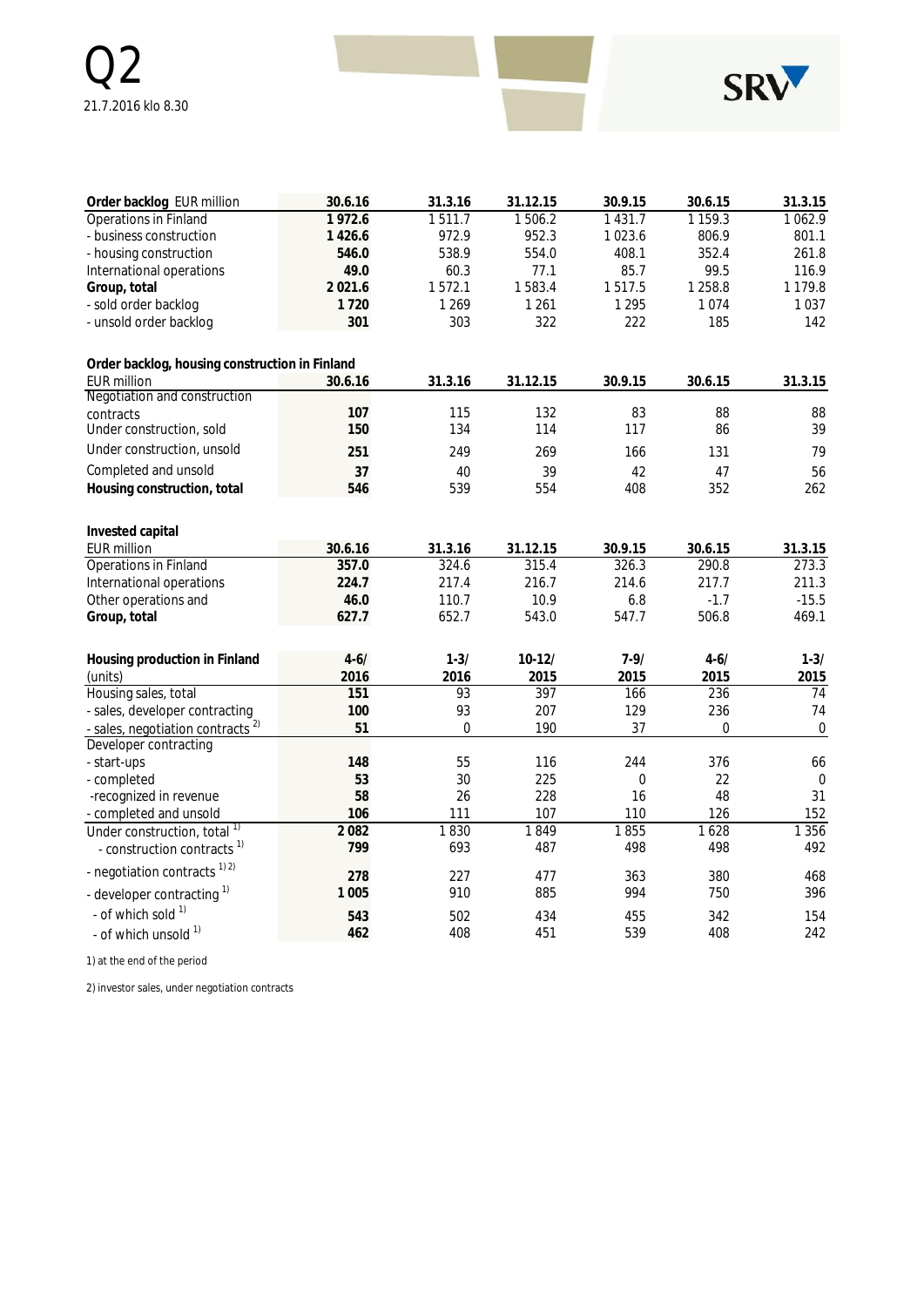

| Order backlog EUR million                      | 30.6.16  | 31.3.16  | 31.12.15 | 30.9.15     | 30.6.15          | 31.3.15          |
|------------------------------------------------|----------|----------|----------|-------------|------------------|------------------|
| <b>Operations in Finland</b>                   | 1972.6   | 1511.7   | 1506.2   | 1 4 3 1 . 7 | 1 1 5 9 . 3      | 1062.9           |
| - business construction                        | 1426.6   | 972.9    | 952.3    | 1 0 2 3 . 6 | 806.9            | 801.1            |
| - housing construction                         | 546.0    | 538.9    | 554.0    | 408.1       | 352.4            | 261.8            |
| International operations                       | 49.0     | 60.3     | 77.1     | 85.7        | 99.5             | 116.9            |
| Group, total                                   | 2021.6   | 1572.1   | 1583.4   | 1517.5      | 1 2 5 8.8        | 1 1 7 9 . 8      |
| - sold order backlog                           | 1720     | 1 2 6 9  | 1261     | 1 2 9 5     | 1074             | 1037             |
| - unsold order backlog                         | 301      | 303      | 322      | 222         | 185              | 142              |
| Order backlog, housing construction in Finland |          |          |          |             |                  |                  |
| <b>EUR</b> million                             | 30.6.16  | 31.3.16  | 31.12.15 | 30.9.15     | 30.6.15          | 31.3.15          |
| Negotiation and construction                   |          |          |          |             |                  |                  |
| contracts                                      | 107      | 115      | 132      | 83          | 88               | 88               |
| Under construction, sold                       | 150      | 134      | 114      | 117         | 86               | 39               |
| Under construction, unsold                     | 251      | 249      | 269      | 166         | 131              | 79               |
| Completed and unsold                           | 37       | 40       | 39       | 42          | 47               | 56               |
| Housing construction, total                    | 546      | 539      | 554      | 408         | 352              | 262              |
| Invested capital                               |          |          |          |             |                  |                  |
| <b>EUR million</b>                             | 30.6.16  | 31.3.16  | 31.12.15 | 30.9.15     | 30.6.15          | 31.3.15          |
| <b>Operations in Finland</b>                   | 357.0    | 324.6    | 315.4    | 326.3       | 290.8            | 273.3            |
| International operations                       | 224.7    | 217.4    | 216.7    | 214.6       | 217.7            | 211.3            |
| Other operations and                           | 46.0     | 110.7    | 10.9     | 6.8         | $-1.7$           | $-15.5$          |
| Group, total                                   | 627.7    | 652.7    | 543.0    | 547.7       | 506.8            | 469.1            |
| Housing production in Finland                  | $4 - 6/$ | $1 - 3/$ | $10-12/$ | $7 - 9/$    | $4 - 6/$         | $1 - 3/$         |
| (units)                                        | 2016     | 2016     | 2015     | 2015        | 2015             | 2015             |
| Housing sales, total                           | 151      | 93       | 397      | 166         | 236              | 74               |
| - sales, developer contracting                 | 100      | 93       | 207      | 129         | 236              | 74               |
| - sales, negotiation contracts <sup>2)</sup>   | 51       | 0        | 190      | 37          | $\boldsymbol{0}$ | $\boldsymbol{0}$ |
| Developer contracting                          |          |          |          |             |                  |                  |
| - start-ups                                    | 148      | 55       | 116      | 244         | 376              | 66               |
| - completed                                    | 53       | 30       | 225      | $\mathbf 0$ | 22               | $\boldsymbol{0}$ |
| -recognized in revenue                         | 58       | 26       | 228      | 16          | 48               | 31               |
| - completed and unsold                         | 106      | 111      | 107      | 110         | 126              | 152              |
| Under construction, total <sup>1)</sup>        | 2082     | 1830     | 1849     | 1855        | 1628             | 1 3 5 6          |
| - construction contracts <sup>1)</sup>         | 799      | 693      | 487      | 498         | 498              | 492              |
| - negotiation contracts <sup>1) 2)</sup>       | 278      | 227      | 477      | 363         | 380              | 468              |
| - developer contracting <sup>1)</sup>          | 1 0 0 5  | 910      | 885      | 994         | 750              | 396              |
| - of which sold 1)                             | 543      | 502      | 434      | 455         | 342              | 154              |
| - of which unsold 1)                           | 462      | 408      | 451      | 539         | 408              | 242              |

1) at the end of the period

2) investor sales, under negotiation contracts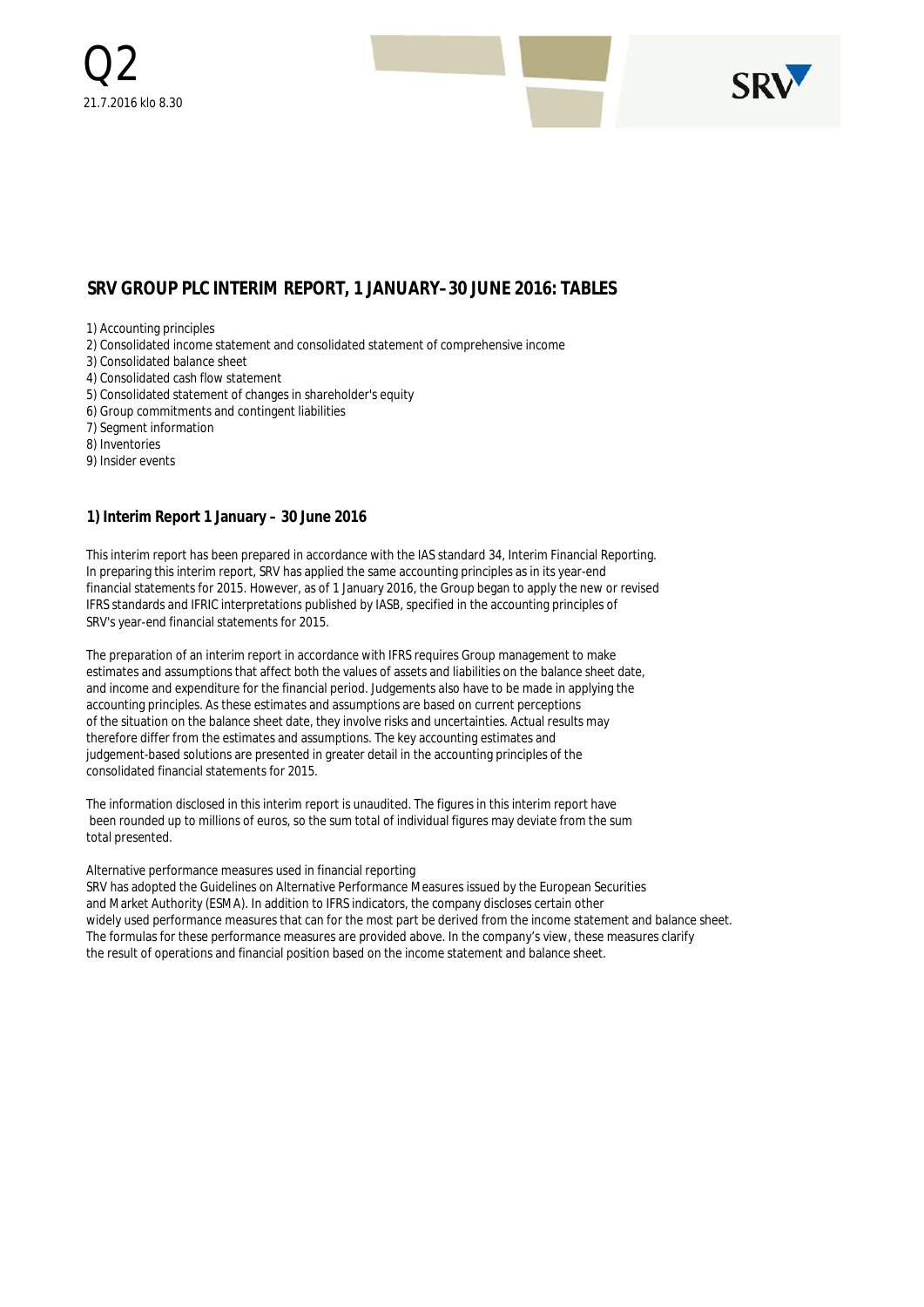

### **SRV GROUP PLC INTERIM REPORT, 1 JANUARY–30 JUNE 2016: TABLES**

1) Accounting principles

- 2) Consolidated income statement and consolidated statement of comprehensive income
- 3) Consolidated balance sheet
- 4) Consolidated cash flow statement
- 5) Consolidated statement of changes in shareholder's equity
- 6) Group commitments and contingent liabilities
- 7) Segment information
- 8) Inventories
- 9) Insider events

**1) Interim Report 1 January – 30 June 2016**

This interim report has been prepared in accordance with the IAS standard 34, Interim Financial Reporting. In preparing this interim report, SRV has applied the same accounting principles as in its year-end financial statements for 2015. However, as of 1 January 2016, the Group began to apply the new or revised IFRS standards and IFRIC interpretations published by IASB, specified in the accounting principles of SRV's year-end financial statements for 2015.

The preparation of an interim report in accordance with IFRS requires Group management to make estimates and assumptions that affect both the values of assets and liabilities on the balance sheet date, and income and expenditure for the financial period. Judgements also have to be made in applying the accounting principles. As these estimates and assumptions are based on current perceptions of the situation on the balance sheet date, they involve risks and uncertainties. Actual results may therefore differ from the estimates and assumptions. The key accounting estimates and judgement-based solutions are presented in greater detail in the accounting principles of the consolidated financial statements for 2015.

The information disclosed in this interim report is unaudited. The figures in this interim report have been rounded up to millions of euros, so the sum total of individual figures may deviate from the sum total presented.

#### Alternative performance measures used in financial reporting

SRV has adopted the Guidelines on Alternative Performance Measures issued by the European Securities and Market Authority (ESMA). In addition to IFRS indicators, the company discloses certain other widely used performance measures that can for the most part be derived from the income statement and balance sheet. The formulas for these performance measures are provided above. In the company's view, these measures clarify the result of operations and financial position based on the income statement and balance sheet.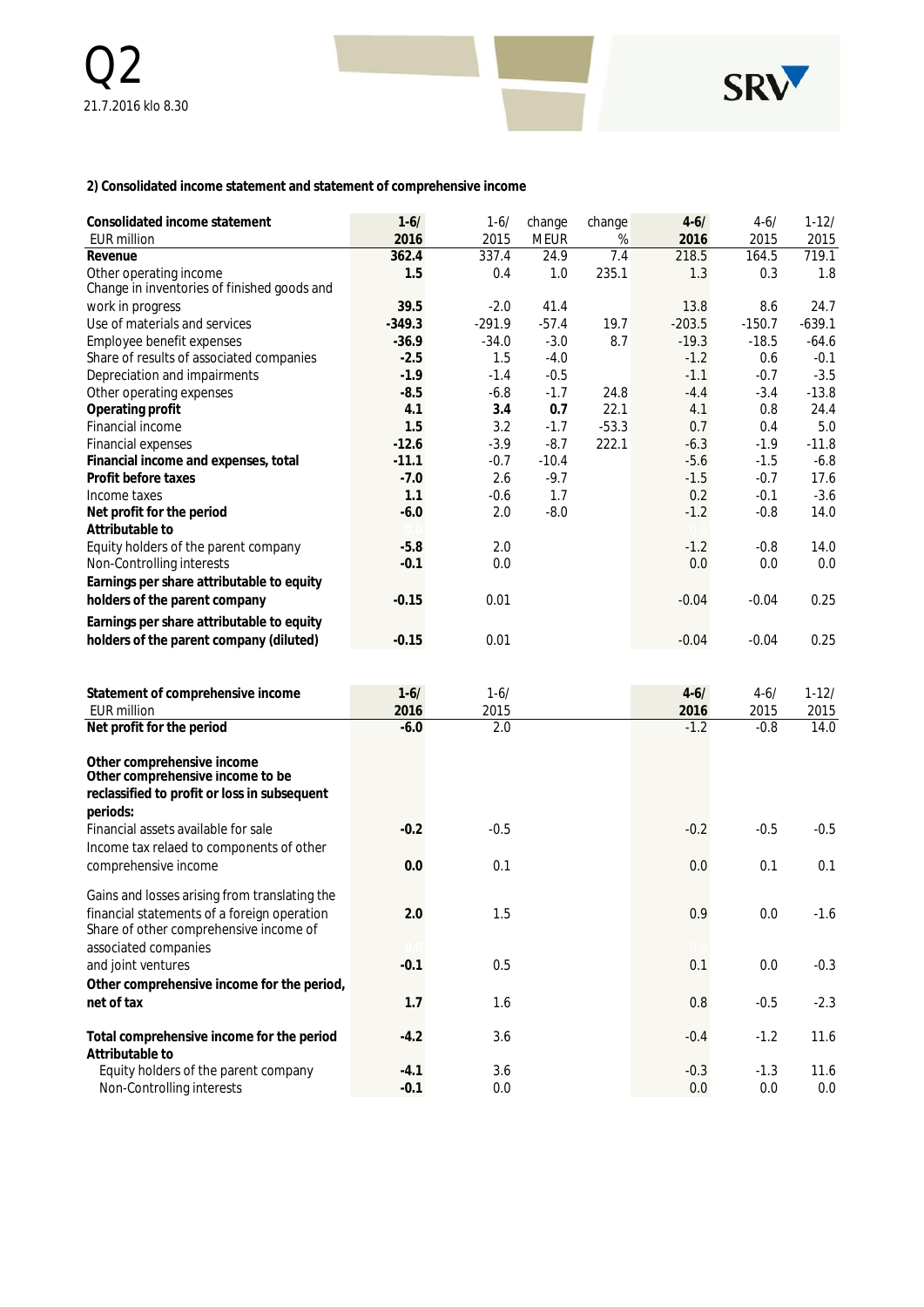

**2) Consolidated income statement and statement of comprehensive income**

| Consolidated income statement<br><b>EUR million</b>                                                            | $1 - 6/$<br>2016 | $1 - 6/$<br>2015 | change<br><b>MEUR</b> | change<br>% | $4 - 6/$<br>2016 | $4 - 6/$<br>2015 | $1-12/$<br>2015 |
|----------------------------------------------------------------------------------------------------------------|------------------|------------------|-----------------------|-------------|------------------|------------------|-----------------|
| Revenue                                                                                                        | 362.4            | 337.4            | 24.9                  | 7.4         | 218.5            | 164.5            | 719.1           |
| Other operating income<br>Change in inventories of finished goods and                                          | 1.5              | 0.4              | 1.0                   | 235.1       | 1.3              | 0.3              | 1.8             |
| work in progress                                                                                               | 39.5             | $-2.0$           | 41.4                  |             | 13.8             | 8.6              | 24.7            |
| Use of materials and services                                                                                  | $-349.3$         | $-291.9$         | $-57.4$               | 19.7        | $-203.5$         | $-150.7$         | $-639.1$        |
| Employee benefit expenses                                                                                      | $-36.9$          | $-34.0$          | $-3.0$                | 8.7         | $-19.3$          | $-18.5$          | $-64.6$         |
| Share of results of associated companies                                                                       | $-2.5$           | 1.5              | $-4.0$                |             | $-1.2$           | 0.6              | $-0.1$          |
| Depreciation and impairments                                                                                   | $-1.9$           | $-1.4$           | $-0.5$                |             | $-1.1$           | $-0.7$           | $-3.5$          |
| Other operating expenses                                                                                       | $-8.5$           | $-6.8$           | $-1.7$                | 24.8        | $-4.4$           | $-3.4$           | $-13.8$         |
| Operating profit                                                                                               | 4.1              | 3.4              | 0.7                   | 22.1        | 4.1              | 0.8              | 24.4            |
| Financial income                                                                                               | 1.5              | 3.2              | $-1.7$                | $-53.3$     | 0.7              | 0.4              | 5.0             |
| Financial expenses                                                                                             | $-12.6$          | $-3.9$           | $-8.7$                | 222.1       | $-6.3$           | $-1.9$           | $-11.8$         |
| Financial income and expenses, total                                                                           | $-11.1$          | $-0.7$           | $-10.4$               |             | $-5.6$           | $-1.5$           | $-6.8$          |
| Profit before taxes                                                                                            | $-7.0$           | 2.6              | $-9.7$                |             | $-1.5$           | $-0.7$           | 17.6            |
| Income taxes                                                                                                   | 1.1              | $-0.6$           | 1.7                   |             | 0.2              | $-0.1$           | $-3.6$          |
| Net profit for the period<br>Attributable to                                                                   | $-6.0$           | 2.0              | $-8.0$                |             | $-1.2$           | $-0.8$           | 14.0            |
| Equity holders of the parent company                                                                           | $-5.8$           | 2.0              |                       |             | $-1.2$           | $-0.8$           | 14.0            |
| Non-Controlling interests                                                                                      | $-0.1$           | 0.0              |                       |             | 0.0              | 0.0              | 0.0             |
|                                                                                                                |                  |                  |                       |             |                  |                  |                 |
| Earnings per share attributable to equity                                                                      |                  |                  |                       |             |                  |                  |                 |
| holders of the parent company                                                                                  | $-0.15$          | 0.01             |                       |             | $-0.04$          | $-0.04$          | 0.25            |
| Earnings per share attributable to equity                                                                      |                  |                  |                       |             |                  |                  |                 |
| holders of the parent company (diluted)                                                                        | $-0.15$          | 0.01             |                       |             | $-0.04$          | $-0.04$          | 0.25            |
|                                                                                                                |                  |                  |                       |             |                  |                  |                 |
|                                                                                                                |                  |                  |                       |             |                  |                  |                 |
| Statement of comprehensive income                                                                              | $1 - 6/$         | $1 - 6/$         |                       |             | $4 - 6/$         | $4 - 6/$         | $1 - 12/$       |
| <b>EUR million</b>                                                                                             | 2016             | 2015             |                       |             | 2016             | 2015             | 2015            |
| Net profit for the period                                                                                      | $-6.0$           | 2.0              |                       |             | $-1.2$           | $-0.8$           | 14.0            |
| Other comprehensive income<br>Other comprehensive income to be<br>reclassified to profit or loss in subsequent |                  |                  |                       |             |                  |                  |                 |
| periods:<br>Financial assets available for sale                                                                | $-0.2$           | $-0.5$           |                       |             | $-0.2$           | $-0.5$           | $-0.5$          |
| Income tax relaed to components of other<br>comprehensive income                                               | 0.0              | 0.1              |                       |             | 0.0              | 0.1              | 0.1             |
| Gains and losses arising from translating the                                                                  |                  |                  |                       |             |                  |                  |                 |
| financial statements of a foreign operation<br>Share of other comprehensive income of                          | 2.0              | 1.5              |                       |             | 0.9              | $0.0\,$          | $-1.6$          |
| associated companies                                                                                           |                  |                  |                       |             |                  |                  |                 |
| and joint ventures                                                                                             | $-0.1$           | 0.5              |                       |             | 0.1              | 0.0              | $-0.3$          |
| Other comprehensive income for the period,                                                                     |                  |                  |                       |             |                  |                  |                 |
| net of tax                                                                                                     | 1.7              | 1.6              |                       |             | 0.8              | $-0.5$           | $-2.3$          |
|                                                                                                                |                  |                  |                       |             |                  |                  |                 |
| Total comprehensive income for the period<br>Attributable to                                                   | $-4.2$           | 3.6              |                       |             | $-0.4$           | $-1.2$           | 11.6            |
| Equity holders of the parent company                                                                           | $-4.1$           | 3.6              |                       |             | $-0.3$           | $-1.3$           | 11.6            |
| Non-Controlling interests                                                                                      | $-0.1$           | 0.0              |                       |             | 0.0              | $0.0\,$          | 0.0             |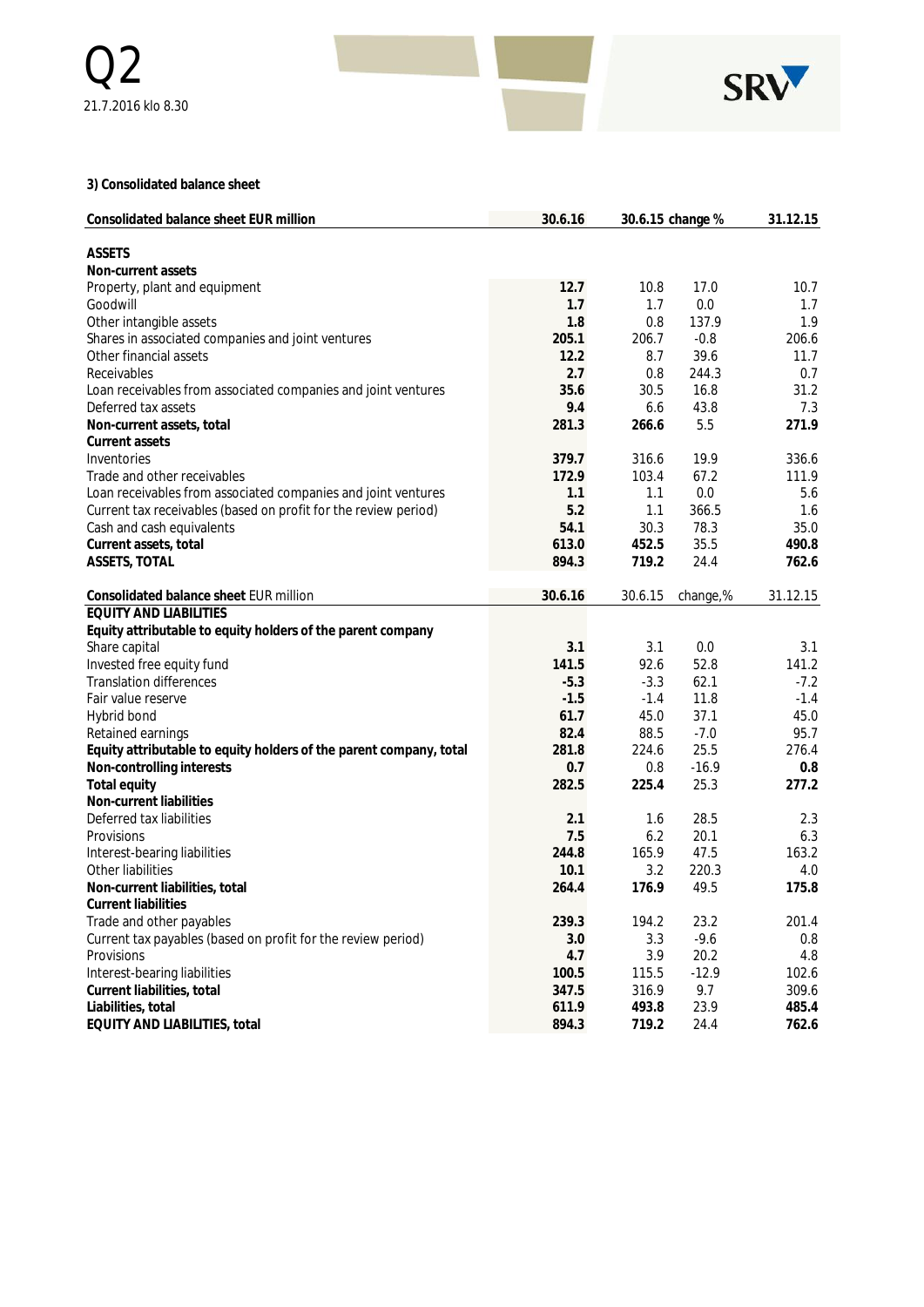

**3) Consolidated balance sheet**

| Consolidated balance sheet EUR million                             | 30.6.16 |         | 30.6.15 change % | 31.12.15 |
|--------------------------------------------------------------------|---------|---------|------------------|----------|
| <b>ASSETS</b>                                                      |         |         |                  |          |
| Non-current assets                                                 |         |         |                  |          |
| Property, plant and equipment                                      | 12.7    | 10.8    | 17.0             | 10.7     |
| Goodwill                                                           | 1.7     | 1.7     | 0.0              | 1.7      |
| Other intangible assets                                            | 1.8     | 0.8     | 137.9            | 1.9      |
| Shares in associated companies and joint ventures                  | 205.1   | 206.7   | $-0.8$           | 206.6    |
| Other financial assets                                             | 12.2    | 8.7     | 39.6             | 11.7     |
| Receivables                                                        | 2.7     | 0.8     | 244.3            | 0.7      |
| Loan receivables from associated companies and joint ventures      | 35.6    | 30.5    | 16.8             | 31.2     |
| Deferred tax assets                                                | 9.4     | 6.6     | 43.8             | 7.3      |
| Non-current assets, total                                          | 281.3   | 266.6   | 5.5              | 271.9    |
| Current assets                                                     |         |         |                  |          |
| Inventories                                                        | 379.7   | 316.6   | 19.9             | 336.6    |
| Trade and other receivables                                        | 172.9   | 103.4   | 67.2             | 111.9    |
| Loan receivables from associated companies and joint ventures      | 1.1     | 1.1     | 0.0              | 5.6      |
| Current tax receivables (based on profit for the review period)    | 5.2     | 1.1     | 366.5            | 1.6      |
| Cash and cash equivalents                                          | 54.1    | 30.3    | 78.3             | 35.0     |
| Current assets, total                                              | 613.0   | 452.5   | 35.5             | 490.8    |
| ASSETS, TOTAL                                                      | 894.3   | 719.2   | 24.4             | 762.6    |
|                                                                    |         |         |                  |          |
| Consolidated balance sheet EUR million                             | 30.6.16 | 30.6.15 | change,%         | 31.12.15 |
| <b>EQUITY AND LIABILITIES</b>                                      |         |         |                  |          |
| Equity attributable to equity holders of the parent company        |         |         |                  |          |
| Share capital                                                      | 3.1     | 3.1     | 0.0              | 3.1      |
| Invested free equity fund                                          | 141.5   | 92.6    | 52.8             | 141.2    |
| <b>Translation differences</b>                                     | $-5.3$  | $-3.3$  | 62.1             | $-7.2$   |
| Fair value reserve                                                 | $-1.5$  | $-1.4$  | 11.8             | $-1.4$   |
| Hybrid bond                                                        | 61.7    | 45.0    | 37.1             | 45.0     |
| Retained earnings                                                  | 82.4    | 88.5    | $-7.0$           | 95.7     |
| Equity attributable to equity holders of the parent company, total | 281.8   | 224.6   | 25.5             | 276.4    |
| Non-controlling interests                                          | 0.7     | 0.8     | $-16.9$          | 0.8      |
| Total equity                                                       | 282.5   | 225.4   | 25.3             | 277.2    |
| Non-current liabilities                                            |         |         |                  |          |
| Deferred tax liabilities                                           | 2.1     | 1.6     | 28.5             | 2.3      |
| Provisions                                                         | 7.5     | 6.2     | 20.1             | 6.3      |
| Interest-bearing liabilities                                       | 244.8   | 165.9   | 47.5             | 163.2    |
| Other liabilities                                                  | 10.1    | 3.2     | 220.3            | 4.0      |
| Non-current liabilities, total                                     | 264.4   | 176.9   | 49.5             | 175.8    |
| <b>Current liabilities</b>                                         |         |         |                  |          |
| Trade and other payables                                           | 239.3   | 194.2   | 23.2             | 201.4    |
| Current tax payables (based on profit for the review period)       | 3.0     | 3.3     | $-9.6$           | 0.8      |
| Provisions                                                         | 4.7     | 3.9     | 20.2             | 4.8      |
| Interest-bearing liabilities                                       | 100.5   | 115.5   | $-12.9$          | 102.6    |
| Current liabilities, total                                         | 347.5   | 316.9   | 9.7              | 309.6    |
| Liabilities, total                                                 | 611.9   | 493.8   | 23.9             | 485.4    |
| EQUITY AND LIABILITIES, total                                      | 894.3   | 719.2   | 24.4             | 762.6    |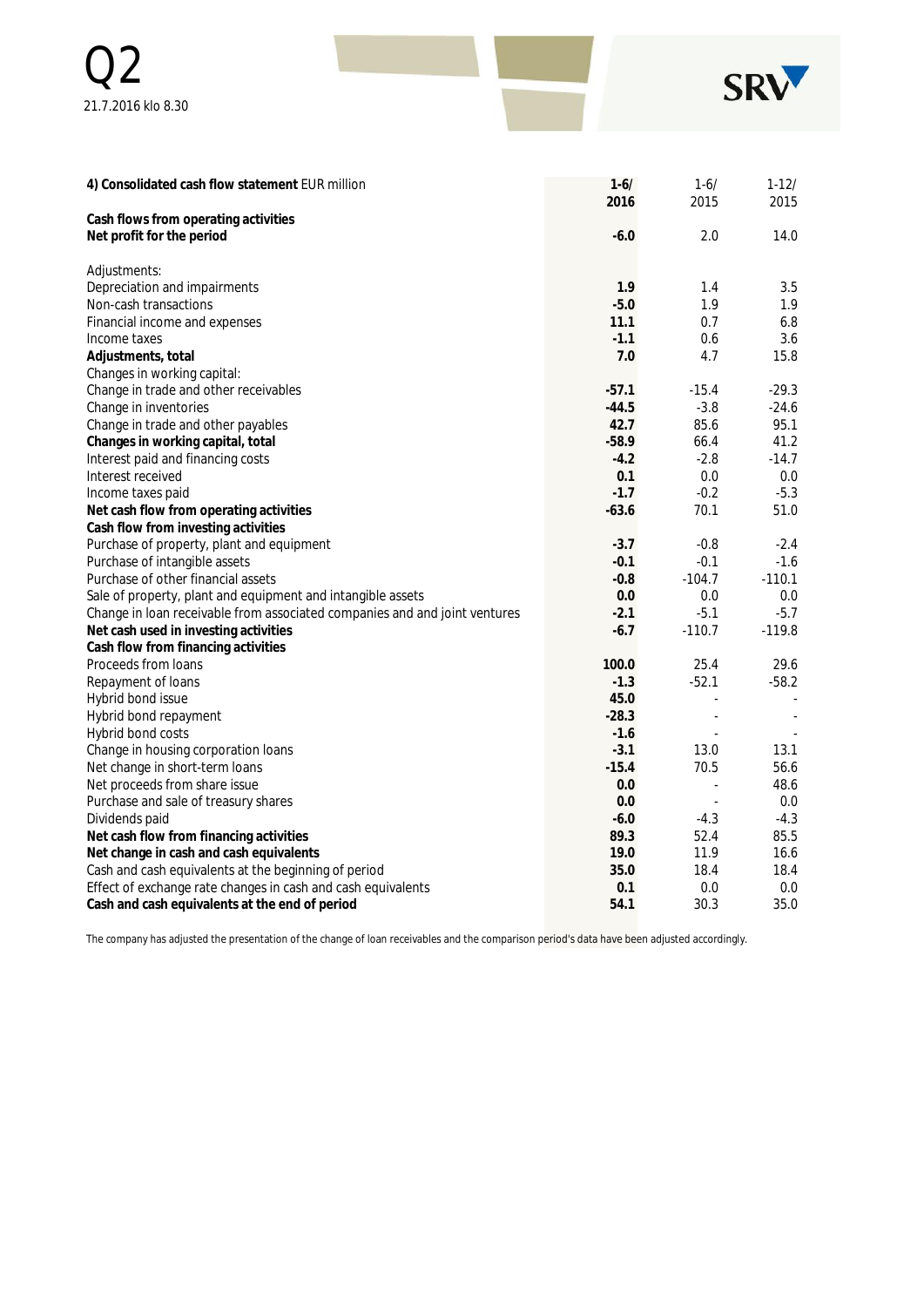| $\bigcap$          |  | SRV |
|--------------------|--|-----|
| 21.7.2016 klo 8.30 |  |     |

| 4) Consolidated cash flow statement EUR million                            | $1 - 6/$ | $1 - 6/$ | $1-12/$  |
|----------------------------------------------------------------------------|----------|----------|----------|
| Cash flows from operating activities                                       | 2016     | 2015     | 2015     |
| Net profit for the period                                                  | $-6.0$   | 2.0      | 14.0     |
|                                                                            |          |          |          |
| Adjustments:                                                               |          |          |          |
| Depreciation and impairments                                               | 1.9      | 1.4      | 3.5      |
| Non-cash transactions                                                      | $-5.0$   | 1.9      | 1.9      |
| Financial income and expenses                                              | 11.1     | 0.7      | 6.8      |
| Income taxes                                                               | $-1.1$   | 0.6      | 3.6      |
| Adjustments, total                                                         | 7.0      | 4.7      | 15.8     |
| Changes in working capital:                                                |          |          |          |
| Change in trade and other receivables                                      | $-57.1$  | $-15.4$  | $-29.3$  |
| Change in inventories                                                      | $-44.5$  | $-3.8$   | $-24.6$  |
| Change in trade and other payables                                         | 42.7     | 85.6     | 95.1     |
| Changes in working capital, total                                          | $-58.9$  | 66.4     | 41.2     |
| Interest paid and financing costs                                          | $-4.2$   | $-2.8$   | $-14.7$  |
| Interest received                                                          | 0.1      | 0.0      | 0.0      |
| Income taxes paid                                                          | $-1.7$   | $-0.2$   | $-5.3$   |
| Net cash flow from operating activities                                    | $-63.6$  | 70.1     | 51.0     |
| Cash flow from investing activities                                        |          |          |          |
| Purchase of property, plant and equipment                                  | $-3.7$   | $-0.8$   | $-2.4$   |
| Purchase of intangible assets                                              | $-0.1$   | $-0.1$   | $-1.6$   |
| Purchase of other financial assets                                         | $-0.8$   | $-104.7$ | $-110.1$ |
| Sale of property, plant and equipment and intangible assets                | 0.0      | 0.0      | 0.0      |
| Change in loan receivable from associated companies and and joint ventures | $-2.1$   | $-5.1$   | $-5.7$   |
| Net cash used in investing activities                                      | $-6.7$   | $-110.7$ | $-119.8$ |
| Cash flow from financing activities                                        |          |          |          |
| Proceeds from loans                                                        | 100.0    | 25.4     | 29.6     |
| Repayment of loans                                                         | $-1.3$   | $-52.1$  | $-58.2$  |
| Hybrid bond issue                                                          | 45.0     | ä,       |          |
| Hybrid bond repayment                                                      | $-28.3$  |          |          |
| Hybrid bond costs                                                          | $-1.6$   | ä,       |          |
| Change in housing corporation loans                                        | $-3.1$   | 13.0     | 13.1     |
| Net change in short-term loans                                             | $-15.4$  | 70.5     | 56.6     |
| Net proceeds from share issue                                              | 0.0      |          | 48.6     |
| Purchase and sale of treasury shares                                       | 0.0      | L.       | 0.0      |
| Dividends paid                                                             | $-6.0$   | $-4.3$   | $-4.3$   |
| Net cash flow from financing activities                                    | 89.3     | 52.4     | 85.5     |
| Net change in cash and cash equivalents                                    | 19.0     | 11.9     | 16.6     |
| Cash and cash equivalents at the beginning of period                       | 35.0     | 18.4     | 18.4     |
| Effect of exchange rate changes in cash and cash equivalents               | 0.1      | 0.0      | 0.0      |
| Cash and cash equivalents at the end of period                             | 54.1     | 30.3     | 35.0     |

The company has adjusted the presentation of the change of loan receivables and the comparison period's data have been adjusted accordingly.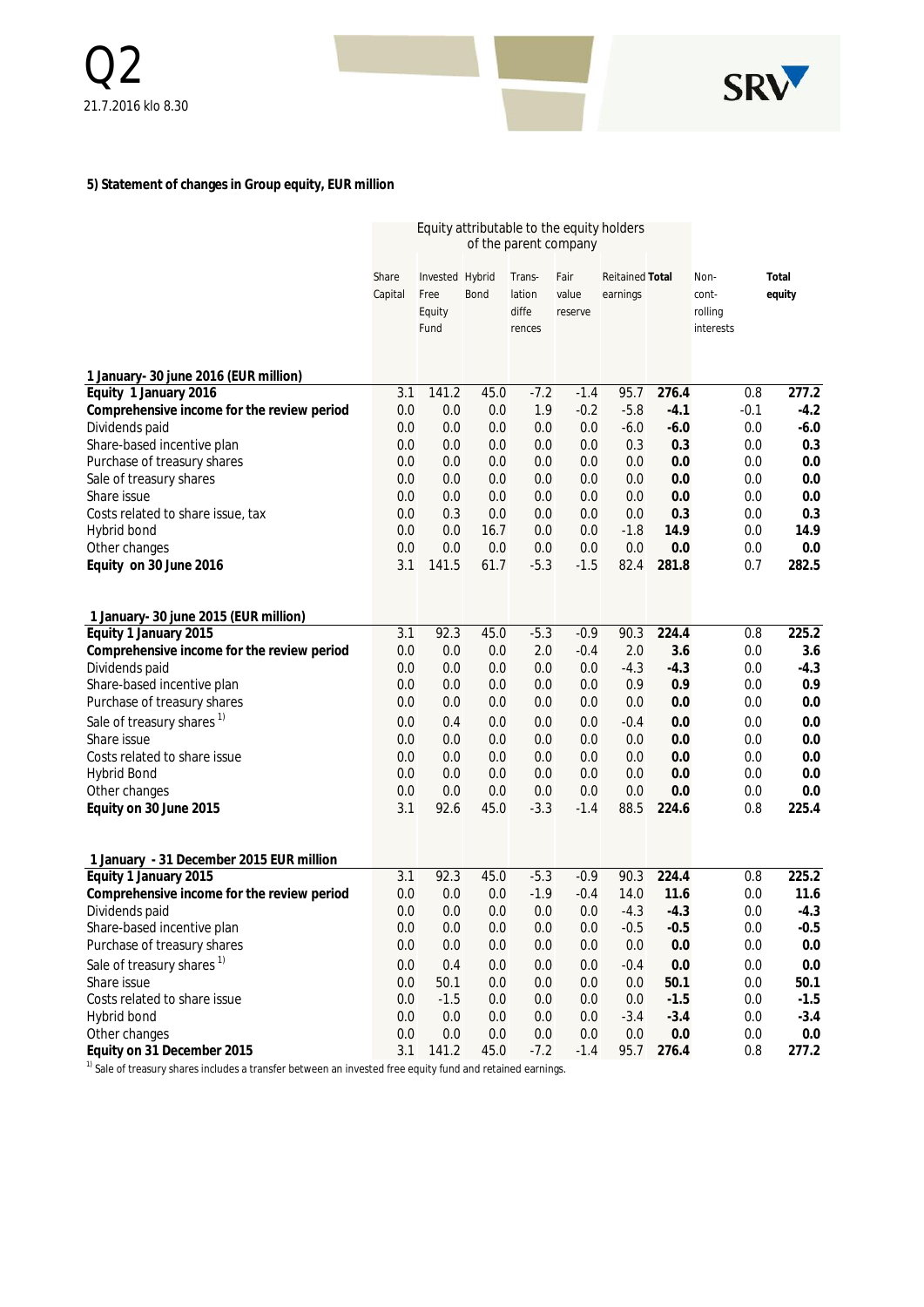

### **5) Statement of changes in Group equity, EUR million**

|                                            | Equity attributable to the equity holders<br>of the parent company |                                           |             |                                     |                          |                                    |         |                                       |                 |
|--------------------------------------------|--------------------------------------------------------------------|-------------------------------------------|-------------|-------------------------------------|--------------------------|------------------------------------|---------|---------------------------------------|-----------------|
|                                            | Share<br>Capital                                                   | Invested Hybrid<br>Free<br>Equity<br>Fund | <b>Bond</b> | Trans-<br>lation<br>diffe<br>rences | Fair<br>value<br>reserve | <b>Reitained Total</b><br>earnings |         | Non-<br>cont-<br>rolling<br>interests | Total<br>equity |
| 1 January- 30 june 2016 (EUR million)      |                                                                    |                                           |             |                                     |                          |                                    |         |                                       |                 |
| Equity 1 January 2016                      | 3.1                                                                | 141.2                                     | 45.0        | $-7.2$                              | $-1.4$                   | 95.7                               | 276.4   |                                       | 277.2<br>0.8    |
| Comprehensive income for the review period | 0.0                                                                | 0.0                                       | 0.0         | 1.9                                 | $-0.2$                   | $-5.8$                             | $-4.1$  | $-0.1$                                | $-4.2$          |
| Dividends paid                             | 0.0                                                                | 0.0                                       | 0.0         | 0.0                                 | 0.0                      | $-6.0$                             | $-6.0$  |                                       | $-6.0$<br>0.0   |
| Share-based incentive plan                 | 0.0                                                                | 0.0                                       | 0.0         | 0.0                                 | 0.0                      | 0.3                                | 0.3     |                                       | 0.3<br>0.0      |
| Purchase of treasury shares                | 0.0                                                                | 0.0                                       | 0.0         | 0.0                                 | 0.0                      | 0.0                                | 0.0     |                                       | 0.0<br>0.0      |
| Sale of treasury shares                    | 0.0                                                                | 0.0                                       | 0.0         | 0.0                                 | 0.0                      | 0.0                                | 0.0     |                                       | 0.0<br>0.0      |
| Share issue                                | 0.0                                                                | 0.0                                       | 0.0         | 0.0                                 | 0.0                      | 0.0                                | 0.0     |                                       | 0.0<br>0.0      |
| Costs related to share issue, tax          | 0.0                                                                | 0.3                                       | 0.0         | 0.0                                 | 0.0                      | 0.0                                | 0.3     |                                       | 0.3<br>0.0      |
| Hybrid bond                                | 0.0                                                                | 0.0                                       | 16.7        | 0.0                                 | 0.0                      | $-1.8$                             | 14.9    |                                       | 14.9<br>0.0     |
| Other changes                              | 0.0                                                                | 0.0                                       | 0.0         | 0.0                                 | 0.0                      | 0.0                                | 0.0     |                                       | 0.0<br>0.0      |
| Equity on 30 June 2016                     | 3.1                                                                | 141.5                                     | 61.7        | $-5.3$                              | $-1.5$                   | 82.4                               | 281.8   |                                       | 282.5<br>0.7    |
| 1 January- 30 june 2015 (EUR million)      |                                                                    |                                           |             |                                     |                          |                                    |         |                                       |                 |
| Equity 1 January 2015                      | 3.1                                                                | 92.3                                      | 45.0        | $-5.3$                              | $-0.9$                   | 90.3                               | 224.4   |                                       | 225.2<br>0.8    |
| Comprehensive income for the review period | 0.0                                                                | 0.0                                       | 0.0         | 2.0                                 | $-0.4$                   | 2.0                                | 3.6     |                                       | 0.0<br>3.6      |
| Dividends paid                             | 0.0                                                                | 0.0                                       | 0.0         | 0.0                                 | 0.0                      | $-4.3$                             | $-4.3$  |                                       | 0.0<br>$-4.3$   |
| Share-based incentive plan                 | 0.0                                                                | 0.0                                       | 0.0         | 0.0                                 | 0.0                      | 0.9                                | 0.9     |                                       | 0.9<br>0.0      |
| Purchase of treasury shares                | 0.0                                                                | 0.0                                       | 0.0         | 0.0                                 | 0.0                      | 0.0                                | 0.0     |                                       | 0.0<br>0.0      |
| Sale of treasury shares <sup>1)</sup>      | 0.0                                                                | 0.4                                       | 0.0         | 0.0                                 | 0.0                      | $-0.4$                             | 0.0     |                                       | 0.0<br>0.0      |
| Share issue                                | 0.0                                                                | 0.0                                       | 0.0         | 0.0                                 | 0.0                      | 0.0                                | 0.0     |                                       | 0.0<br>0.0      |
| Costs related to share issue               | 0.0                                                                | 0.0                                       | 0.0         | 0.0                                 | 0.0                      | 0.0                                | 0.0     |                                       | 0.0<br>0.0      |
| <b>Hybrid Bond</b>                         | 0.0                                                                | 0.0                                       | 0.0         | 0.0                                 | 0.0                      | 0.0                                | 0.0     |                                       | 0.0<br>0.0      |
| Other changes                              | 0.0                                                                | 0.0                                       | 0.0         | 0.0                                 | 0.0                      | 0.0                                | 0.0     |                                       | 0.0<br>0.0      |
| Equity on 30 June 2015                     | 3.1                                                                | 92.6                                      | 45.0        | $-3.3$                              | $-1.4$                   | 88.5                               | 224.6   |                                       | 225.4<br>0.8    |
| 1 January - 31 December 2015 EUR million   |                                                                    |                                           |             |                                     |                          |                                    |         |                                       |                 |
| Equity 1 January 2015                      | 3.1                                                                | 92.3                                      | 45.0        | $-5.3$                              | $-0.9$                   | 90.3                               | 224.4   |                                       | 225.2<br>0.8    |
| Comprehensive income for the review period | 0.0                                                                | 0.0                                       | 0.0         | $-1.9$                              | $-0.4$                   | 14.0                               | 11.6    |                                       | 11.6<br>0.0     |
| Dividends paid                             | 0.0                                                                | 0.0                                       | 0.0         | 0.0                                 | 0.0                      | $-4.3$                             | $-4.3$  |                                       | $-4.3$<br>0.0   |
| Share-based incentive plan                 | 0.0                                                                | 0.0                                       | 0.0         | 0.0                                 | 0.0                      | $-0.5$                             | $-0.5$  |                                       | 0.0<br>$-0.5$   |
| Purchase of treasury shares                | 0.0                                                                | 0.0                                       | 0.0         | $0.0\,$                             | 0.0                      | 0.0                                | $0.0\,$ |                                       | 0.0<br>$0.0\,$  |
| Sale of treasury shares <sup>1)</sup>      | 0.0                                                                | 0.4                                       | 0.0         | 0.0                                 | 0.0                      | $-0.4$                             | $0.0\,$ |                                       | 0.0<br>0.0      |
| Share issue                                | 0.0                                                                | 50.1                                      | 0.0         | 0.0                                 | 0.0                      | 0.0                                | 50.1    |                                       | 50.1<br>0.0     |
| Costs related to share issue               | 0.0                                                                | $-1.5$                                    | 0.0         | 0.0                                 | 0.0                      | 0.0                                | $-1.5$  |                                       | $-1.5$<br>0.0   |
| Hybrid bond                                | 0.0                                                                | $0.0\,$                                   | 0.0         | 0.0                                 | 0.0                      | $-3.4$                             | $-3.4$  |                                       | $-3.4$<br>0.0   |
| Other changes                              | 0.0                                                                | $0.0\,$                                   | $0.0\,$     | 0.0                                 | 0.0                      | 0.0                                | $0.0\,$ |                                       | $0.0\,$<br>0.0  |
| Equity on 31 December 2015                 | 3.1                                                                | 141.2                                     | 45.0        | $-7.2$                              | $-1.4$                   | 95.7                               | 276.4   |                                       | 0.8<br>277.2    |

<sup>1)</sup> Sale of treasury shares includes a transfer between an invested free equity fund and retained earnings.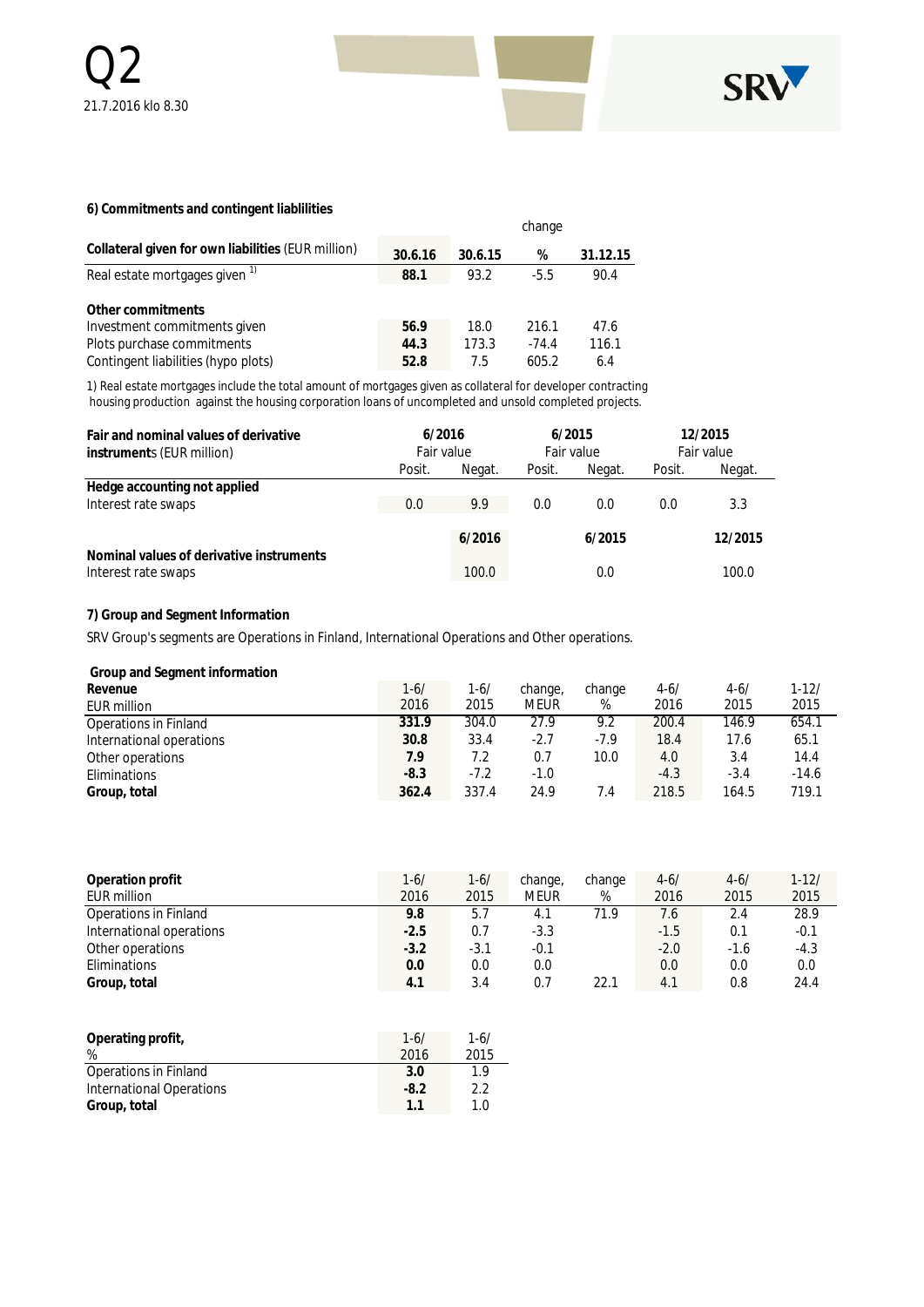

#### **6) Commitments and contingent liablilities**

|                                                                   |              |              | change           |              |
|-------------------------------------------------------------------|--------------|--------------|------------------|--------------|
| Collateral given for own liabilities (EUR million)                | 30.6.16      | 30.6.15      | %                | 31.12.15     |
| Real estate mortgages given <sup>1)</sup>                         | 88.1         | 93.2         | $-5.5$           | 90.4         |
| Other commitments<br>Investment commitments given                 | 56.9         | 18.0         | 216.1            | 47.6         |
| Plots purchase commitments<br>Contingent liabilities (hypo plots) | 44.3<br>52.8 | 173.3<br>7.5 | $-74.4$<br>605.2 | 116.1<br>6.4 |

1) Real estate mortgages include the total amount of mortgages given as collateral for developer contracting housing production against the housing corporation loans of uncompleted and unsold completed projects.

| Fair and nominal values of derivative<br>instruments (EUR million) |        | 6/2016<br>Fair value |        | 6/2015<br>Fair value |        | 12/2015<br>Fair value |  |
|--------------------------------------------------------------------|--------|----------------------|--------|----------------------|--------|-----------------------|--|
|                                                                    | Posit. | Negat.               | Posit. | Negat.               | Posit. | Negat.                |  |
| Hedge accounting not applied                                       |        |                      |        |                      |        |                       |  |
| Interest rate swaps                                                | 0.0    | 9.9                  | 0.0    | 0.0                  | 0.0    | 3.3                   |  |
|                                                                    |        | 6/2016               |        | 6/2015               |        | 12/2015               |  |
| Nominal values of derivative instruments<br>Interest rate swaps    |        | 100.0                |        | 0.0                  |        | 100.0                 |  |

#### **7) Group and Segment Information**

SRV Group's segments are Operations in Finland, International Operations and Other operations.

| Group and Segment information |        |          |         |        |          |          |           |
|-------------------------------|--------|----------|---------|--------|----------|----------|-----------|
| Revenue                       | 1-6/   | $1 - 6/$ | change, | change | $4 - 6/$ | $4 - 6/$ | $1 - 12/$ |
| EUR million                   | 2016   | 2015     | meur    | %      | 2016     | 2015     | 2015      |
| Operations in Finland         | 331.9  | 304.0    | 27.9    | 9.2    | 200.4    | 146.9    | 654.1     |
| International operations      | 30.8   | 33.4     | $-2.7$  | $-7.9$ | 18.4     | 17.6     | 65.1      |
| Other operations              | 7.9    | 7.2      | 0.7     | 10.0   | 4.0      | 3.4      | 14.4      |
| Eliminations                  | $-8.3$ | $-7.2$   | $-1.0$  |        | $-4.3$   | $-3.4$   | $-14.6$   |
| Group, total                  | 362.4  | 337.4    | 24.9    | 7.4    | 218.5    | 164.5    | 719.1     |

| Operation profit         | $1 - 6/$ | $1 - 6/$ | change, | change | $4 - 6/$ | $4 - 6/$ | $1 - 12/$ |
|--------------------------|----------|----------|---------|--------|----------|----------|-----------|
| EUR million              | 2016     | 2015     | meur    | %      | 2016     | 2015     | 2015      |
| Operations in Finland    | 9.8      | 5.7      | 4.1     | 71.9   | 7.6      | 2.4      | 28.9      |
| International operations | $-2.5$   | 0.7      | $-3.3$  |        | $-1.5$   | 0.1      | $-0.1$    |
| Other operations         | $-3.2$   | $-3.1$   | $-0.1$  |        | $-2.0$   | $-1.6$   | $-4.3$    |
| Eliminations             | 0.0      | 0.0      | 0.0     |        | 0.0      | 0.0      | 0.0       |
| Group, total             | 4.1      | 3.4      | 0.7     | 22.1   | 4.1      | 0.8      | 24.4      |

| Operating profit,<br>%   | $1 - 6/$ | $1 - 6/$<br>2015 |
|--------------------------|----------|------------------|
|                          | 2016     |                  |
| Operations in Finland    | 3.0      | 1.9              |
| International Operations | $-8.2$   | 2.2              |
| Group, total             | 11       | 1.0              |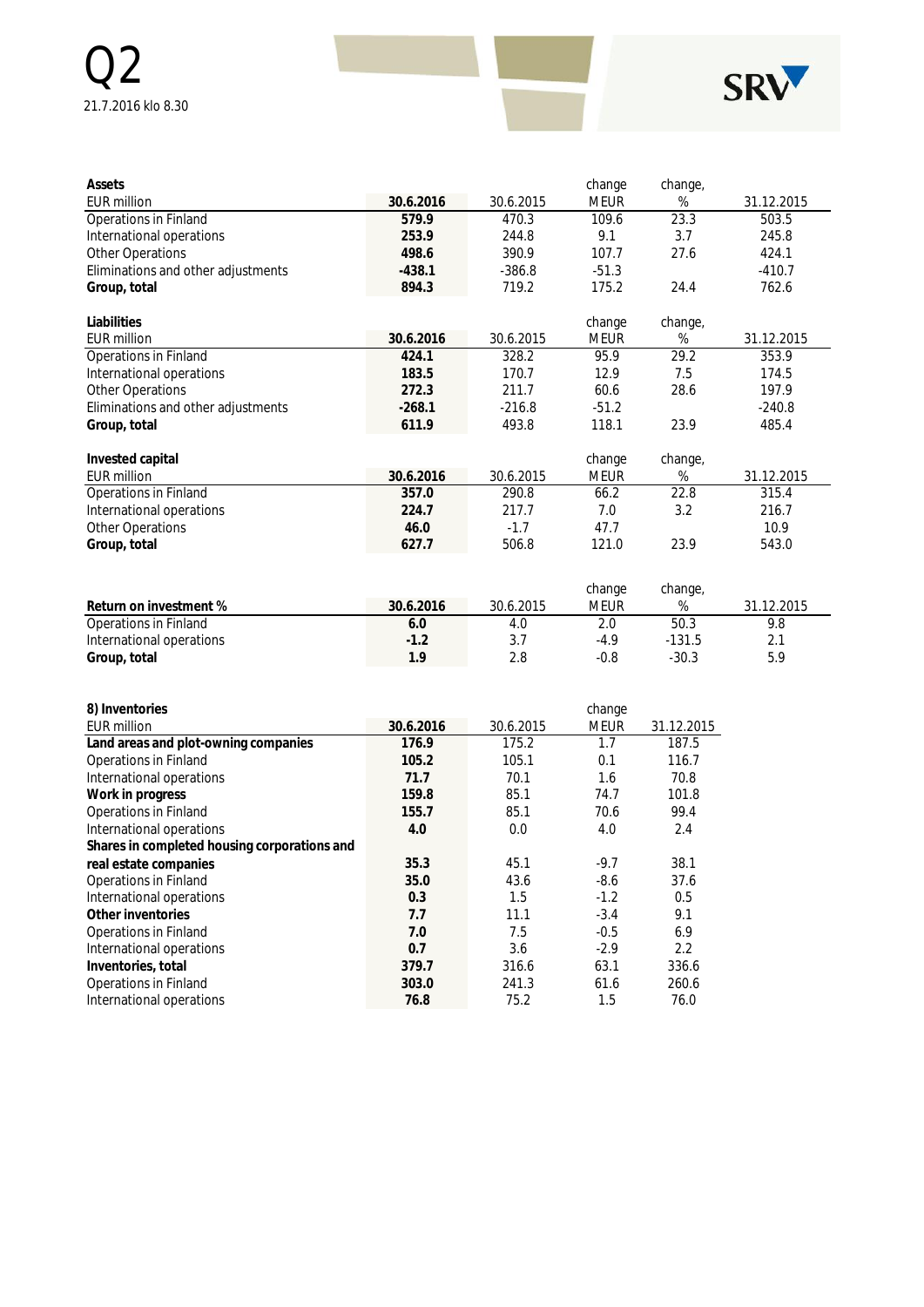

| Assets                             |           |           | change      | change, |            |
|------------------------------------|-----------|-----------|-------------|---------|------------|
| <b>EUR million</b>                 | 30.6.2016 | 30.6.2015 | <b>MEUR</b> | %       | 31.12.2015 |
| Operations in Finland              | 579.9     | 470.3     | 109.6       | 23.3    | 503.5      |
| International operations           | 253.9     | 244.8     | 9.1         | 3.7     | 245.8      |
| Other Operations                   | 498.6     | 390.9     | 107.7       | 27.6    | 424.1      |
| Eliminations and other adjustments | $-438.1$  | $-386.8$  | $-51.3$     |         | $-410.7$   |
| Group, total                       | 894.3     | 719.2     | 175.2       | 24.4    | 762.6      |
|                                    |           |           |             |         |            |
| Liabilities                        |           |           | change      | change, |            |
| <b>EUR million</b>                 | 30.6.2016 | 30.6.2015 | <b>MEUR</b> | %       | 31.12.2015 |
| Operations in Finland              | 424.1     | 328.2     | 95.9        | 29.2    | 353.9      |
| International operations           | 183.5     | 170.7     | 12.9        | 7.5     | 174.5      |
| Other Operations                   | 272.3     | 211.7     | 60.6        | 28.6    | 197.9      |
| Eliminations and other adjustments | $-268.1$  | $-216.8$  | $-51.2$     |         | $-240.8$   |
| Group, total                       | 611.9     | 493.8     | 118.1       | 23.9    | 485.4      |
|                                    |           |           |             |         |            |
| Invested capital                   |           |           | change      | change, |            |
| <b>EUR million</b>                 | 30.6.2016 | 30.6.2015 | <b>MEUR</b> | %       | 31.12.2015 |
| Operations in Finland              | 357.0     | 290.8     | 66.2        | 22.8    | 315.4      |
| International operations           | 224.7     | 217.7     | 7.0         | 3.2     | 216.7      |
| Other Operations                   | 46.0      | $-1.7$    | 47.7        |         | 10.9       |
| Group, total                       | 627.7     | 506.8     | 121.0       | 23.9    | 543.0      |
|                                    |           |           |             |         |            |
|                                    |           |           |             |         |            |

|                          |           |           | change | change,  |            |
|--------------------------|-----------|-----------|--------|----------|------------|
| Return on investment %   | 30.6.2016 | 30.6.2015 | Meur   | %        | 31.12.2015 |
| Operations in Finland    | 6.0       | 4.C       | 2.0    | 50.3     | 9.8        |
| International operations | $-1.2$    |           | $-4.9$ | $-131.5$ | <b>.</b>   |
| Group, total             | 1 Q       | 2.8       | $-0.8$ | $-30.3$  | 5.9        |

| 8) Inventories                               |           |           | change      |            |
|----------------------------------------------|-----------|-----------|-------------|------------|
| <b>EUR million</b>                           | 30.6.2016 | 30.6.2015 | <b>MEUR</b> | 31.12.2015 |
| Land areas and plot-owning companies         | 176.9     | 175.2     | 1.7         | 187.5      |
| Operations in Finland                        | 105.2     | 105.1     | 0.1         | 116.7      |
| International operations                     | 71.7      | 70.1      | 1.6         | 70.8       |
| Work in progress                             | 159.8     | 85.1      | 74.7        | 101.8      |
| Operations in Finland                        | 155.7     | 85.1      | 70.6        | 99.4       |
| International operations                     | 4.0       | 0.0       | 4.0         | 2.4        |
| Shares in completed housing corporations and |           |           |             |            |
| real estate companies                        | 35.3      | 45.1      | $-9.7$      | 38.1       |
| Operations in Finland                        | 35.0      | 43.6      | $-8.6$      | 37.6       |
| International operations                     | 0.3       | 1.5       | $-1.2$      | 0.5        |
| Other inventories                            | 7.7       | 11.1      | $-3.4$      | 9.1        |
| Operations in Finland                        | 7.0       | 7.5       | $-0.5$      | 6.9        |
| International operations                     | 0.7       | 3.6       | $-2.9$      | 2.2        |
| Inventories, total                           | 379.7     | 316.6     | 63.1        | 336.6      |
| Operations in Finland                        | 303.0     | 241.3     | 61.6        | 260.6      |
| International operations                     | 76.8      | 75.2      | 1.5         | 76.0       |